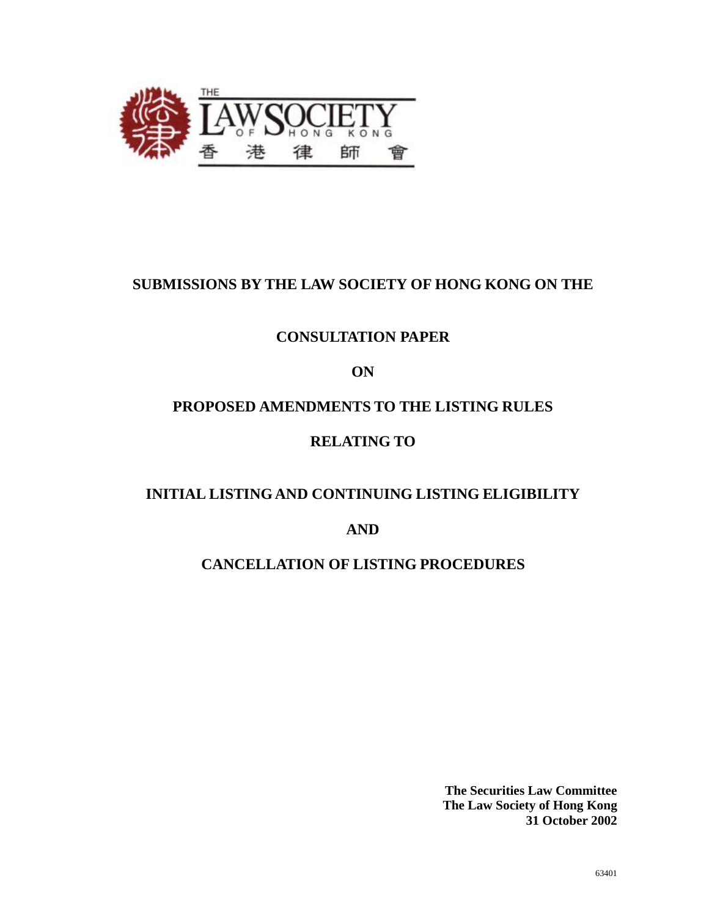

# **SUBMISSIONS BY THE LAW SOCIETY OF HONG KONG ON THE**

# **CONSULTATION PAPER**

**ON**

# **PROPOSED AMENDMENTS TO THE LISTING RULES**

# **RELATING TO**

# **INITIAL LISTING AND CONTINUING LISTING ELIGIBILITY**

**AND**

# **CANCELLATION OF LISTING PROCEDURES**

**The Securities Law Committee The Law Society of Hong Kong 31 October 2002**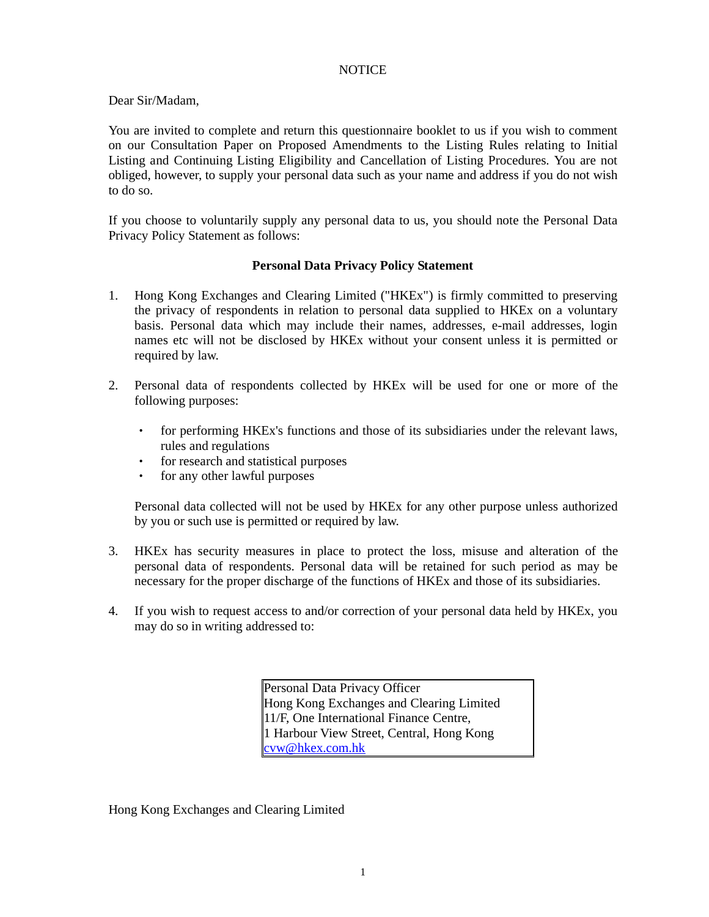### NOTICE

Dear Sir/Madam,

You are invited to complete and return this questionnaire booklet to us if you wish to comment on our Consultation Paper on Proposed Amendments to the Listing Rules relating to Initial Listing and Continuing Listing Eligibility and Cancellation of Listing Procedures. You are not obliged, however, to supply your personal data such as your name and address if you do not wish to do so.

If you choose to voluntarily supply any personal data to us, you should note the Personal Data Privacy Policy Statement as follows:

### **Personal Data Privacy Policy Statement**

- 1. Hong Kong Exchanges and Clearing Limited ("HKEx") is firmly committed to preserving the privacy of respondents in relation to personal data supplied to HKEx on a voluntary basis. Personal data which may include their names, addresses, e-mail addresses, login names etc will not be disclosed by HKEx without your consent unless it is permitted or required by law.
- 2. Personal data of respondents collected by HKEx will be used for one or more of the following purposes:
	- for performing HKEx's functions and those of its subsidiaries under the relevant laws, rules and regulations
	- for research and statistical purposes
	- for any other lawful purposes

Personal data collected will not be used by HKEx for any other purpose unless authorized by you or such use is permitted or required by law.

- 3. HKEx has security measures in place to protect the loss, misuse and alteration of the personal data of respondents. Personal data will be retained for such period as may be necessary for the proper discharge of the functions of HKEx and those of its subsidiaries.
- 4. If you wish to request access to and/or correction of your personal data held by HKEx, you may do so in writing addressed to:

Personal Data Privacy Officer Hong Kong Exchanges and Clearing Limited 11/F, One International Finance Centre, 1 Harbour View Street, Central, Hong Kong [cvw@hkex.com.hk](mailto:cvw@hkex.com.hk)

Hong Kong Exchanges and Clearing Limited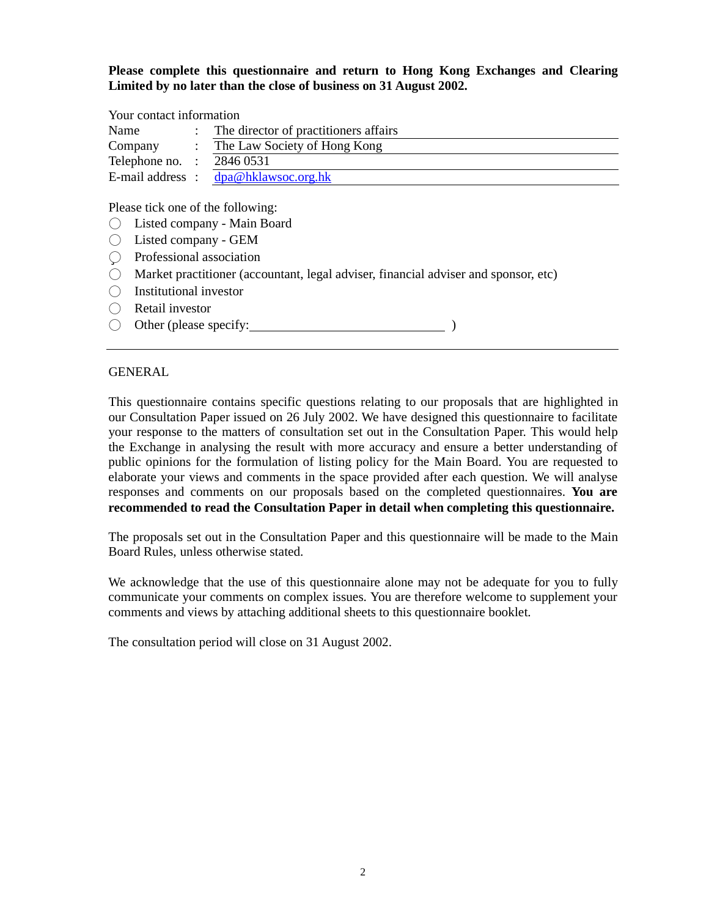**Please complete this questionnaire and return to Hong Kong Exchanges and Clearing Limited by no later than the close of business on 31 August 2002.**

### Your contact information

| Name             | The director of practitioners affairs |
|------------------|---------------------------------------|
| Company          | The Law Society of Hong Kong          |
| Telephone no.    | 2846 0531                             |
| E-mail address : | dpa@hklawsoc.org.hk                   |

Please tick one of the following:

- Listed company Main Board
- Listed company GEM
- ü Professional association
- Market practitioner (accountant, legal adviser, financial adviser and sponsor, etc)
- $\bigcap$  Institutional investor
- Retail investor
- Other (please specify: )

### GENERAL

This questionnaire contains specific questions relating to our proposals that are highlighted in our Consultation Paper issued on 26 July 2002. We have designed this questionnaire to facilitate your response to the matters of consultation set out in the Consultation Paper. This would help the Exchange in analysing the result with more accuracy and ensure a better understanding of public opinions for the formulation of listing policy for the Main Board. You are requested to elaborate your views and comments in the space provided after each question. We will analyse responses and comments on our proposals based on the completed questionnaires. **You are recommended to read the Consultation Paper in detail when completing this questionnaire.**

The proposals set out in the Consultation Paper and this questionnaire will be made to the Main Board Rules, unless otherwise stated.

We acknowledge that the use of this questionnaire alone may not be adequate for you to fully communicate your comments on complex issues. You are therefore welcome to supplement your comments and views by attaching additional sheets to this questionnaire booklet.

The consultation period will close on 31 August 2002.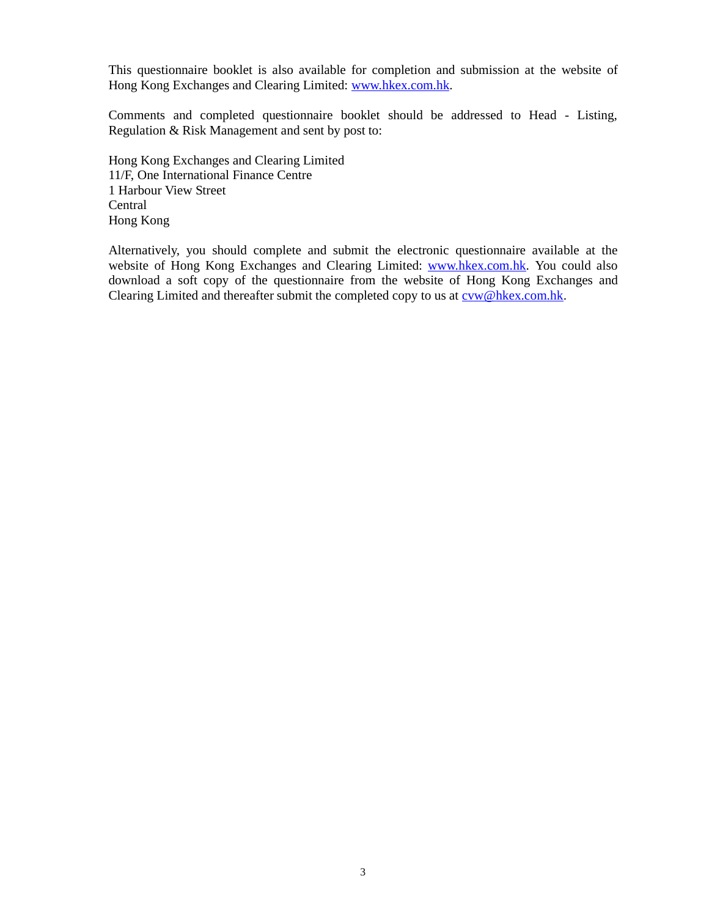This questionnaire booklet is also available for completion and submission at the website of Hong Kong Exchanges and Clearing Limited: [www.hkex.com.hk](http://www.hkex.com.hk).

Comments and completed questionnaire booklet should be addressed to Head - Listing, Regulation & Risk Management and sent by post to:

Hong Kong Exchanges and Clearing Limited 11/F, One International Finance Centre 1 Harbour View Street Central Hong Kong

Alternatively, you should complete and submit the electronic questionnaire available at the website of Hong Kong Exchanges and Clearing Limited: [www.hkex.com.hk](http://www.hkex.com.hk). You could also download a soft copy of the questionnaire from the website of Hong Kong Exchanges and Clearing Limited and thereafter submit the completed copy to us at  $\overline{\text{cvw@hkex.com.hk}}$ .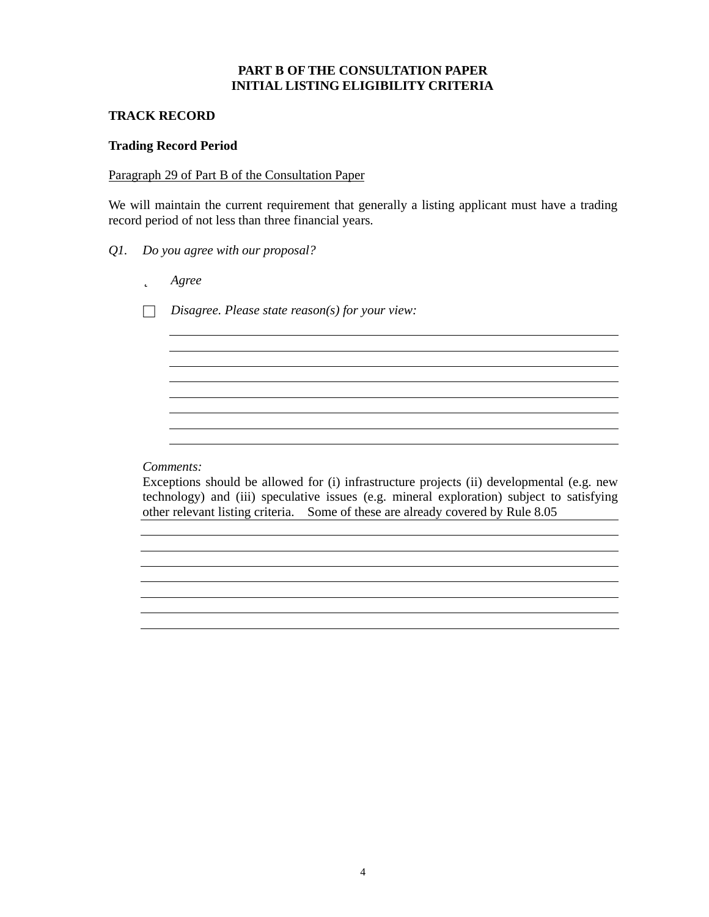# **PART B OF THE CONSULTATION PAPER INITIAL LISTING ELIGIBILITY CRITERIA**

# **TRACK RECORD**

### **Trading Record Period**

### Paragraph 29 of Part B of the Consultation Paper

We will maintain the current requirement that generally a listing applicant must have a trading record period of not less than three financial years.

- *Q1. Do you agree with our proposal?*
	- þ *Agree*

□ *Disagree. Please state reason(s) for your view:*

*Comments:*

Exceptions should be allowed for (i) infrastructure projects (ii) developmental (e.g. new technology) and (iii) speculative issues (e.g. mineral exploration) subject to satisfying other relevant listing criteria. Some of these are already covered by Rule 8.05

<u> 1980 - Johann Stoff, deutscher Stoffen und der Stoffen und der Stoffen und der Stoffen und der Stoffen und de</u>

<u> 1989 - Johann Stein, marwolaethau a bhann an t-Amhainn an t-Amhainn an t-Amhainn an t-Amhainn an t-Amhainn a</u>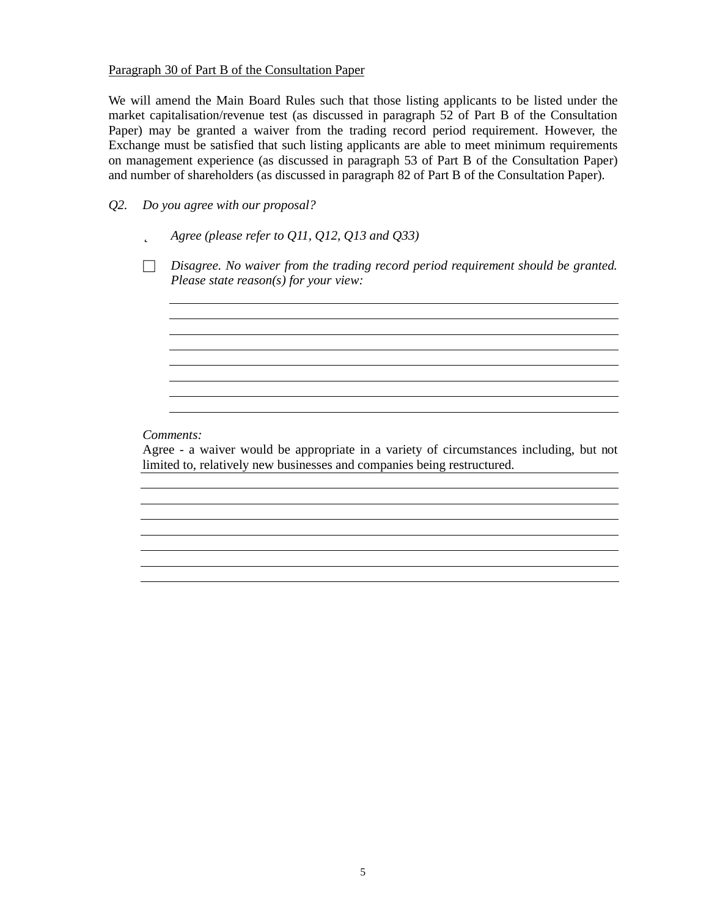### Paragraph 30 of Part B of the Consultation Paper

We will amend the Main Board Rules such that those listing applicants to be listed under the market capitalisation/revenue test (as discussed in paragraph 52 of Part B of the Consultation Paper) may be granted a waiver from the trading record period requirement. However, the Exchange must be satisfied that such listing applicants are able to meet minimum requirements on management experience (as discussed in paragraph 53 of Part B of the Consultation Paper) and number of shareholders (as discussed in paragraph 82 of Part B of the Consultation Paper).

*Q2. Do you agree with our proposal?*

- þ *Agree (please refer to Q11, Q12, Q13 and Q33)*
- □ *Disagree. No waiver from the trading record period requirement should be granted. Please state reason(s) for your view:*

<u> 1989 - Johann Stoff, deutscher Stoffen und der Stoffen und der Stoffen und der Stoffen und der Stoffen und de</u>

### *Comments:*

Agree - a waiver would be appropriate in a variety of circumstances including, but not limited to, relatively new businesses and companies being restructured.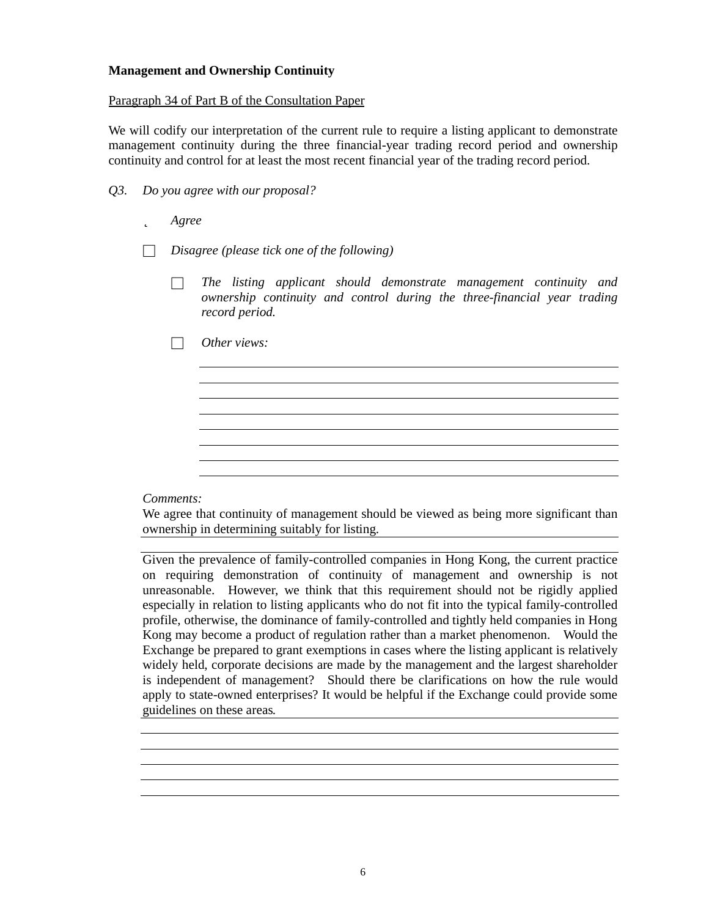## **Management and Ownership Continuity**

### Paragraph 34 of Part B of the Consultation Paper

We will codify our interpretation of the current rule to require a listing applicant to demonstrate management continuity during the three financial-year trading record period and ownership continuity and control for at least the most recent financial year of the trading record period.

- *Q3. Do you agree with our proposal?*
	- þ *Agree*
	- □ *Disagree (please tick one of the following)*
		- □ *The listing applicant should demonstrate management continuity and ownership continuity and control during the three-financial year trading record period.*
		- Other views:

### *Comments:*

We agree that continuity of management should be viewed as being more significant than ownership in determining suitably for listing.

Given the prevalence of family-controlled companies in Hong Kong, the current practice on requiring demonstration of continuity of management and ownership is not unreasonable. However, we think that this requirement should not be rigidly applied especially in relation to listing applicants who do not fit into the typical family-controlled profile, otherwise, the dominance of family-controlled and tightly held companies in Hong Kong may become a product of regulation rather than a market phenomenon. Would the Exchange be prepared to grant exemptions in cases where the listing applicant is relatively widely held, corporate decisions are made by the management and the largest shareholder is independent of management? Should there be clarifications on how the rule would apply to state-owned enterprises? It would be helpful if the Exchange could provide some guidelines on these areas*.*

<u> 1989 - Johann Stoff, amerikansk politiker (d. 1989)</u>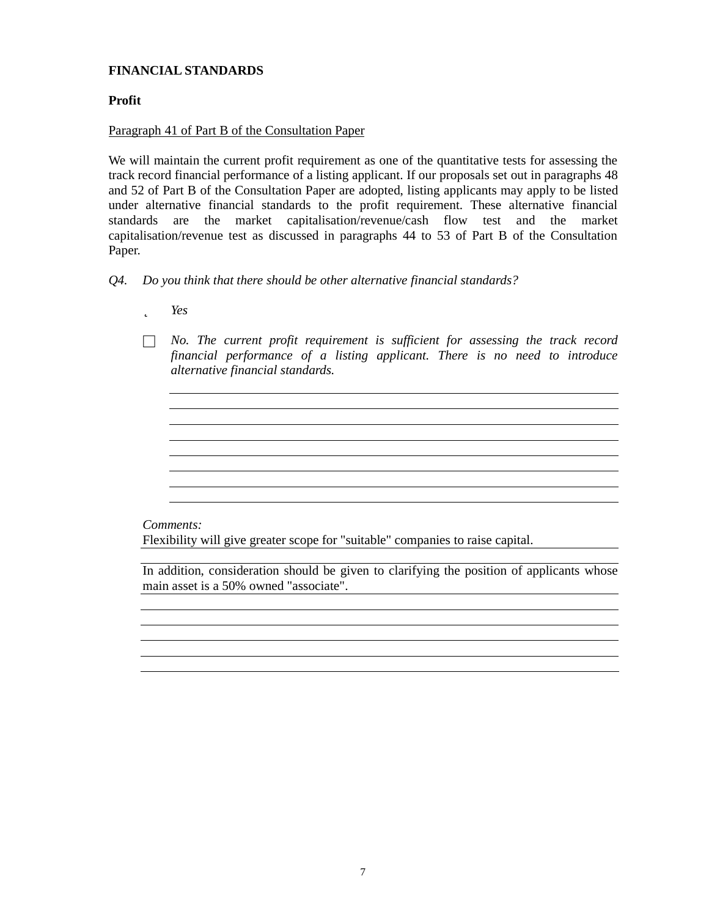# **FINANCIAL STANDARDS**

# **Profit**

## Paragraph 41 of Part B of the Consultation Paper

We will maintain the current profit requirement as one of the quantitative tests for assessing the track record financial performance of a listing applicant. If our proposals set out in paragraphs 48 and 52 of Part B of the Consultation Paper are adopted, listing applicants may apply to be listed under alternative financial standards to the profit requirement. These alternative financial standards are the market capitalisation/revenue/cash flow test and the market capitalisation/revenue test as discussed in paragraphs 44 to 53 of Part B of the Consultation Paper.

- *Q4. Do you think that there should be other alternative financial standards?*
	- þ *Yes*
	- □ *No. The current profit requirement is sufficient for assessing the track record financial performance of a listing applicant. There is no need to introduce alternative financial standards.*

the control of the control of the control of the control of the control of the control of the control of the control of the control of the control of the control of the control of the control of the control of the control

### *Comments:*

Flexibility will give greater scope for "suitable" companies to raise capital.

In addition, consideration should be given to clarifying the position of applicants whose main asset is a 50% owned "associate".

the control of the control of the control of the control of the control of the control of the control of the control of the control of the control of the control of the control of the control of the control of the control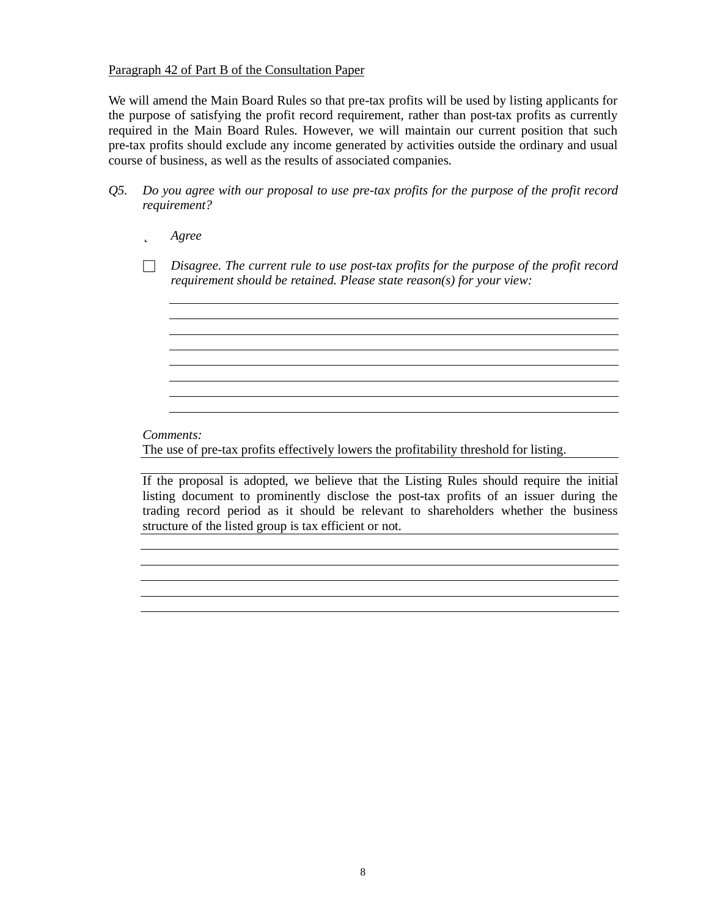### Paragraph 42 of Part B of the Consultation Paper

We will amend the Main Board Rules so that pre-tax profits will be used by listing applicants for the purpose of satisfying the profit record requirement, rather than post-tax profits as currently required in the Main Board Rules. However, we will maintain our current position that such pre-tax profits should exclude any income generated by activities outside the ordinary and usual course of business, as well as the results of associated companies.

- *Q5. Do you agree with our proposal to use pre-tax profits for the purpose of the profit record requirement?*
	- þ *Agree*
	- □ *Disagree. The current rule to use post-tax profits for the purpose of the profit record requirement should be retained. Please state reason(s) for your view:*

<u> 1989 - Johann Stoff, deutscher Stoffen und der Stoffen und der Stoffen und der Stoffen und der Stoffen und de</u>

*Comments:*

The use of pre-tax profits effectively lowers the profitability threshold for listing.

If the proposal is adopted, we believe that the Listing Rules should require the initial listing document to prominently disclose the post-tax profits of an issuer during the trading record period as it should be relevant to shareholders whether the business structure of the listed group is tax efficient or not.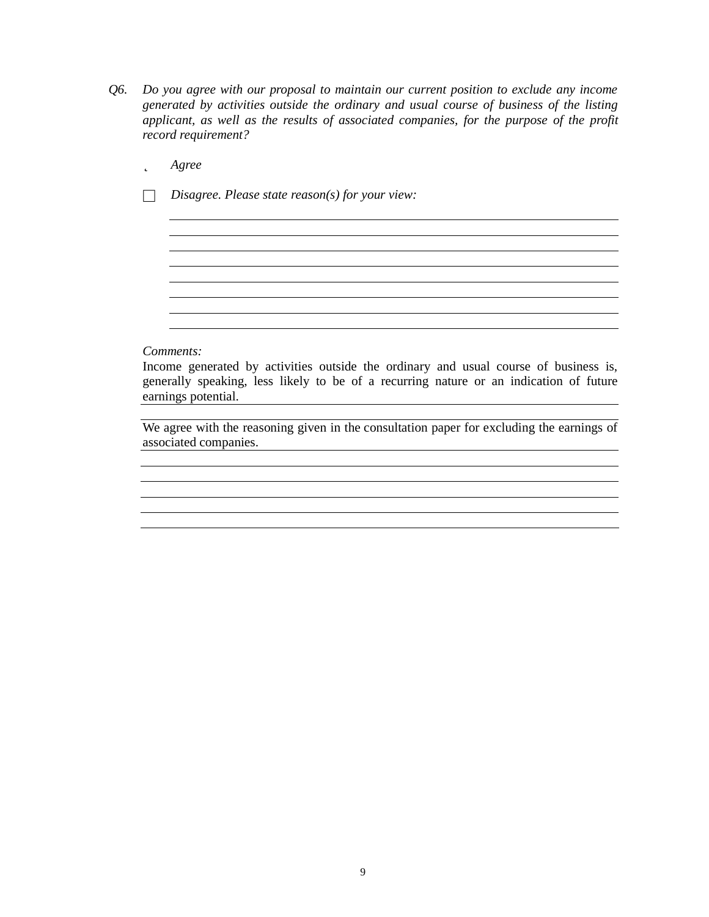- *Q6. Do you agree with our proposal to maintain our current position to exclude any income generated by activities outside the ordinary and usual course of business of the listing applicant, as well as the results of associated companies, for the purpose of the profit record requirement?*
	- þ *Agree*
	- □ *Disagree. Please state reason(s) for your view:*

### *Comments:*

Income generated by activities outside the ordinary and usual course of business is, generally speaking, less likely to be of a recurring nature or an indication of future earnings potential. 

<u> 1989 - Jan Salaman Salaman (j. 1989)</u>

the control of the control of the control of the control of the control of the control of the control of the control of the control of the control of the control of the control of the control of the control of the control

<u> 1980 - Johann Barn, mars ann an t-Amhain Aonaichte ann an t-Aonaichte ann an t-Aonaichte ann an t-Aonaichte a</u>

We agree with the reasoning given in the consultation paper for excluding the earnings of associated companies.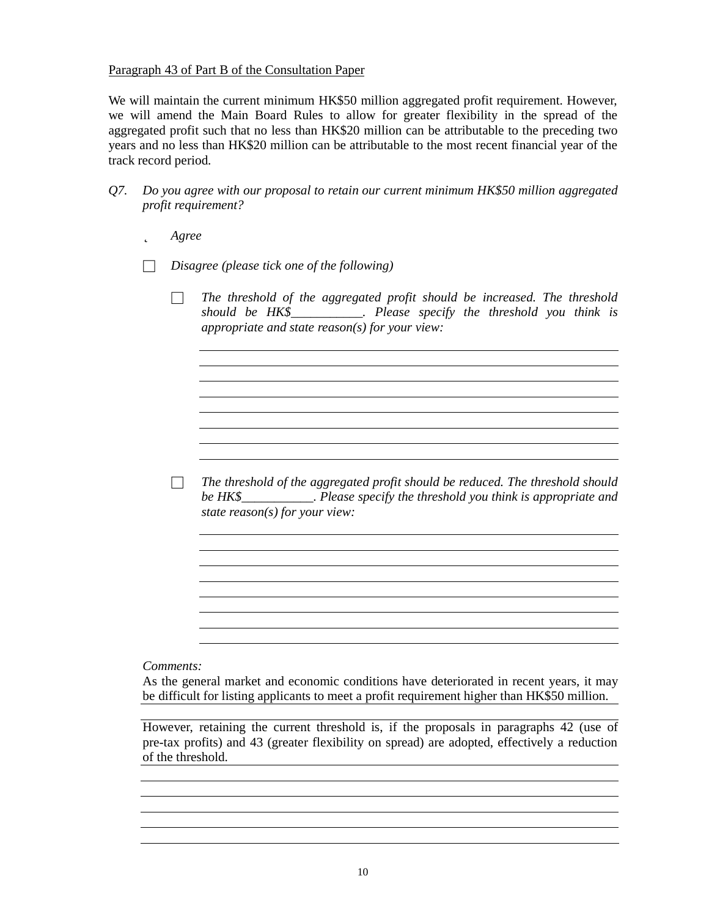### Paragraph 43 of Part B of the Consultation Paper

We will maintain the current minimum HK\$50 million aggregated profit requirement. However, we will amend the Main Board Rules to allow for greater flexibility in the spread of the aggregated profit such that no less than HK\$20 million can be attributable to the preceding two years and no less than HK\$20 million can be attributable to the most recent financial year of the track record period.

- *Q7. Do you agree with our proposal to retain our current minimum HK\$50 million aggregated profit requirement?*
	- þ *Agree*
	- □ *Disagree (please tick one of the following)*
		- □ *The threshold of the aggregated profit should be increased. The threshold should be HK\$\_\_\_\_\_\_\_\_\_\_\_. Please specify the threshold you think is appropriate and state reason(s) for your view:*

<u> 1989 - Johann Stoff, deutscher Stoff, der Stoff, der Stoff, der Stoff, der Stoff, der Stoff, der Stoff, der S</u>

<u> 1980 - Johann Barn, mars ann an t-Amhain Aonaich an t-Aonaich an t-Aonaich ann an t-Aonaich ann an t-Aonaich</u> <u> 1989 - Johann Barn, mars ann an t-Amhain an t-Amhain an t-Amhain an t-Amhain an t-Amhain an t-Amhain an t-Amh</u>

□ *The threshold of the aggregated profit should be reduced. The threshold should be HK\$\_\_\_\_\_\_\_\_\_\_\_. Please specify the threshold you think is appropriate and state reason(s) for your view:*

*Comments:*

As the general market and economic conditions have deteriorated in recent years, it may be difficult for listing applicants to meet a profit requirement higher than HK\$50 million.

However, retaining the current threshold is, if the proposals in paragraphs 42 (use of pre-tax profits) and 43 (greater flexibility on spread) are adopted, effectively a reduction of the threshold.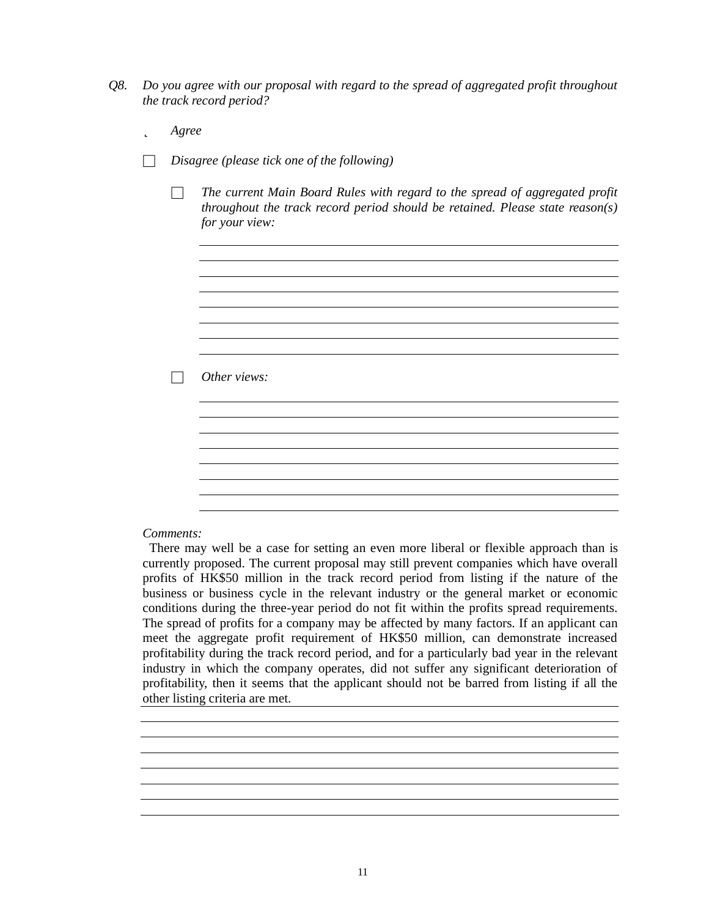- *Q8. Do you agree with our proposal with regard to the spread of aggregated profit throughout the track record period?*
	- þ *Agree*
	- □ *Disagree (please tick one of the following)*
		- □ *The current Main Board Rules with regard to the spread of aggregated profit throughout the track record period should be retained. Please state reason(s) for your view:*

<u> 1980 - Johann Barn, mars an t-Amerikaansk politiker (</u> 

<u> 1980 - Johann Stoff, deutscher Stoffen und der Stoffen und der Stoffen und der Stoffen und der Stoffen und de</u>

□ *Other views:*

#### *Comments:*

There may well be a case for setting an even more liberal or flexible approach than is currently proposed. The current proposal may still prevent companies which have overall profits of HK\$50 million in the track record period from listing if the nature of the business or business cycle in the relevant industry or the general market or economic conditions during the three-year period do not fit within the profits spread requirements. The spread of profits for a company may be affected by many factors. If an applicant can meet the aggregate profit requirement of HK\$50 million, can demonstrate increased profitability during the track record period, and for a particularly bad year in the relevant industry in which the company operates, did not suffer any significant deterioration of profitability, then it seems that the applicant should not be barred from listing if all the other listing criteria are met.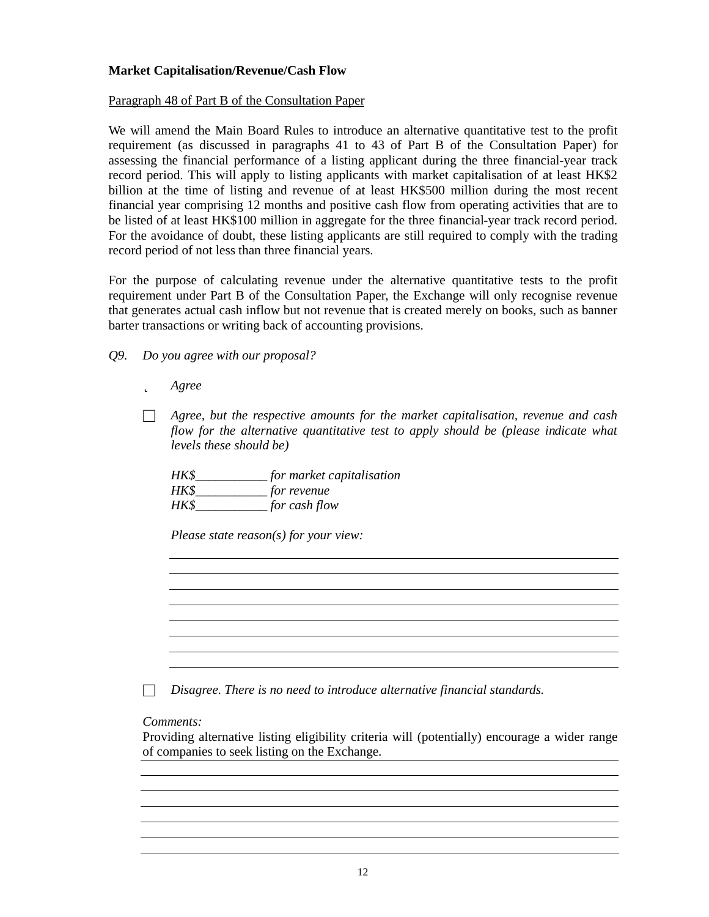# **Market Capitalisation/Revenue/Cash Flow**

Paragraph 48 of Part B of the Consultation Paper

We will amend the Main Board Rules to introduce an alternative quantitative test to the profit requirement (as discussed in paragraphs 41 to 43 of Part B of the Consultation Paper) for assessing the financial performance of a listing applicant during the three financial-year track record period. This will apply to listing applicants with market capitalisation of at least HK\$2 billion at the time of listing and revenue of at least HK\$500 million during the most recent financial year comprising 12 months and positive cash flow from operating activities that are to be listed of at least HK\$100 million in aggregate for the three financial-year track record period. For the avoidance of doubt, these listing applicants are still required to comply with the trading record period of not less than three financial years.

For the purpose of calculating revenue under the alternative quantitative tests to the profit requirement under Part B of the Consultation Paper, the Exchange will only recognise revenue that generates actual cash inflow but not revenue that is created merely on books, such as banner barter transactions or writing back of accounting provisions.

*Q9. Do you agree with our proposal?*

þ *Agree*

□ *Agree, but the respective amounts for the market capitalisation, revenue and cash flow for the alternative quantitative test to apply should be (please indicate what levels these should be)*

*HK\$\_\_\_\_\_\_\_\_\_\_\_ for market capitalisation HK\$\_\_\_\_\_\_\_\_\_\_\_ for revenue HK\$\_\_\_\_\_\_\_\_\_\_\_ for cash flow*

*Please state reason(s) for your view:*

□ *Disagree. There is no need to introduce alternative financial standards.*

*Comments:*

Providing alternative listing eligibility criteria will (potentially) encourage a wider range of companies to seek listing on the Exchange.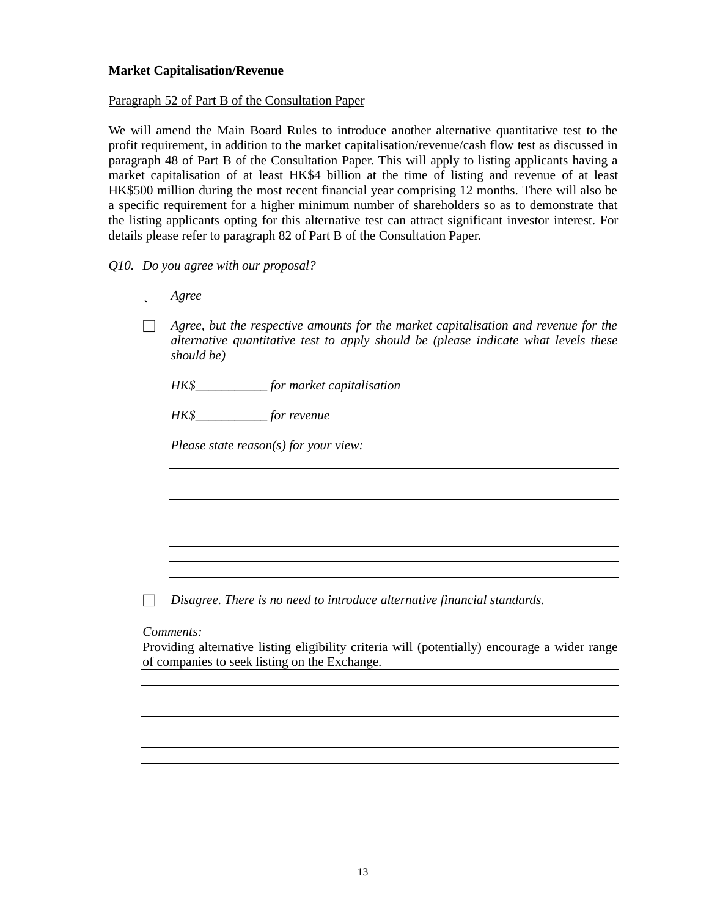### **Market Capitalisation/Revenue**

### Paragraph 52 of Part B of the Consultation Paper

We will amend the Main Board Rules to introduce another alternative quantitative test to the profit requirement, in addition to the market capitalisation/revenue/cash flow test as discussed in paragraph 48 of Part B of the Consultation Paper. This will apply to listing applicants having a market capitalisation of at least HK\$4 billion at the time of listing and revenue of at least HK\$500 million during the most recent financial year comprising 12 months. There will also be a specific requirement for a higher minimum number of shareholders so as to demonstrate that the listing applicants opting for this alternative test can attract significant investor interest. For details please refer to paragraph 82 of Part B of the Consultation Paper.

### *Q10. Do you agree with our proposal?*

| þ | Agree |
|---|-------|
|---|-------|

□ *Agree, but the respective amounts for the market capitalisation and revenue for the alternative quantitative test to apply should be (please indicate what levels these should be)*

<u> 1989 - Johann Stoff, deutscher Stoffen und der Stoffen und der Stoffen und der Stoffen und der Stoffen und de</u>

*HK\$\_\_\_\_\_\_\_\_\_\_\_ for market capitalisation*

*HK\$\_\_\_\_\_\_\_\_\_\_\_ for revenue*

*Please state reason(s) for your view:*

□ *Disagree. There is no need to introduce alternative financial standards.*

#### *Comments:*

Providing alternative listing eligibility criteria will (potentially) encourage a wider range of companies to seek listing on the Exchange.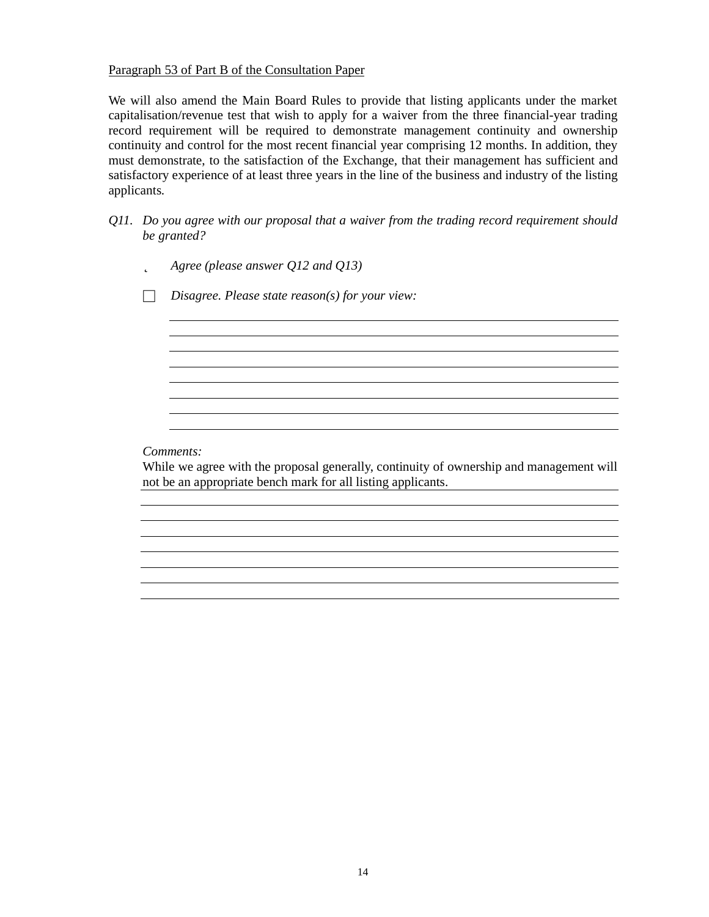### Paragraph 53 of Part B of the Consultation Paper

We will also amend the Main Board Rules to provide that listing applicants under the market capitalisation/revenue test that wish to apply for a waiver from the three financial-year trading record requirement will be required to demonstrate management continuity and ownership continuity and control for the most recent financial year comprising 12 months. In addition, they must demonstrate, to the satisfaction of the Exchange, that their management has sufficient and satisfactory experience of at least three years in the line of the business and industry of the listing applicants.

- *Q11. Do you agree with our proposal that a waiver from the trading record requirement should be granted?*
	- þ *Agree (please answer Q12 and Q13)*

□ *Disagree. Please state reason(s) for your view:*

*Comments:*

While we agree with the proposal generally, continuity of ownership and management will not be an appropriate bench mark for all listing applicants.

<u> 1980 - Johann Barn, fransk politik (f. 1980)</u>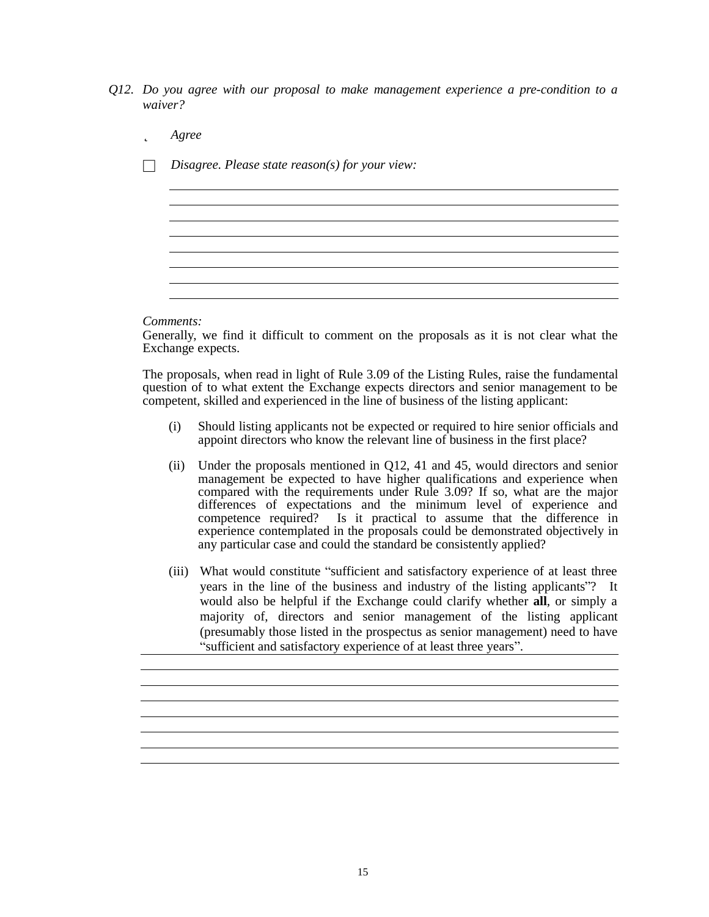- *Q12. Do you agree with our proposal to make management experience a pre-condition to a waiver?*
	- þ *Agree*
	- □ *Disagree. Please state reason(s) for your view:*

*Comments:*

Generally, we find it difficult to comment on the proposals as it is not clear what the Exchange expects.

<u> 1980 - Johann Stoff, deutscher Stoffen und der Stoffen und der Stoffen und der Stoffen und der Stoffen und de</u>

The proposals, when read in light of Rule 3.09 of the Listing Rules, raise the fundamental question of to what extent the Exchange expects directors and senior management to be competent, skilled and experienced in the line of business of the listing applicant:

- (i) Should listing applicants not be expected or required to hire senior officials and appoint directors who know the relevant line of business in the first place?
- (ii) Under the proposals mentioned in Q12, 41 and 45, would directors and senior management be expected to have higher qualifications and experience when compared with the requirements under Rule 3.09? If so, what are the major differences of expectations and the minimum level of experience and competence required? Is it practical to assume that the difference in experience contemplated in the proposals could be demonstrated objectively in any particular case and could the standard be consistently applied?
- (iii) What would constitute "sufficient and satisfactory experience of at least three years in the line of the business and industry of the listing applicants"? It would also be helpful if the Exchange could clarify whether **all**, or simply a majority of, directors and senior management of the listing applicant (presumably those listed in the prospectus as senior management) need to have " sufficient and satisfactory experience of at least three years".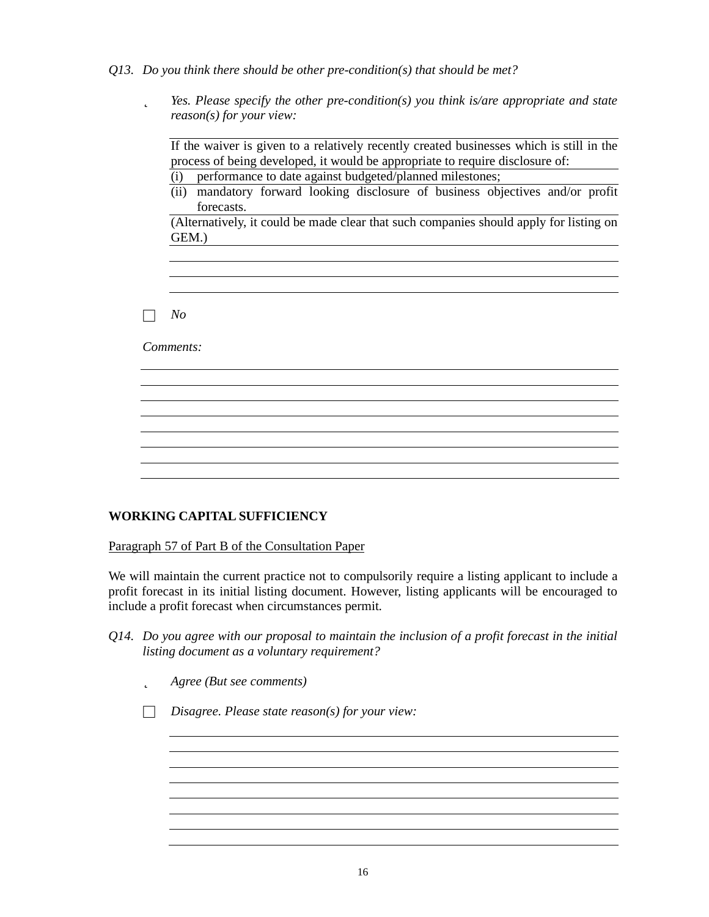- *Q13. Do you think there should be other pre-condition(s) that should be met?*
	- þ *Yes. Please specify the other pre-condition(s) you think is/are appropriate and state reason(s) for your view:*

If the waiver is given to a relatively recently created businesses which is still in the process of being developed, it would be appropriate to require disclosure of:

- (i) performance to date against budgeted/planned milestones;
- (ii) mandatory forward looking disclosure of business objectives and/or profit forecasts.

(Alternatively, it could be made clear that such companies should apply for listing on GEM.)

□ *No*

*Comments:*

### **WORKING CAPITAL SUFFICIENCY**

Paragraph 57 of Part B of the Consultation Paper

We will maintain the current practice not to compulsorily require a listing applicant to include a profit forecast in its initial listing document. However, listing applicants will be encouraged to include a profit forecast when circumstances permit.

- *Q14. Do you agree with our proposal to maintain the inclusion of a profit forecast in the initial listing document as a voluntary requirement?*
	- þ *Agree (But see comments)*

□ *Disagree. Please state reason(s) for your view:*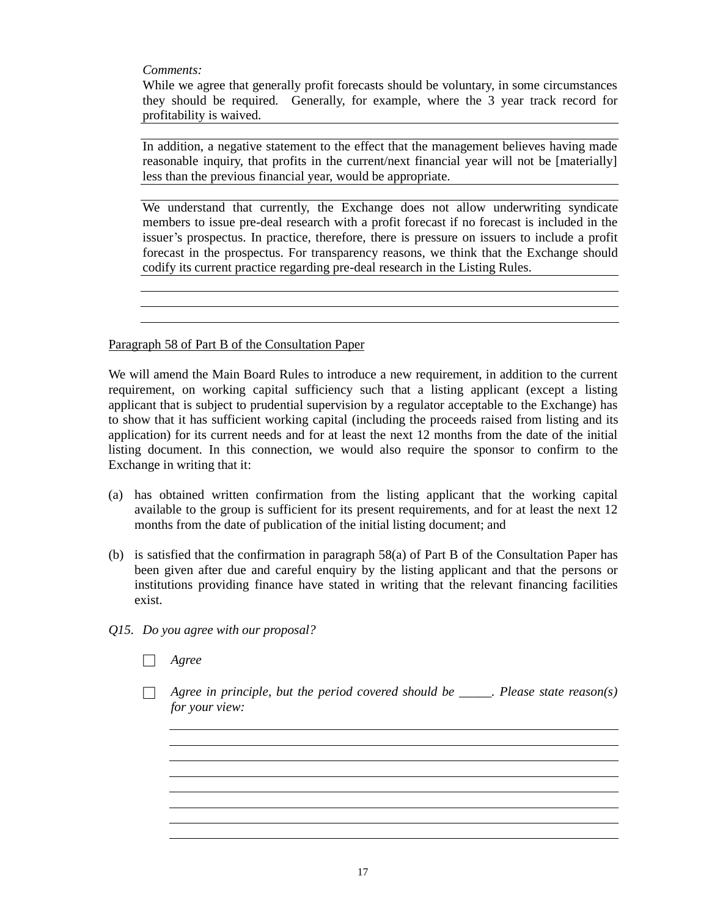*Comments:*

While we agree that generally profit forecasts should be voluntary, in some circumstances they should be required. Generally, for example, where the 3 year track record for profitability is waived.

In addition, a negative statement to the effect that the management believes having made reasonable inquiry, that profits in the current/next financial year will not be [materially] less than the previous financial year, would be appropriate.

We understand that currently, the Exchange does not allow underwriting syndicate members to issue pre-deal research with a profit forecast if no forecast is included in the issuer's prospectus. In practice, therefore, there is pressure on issuers to include a profit forecast in the prospectus. For transparency reasons, we think that the Exchange should codify its current practice regarding pre-deal research in the Listing Rules.

Paragraph 58 of Part B of the Consultation Paper

We will amend the Main Board Rules to introduce a new requirement, in addition to the current requirement, on working capital sufficiency such that a listing applicant (except a listing applicant that is subject to prudential supervision by a regulator acceptable to the Exchange) has to show that it has sufficient working capital (including the proceeds raised from listing and its application) for its current needs and for at least the next 12 months from the date of the initial listing document. In this connection, we would also require the sponsor to confirm to the Exchange in writing that it:

- (a) has obtained written confirmation from the listing applicant that the working capital available to the group is sufficient for its present requirements, and for at least the next 12 months from the date of publication of the initial listing document; and
- (b) is satisfied that the confirmation in paragraph 58(a) of Part B of the Consultation Paper has been given after due and careful enquiry by the listing applicant and that the persons or institutions providing finance have stated in writing that the relevant financing facilities exist.
- *Q15. Do you agree with our proposal?*
	- □ *Agree*
		- □ *Agree in principle, but the period covered should be \_\_\_\_\_. Please state reason(s) for your view:*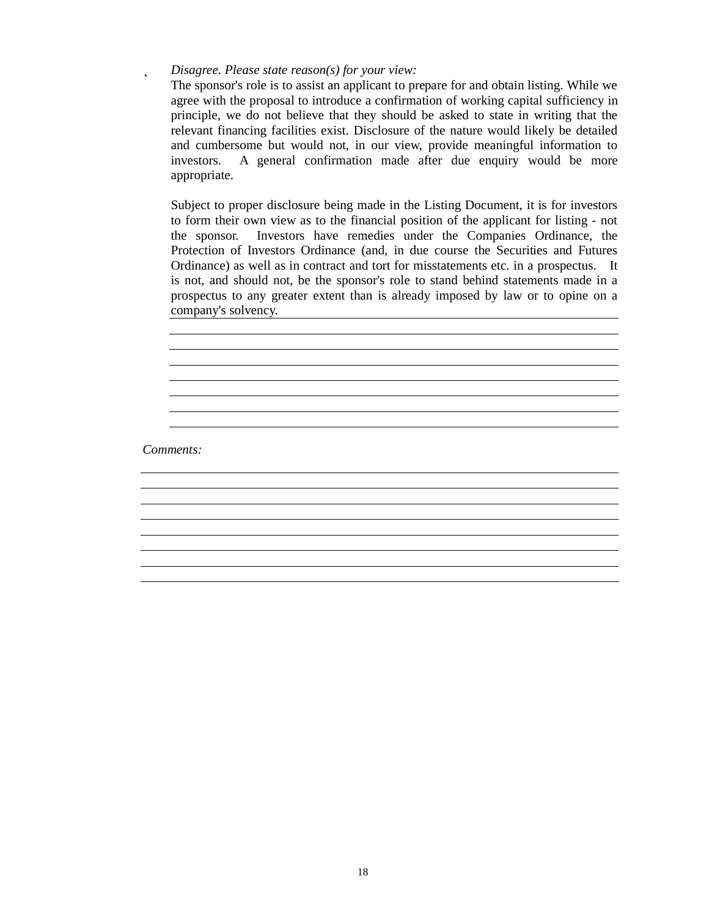## þ *Disagree. Please state reason(s) for your view:*

The sponsor's role is to assist an applicant to prepare for and obtain listing. While we agree with the proposal to introduce a confirmation of working capital sufficiency in principle, we do not believe that they should be asked to state in writing that the relevant financing facilities exist. Disclosure of the nature would likely be detailed and cumbersome but would not, in our view, provide meaningful information to investors. A general confirmation made after due enquiry would be more appropriate.

Subject to proper disclosure being made in the Listing Document, it is for investors to form their own view as to the financial position of the applicant for listing - not the sponsor. Investors have remedies under the Companies Ordinance, the Protection of Investors Ordinance (and, in due course the Securities and Futures Ordinance) as well as in contract and tort for misstatements etc. in a prospectus. It is not, and should not, be the sponsor's role to stand behind statements made in a prospectus to any greater extent than is already imposed by law or to opine on a company's solvency.

<u> 1989 - Johann Stoff, fransk politik (f. 1989)</u>

*Comments:*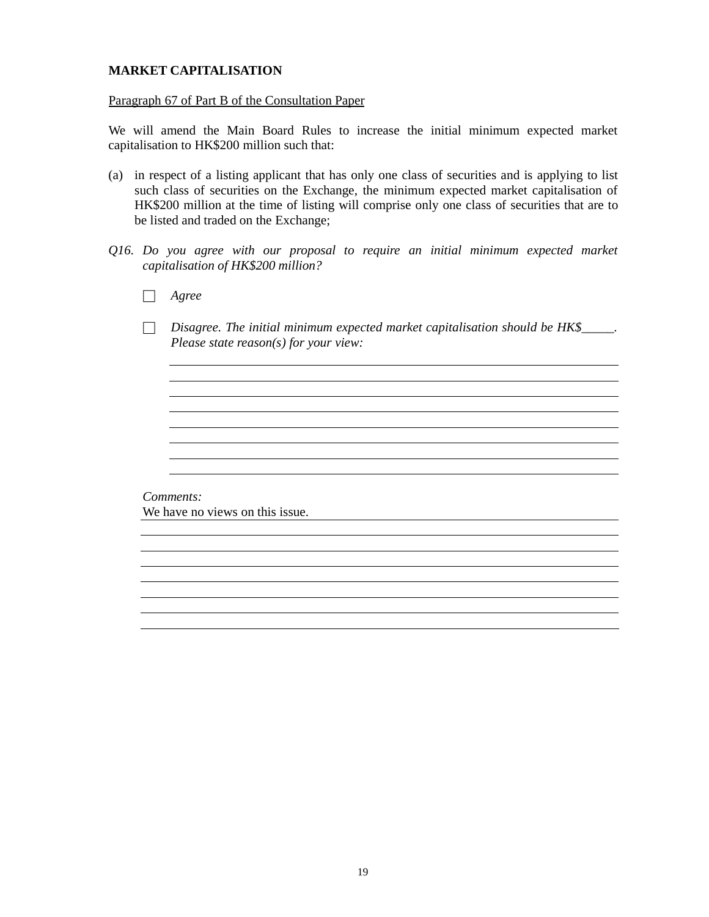## **MARKET CAPITALISATION**

#### Paragraph 67 of Part B of the Consultation Paper

We will amend the Main Board Rules to increase the initial minimum expected market capitalisation to HK\$200 million such that:

- (a) in respect of a listing applicant that has only one class of securities and is applying to list such class of securities on the Exchange, the minimum expected market capitalisation of HK\$200 million at the time of listing will comprise only one class of securities that are to be listed and traded on the Exchange;
- *Q16. Do you agree with our proposal to require an initial minimum expected market capitalisation of HK\$200 million?*
	- □ *Agree*
	- □ *Disagree. The initial minimum expected market capitalisation should be HK\$\_\_\_\_\_. Please state reason(s) for your view:*

<u> 1989 - Johann Stoff, amerikansk politiker (d. 1989)</u>

*Comments:* We have no views on this issue.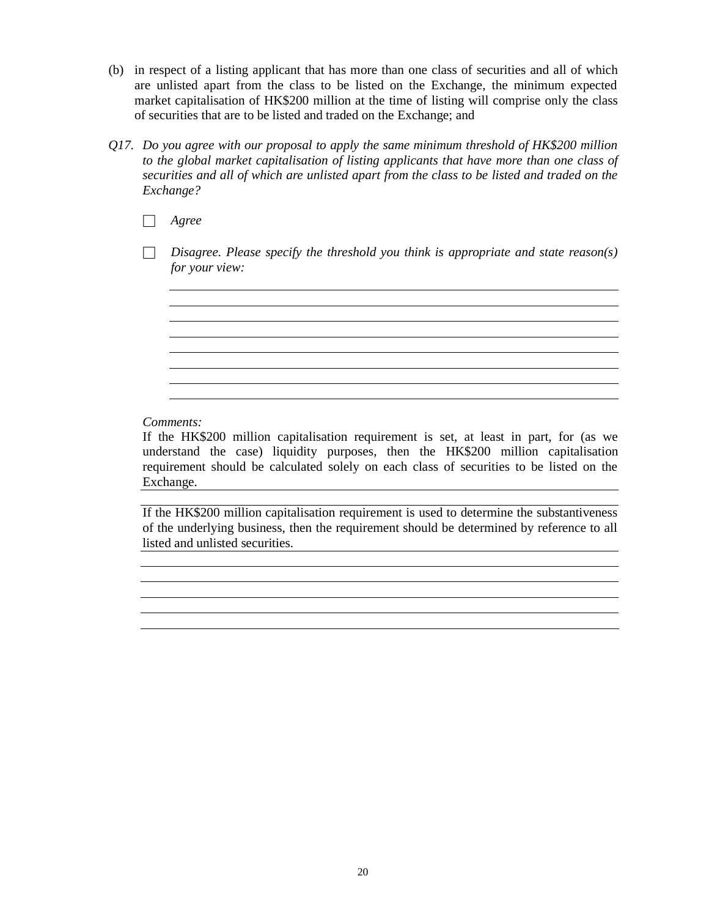- (b) in respect of a listing applicant that has more than one class of securities and all of which are unlisted apart from the class to be listed on the Exchange, the minimum expected market capitalisation of HK\$200 million at the time of listing will comprise only the class of securities that are to be listed and traded on the Exchange; and
- *Q17. Do you agree with our proposal to apply the same minimum threshold of HK\$200 million to the global market capitalisation of listing applicants that have more than one class of securities and all of which are unlisted apart from the class to be listed and traded on the Exchange?*
	- □ *Agree*
	- □ *Disagree. Please specify the threshold you think is appropriate and state reason(s) for your view:*

<u> 1989 - Johann Stoff, amerikansk politiker (d. 1989)</u>

### *Comments:*

If the HK\$200 million capitalisation requirement is set, at least in part, for (as we understand the case) liquidity purposes, then the HK\$200 million capitalisation requirement should be calculated solely on each class of securities to be listed on the Exchange.

If the HK\$200 million capitalisation requirement is used to determine the substantiveness of the underlying business, then the requirement should be determined by reference to all listed and unlisted securities.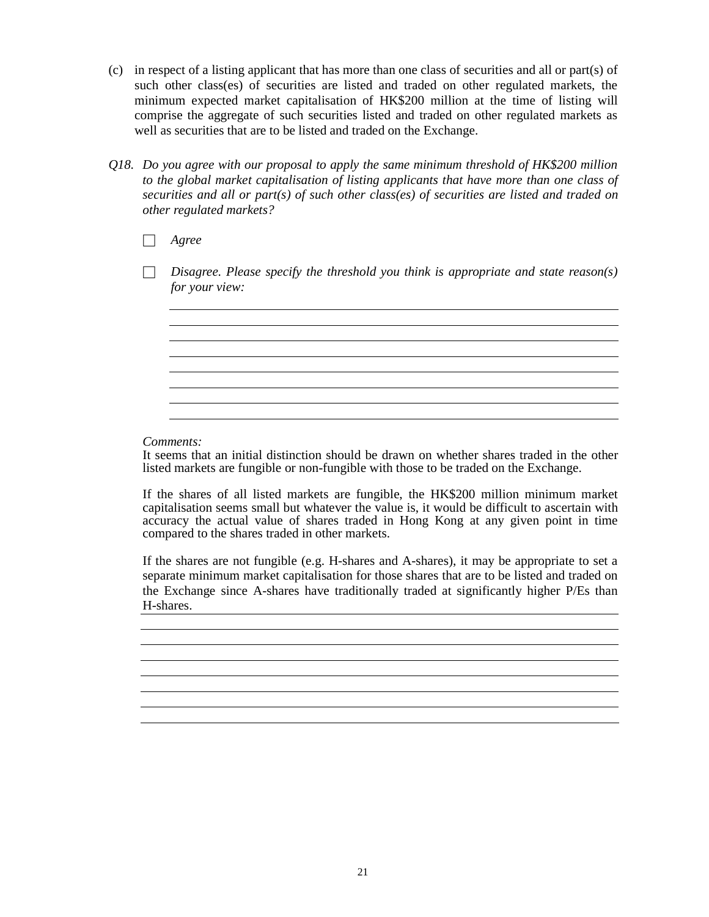- (c) in respect of a listing applicant that has more than one class of securities and all or part(s) of such other class(es) of securities are listed and traded on other regulated markets, the minimum expected market capitalisation of HK\$200 million at the time of listing will comprise the aggregate of such securities listed and traded on other regulated markets as well as securities that are to be listed and traded on the Exchange.
- *Q18. Do you agree with our proposal to apply the same minimum threshold of HK\$200 million to the global market capitalisation of listing applicants that have more than one class of securities and all or part(s) of such other class(es) of securities are listed and traded on other regulated markets?*

□ *Agree*

□ *Disagree. Please specify the threshold you think is appropriate and state reason(s) for your view:*

the control of the control of the control of the control of the control of the control of the control of the control of the control of the control of the control of the control of the control of the control of the control

<u> 1980 - Johann Barnett, fransk politik (f. 1980)</u>

*Comments:*

It seems that an initial distinction should be drawn on whether shares traded in the other listed markets are fungible or non-fungible with those to be traded on the Exchange.

If the shares of all listed markets are fungible, the HK\$200 million minimum market capitalisation seems small but whatever the value is, it would be difficult to ascertain with accuracy the actual value of shares traded in Hong Kong at any given point in time compared to the shares traded in other markets.

If the shares are not fungible (e.g. H-shares and A-shares), it may be appropriate to set a separate minimum market capitalisation for those shares that are to be listed and traded on the Exchange since A-shares have traditionally traded at significantly higher P/Es than H-shares.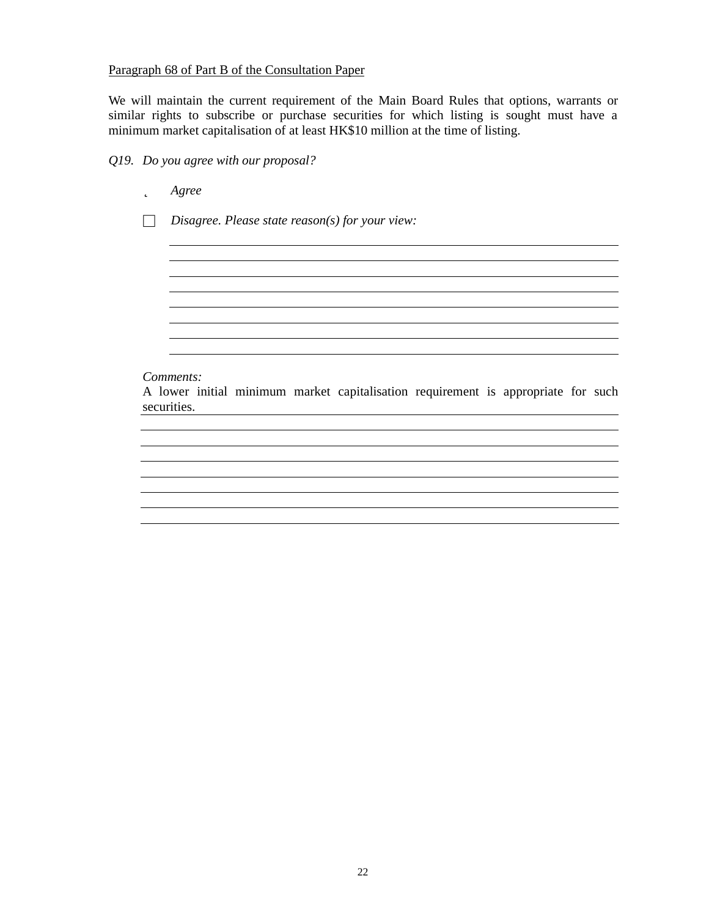#### Paragraph 68 of Part B of the Consultation Paper

We will maintain the current requirement of the Main Board Rules that options, warrants or similar rights to subscribe or purchase securities for which listing is sought must have a minimum market capitalisation of at least HK\$10 million at the time of listing.

### *Q19. Do you agree with our proposal?*

þ *Agree* □ *Disagree. Please state reason(s) for your view:* <u> 1980 - Johann Barn, mars ann an t-Amhain Aonaich an t-Aonaich an t-Aonaich ann an t-Aonaich ann an t-Aonaich</u> <u> 1989 - Johann Stoff, amerikansk politiker (d. 1989)</u> *Comments:* A lower initial minimum market capitalisation requirement is appropriate for such securities.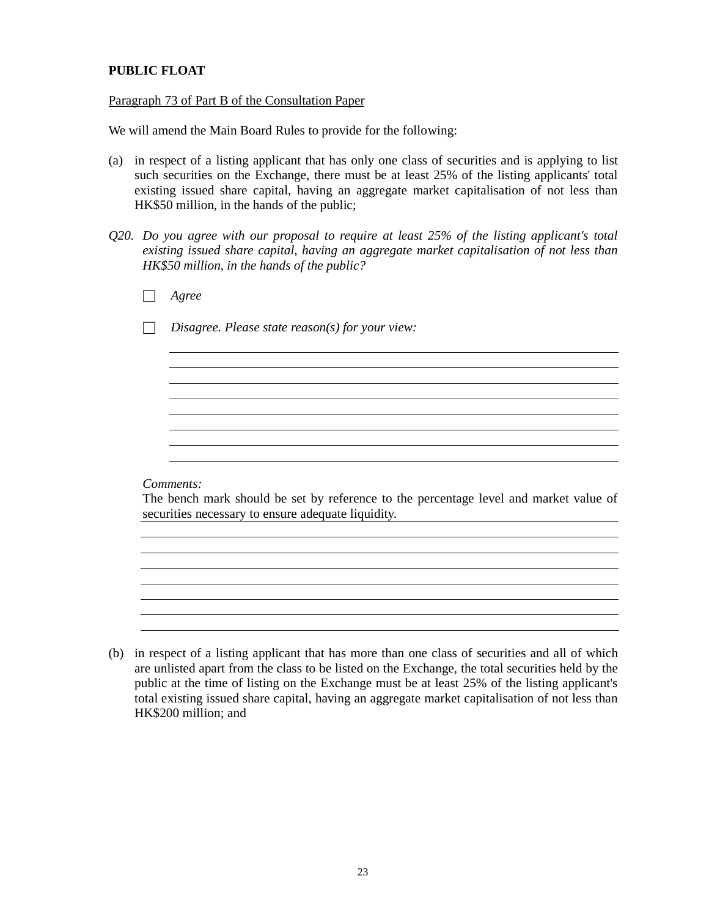# **PUBLIC FLOAT**

#### Paragraph 73 of Part B of the Consultation Paper

We will amend the Main Board Rules to provide for the following:

- (a) in respect of a listing applicant that has only one class of securities and is applying to list such securities on the Exchange, there must be at least 25% of the listing applicants' total existing issued share capital, having an aggregate market capitalisation of not less than HK\$50 million, in the hands of the public;
- *Q20. Do you agree with our proposal to require at least 25% of the listing applicant's total existing issued share capital, having an aggregate market capitalisation of not less than HK\$50 million, in the hands of the public?*

| Agree                                                                                                                                       |
|---------------------------------------------------------------------------------------------------------------------------------------------|
| Disagree. Please state reason(s) for your view:                                                                                             |
|                                                                                                                                             |
|                                                                                                                                             |
|                                                                                                                                             |
|                                                                                                                                             |
|                                                                                                                                             |
| Comments:                                                                                                                                   |
| The bench mark should be set by reference to the percentage level and market value of<br>securities necessary to ensure adequate liquidity. |
|                                                                                                                                             |
|                                                                                                                                             |

(b) in respect of a listing applicant that has more than one class of securities and all of which are unlisted apart from the class to be listed on the Exchange, the total securities held by the public at the time of listing on the Exchange must be at least 25% of the listing applicant's total existing issued share capital, having an aggregate market capitalisation of not less than HK\$200 million; and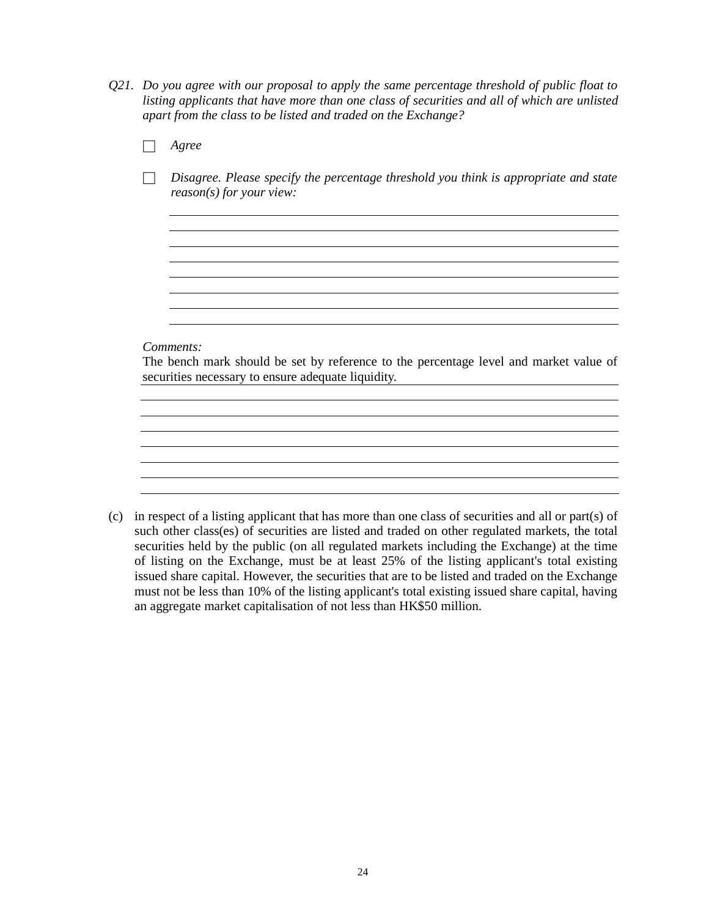*Q21. Do you agree with our proposal to apply the same percentage threshold of public float to listing applicants that have more than one class of securities and all of which are unlisted apart from the class to be listed and traded on the Exchange?*

| Agree                                                                                                                                                    |
|----------------------------------------------------------------------------------------------------------------------------------------------------------|
| Disagree. Please specify the percentage threshold you think is appropriate and state<br>$reason(s)$ for your view:                                       |
|                                                                                                                                                          |
|                                                                                                                                                          |
|                                                                                                                                                          |
| Comments:<br>The bench mark should be set by reference to the percentage level and market value of<br>securities necessary to ensure adequate liquidity. |
|                                                                                                                                                          |
|                                                                                                                                                          |
|                                                                                                                                                          |
|                                                                                                                                                          |

(c) in respect of a listing applicant that has more than one class of securities and all or part(s) of such other class(es) of securities are listed and traded on other regulated markets, the total securities held by the public (on all regulated markets including the Exchange) at the time of listing on the Exchange, must be at least 25% of the listing applicant's total existing issued share capital. However, the securities that are to be listed and traded on the Exchange must not be less than 10% of the listing applicant's total existing issued share capital, having an aggregate market capitalisation of not less than HK\$50 million.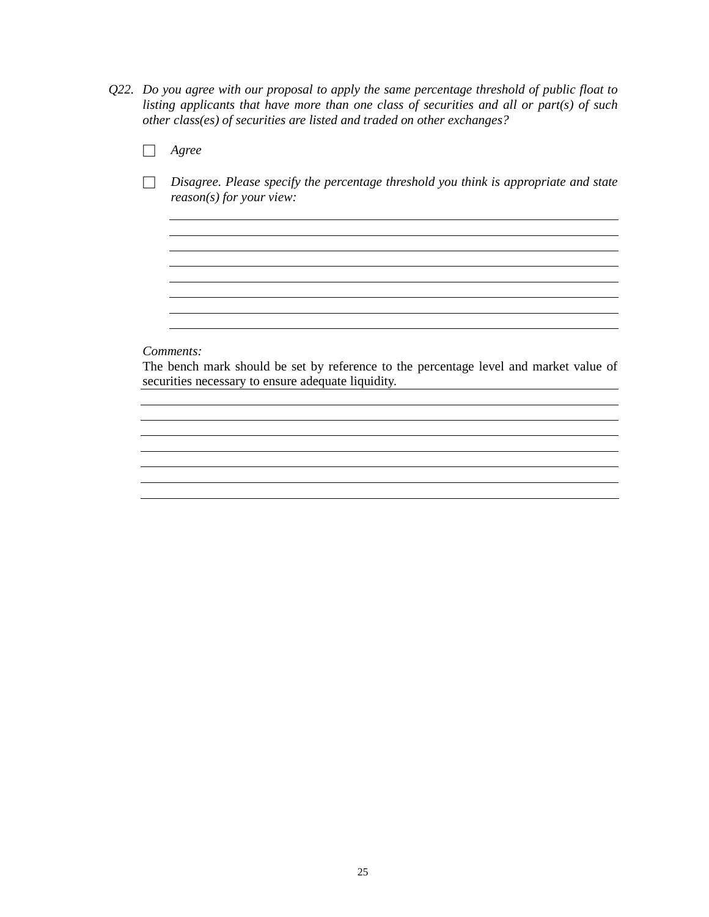- *Q22. Do you agree with our proposal to apply the same percentage threshold of public float to listing applicants that have more than one class of securities and all or part(s) of such other class(es) of securities are listed and traded on other exchanges?*
	- □ *Agree*
	- □ *Disagree. Please specify the percentage threshold you think is appropriate and state reason(s) for your view:*

<u> 1989 - Johann Stoff, amerikansk politiker (\* 1908)</u>

#### *Comments:*

The bench mark should be set by reference to the percentage level and market value of securities necessary to ensure adequate liquidity.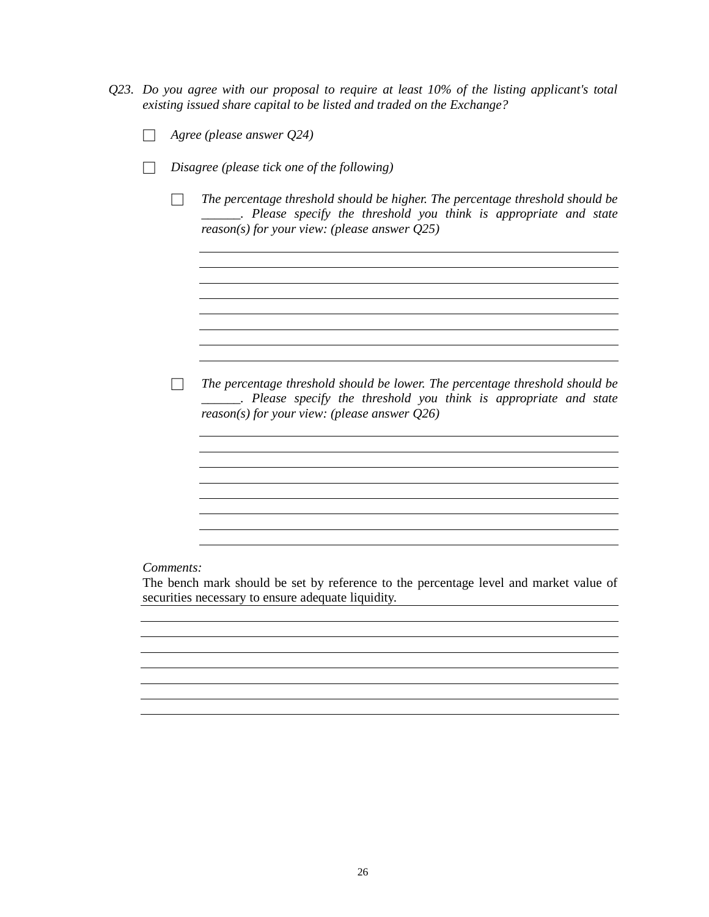- *Q23. Do you agree with our proposal to require at least 10% of the listing applicant's total existing issued share capital to be listed and traded on the Exchange?*
	- □ *Agree (please answer Q24)*
	- □ *Disagree (please tick one of the following)*
		- □ *The percentage threshold should be higher. The percentage threshold should be \_\_\_\_\_\_. Please specify the threshold you think is appropriate and state reason(s) for your view: (please answer Q25)*

<u> 1980 - Johann Barbara, martxa alemaniar amerikan a</u>

□ *The percentage threshold should be lower. The percentage threshold should be \_\_\_\_\_\_. Please specify the threshold you think is appropriate and state reason(s) for your view: (please answer Q26)*

#### *Comments:*

The bench mark should be set by reference to the percentage level and market value of securities necessary to ensure adequate liquidity.

<u> 1980 - Johann Barn, mars ann an t-Amhain Aonaichte ann an t-Amhain Aonaichte ann an t-Amhain Aonaichte ann an</u>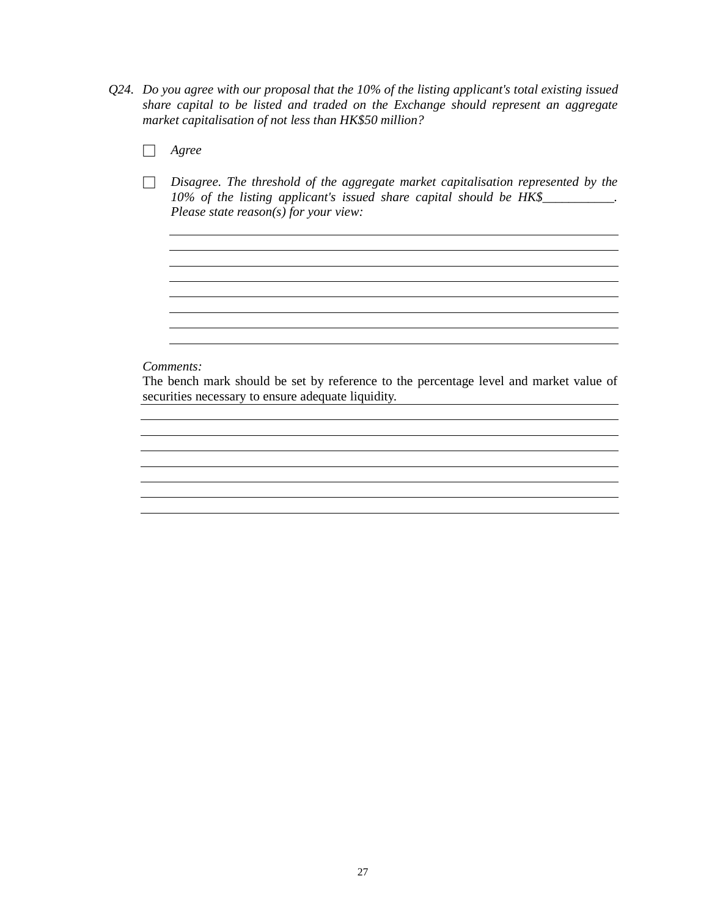- *Q24. Do you agree with our proposal that the 10% of the listing applicant's total existing issued share capital to be listed and traded on the Exchange should represent an aggregate market capitalisation of not less than HK\$50 million?*
	- □ *Agree*
	- □ *Disagree. The threshold of the aggregate market capitalisation represented by the 10% of the listing applicant's issued share capital should be HK\$\_\_\_\_\_\_\_\_\_\_\_. Please state reason(s) for your view:*

<u> 1989 - Johann Stoff, deutscher Stoffen und der Stoffen und der Stoffen und der Stoffen und der Stoffen und der</u> <u> 1989 - Johann Stoff, amerikansk politiker (d. 1989)</u>

<u> 1989 - Johann Barn, fransk politik (f. 1989)</u> 

#### *Comments:*

The bench mark should be set by reference to the percentage level and market value of securities necessary to ensure adequate liquidity.

<u> 1980 - Johann Barbara, martxa alemaniar argametar a martxa a shekara a shekara a shekara a shekara a shekara</u>

<u> 1989 - Johann Stoff, deutscher Stoffen und der Stoffen und der Stoffen und der Stoffen und der Stoffen und d</u>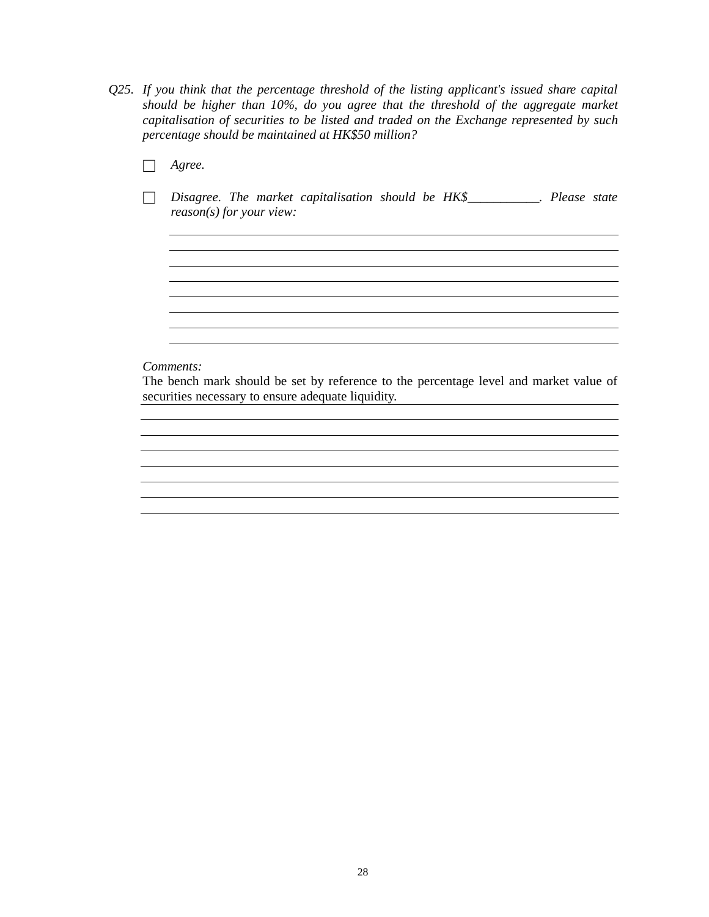- *Q25. If you think that the percentage threshold of the listing applicant's issued share capital should be higher than 10%, do you agree that the threshold of the aggregate market capitalisation of securities to be listed and traded on the Exchange represented by such percentage should be maintained at HK\$50 million?*
	- □ *Agree.*
	- □ *Disagree. The market capitalisation should be HK\$\_\_\_\_\_\_\_\_\_\_\_. Please state reason(s) for your view:*

<u> 1989 - Johann Stoff, deutscher Stoffen und der Stoffen und der Stoffen und der Stoffen und der Stoffen und der</u> <u> 1989 - Johann Stoff, amerikansk politiker (d. 1989)</u>

<u> 1989 - Johann Stoff, deutscher Stoff, der Stoff, der Stoff, der Stoff, der Stoff, der Stoff, der Stoff, der S</u> 

<u> 1980 - Johann Stoff, deutscher Stoff, deutscher Stoff, der Stoff, der Stoff, der Stoff, der Stoff, der Stoff</u>

<u> 1980 - Johann Barbara, martxa alemaniar argametar a martxa a shekara a shekara a shekara a shekara a shekara</u>

<u> 1989 - Johann Barn, mars ann an t-Amhain Aonaich an t-Aonaich an t-Aonaich ann an t-Aonaich ann an t-Aonaich</u>

#### *Comments:*

The bench mark should be set by reference to the percentage level and market value of securities necessary to ensure adequate liquidity.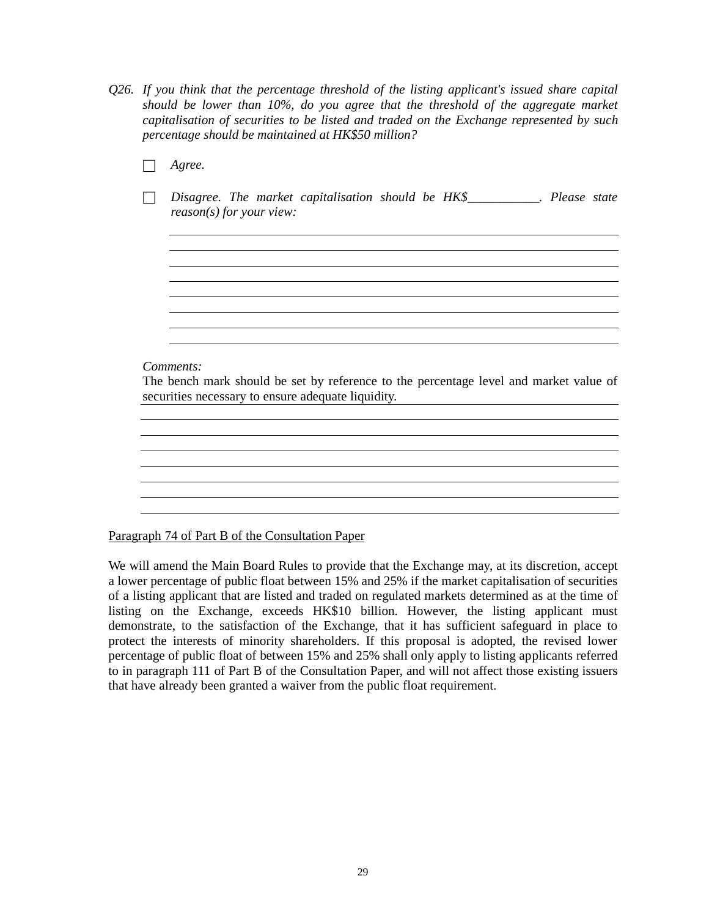*Q26. If you think that the percentage threshold of the listing applicant's issued share capital should be lower than 10%, do you agree that the threshold of the aggregate market capitalisation of securities to be listed and traded on the Exchange represented by such percentage should be maintained at HK\$50 million?*

| Agree.                                                                                                                                                   |
|----------------------------------------------------------------------------------------------------------------------------------------------------------|
| Disagree. The market capitalisation should be HK\$___________. Please state<br>$reason(s)$ for your view:                                                |
|                                                                                                                                                          |
|                                                                                                                                                          |
|                                                                                                                                                          |
| Comments:<br>The bench mark should be set by reference to the percentage level and market value of<br>securities necessary to ensure adequate liquidity. |
|                                                                                                                                                          |
|                                                                                                                                                          |
|                                                                                                                                                          |

Paragraph 74 of Part B of the Consultation Paper

We will amend the Main Board Rules to provide that the Exchange may, at its discretion, accept a lower percentage of public float between 15% and 25% if the market capitalisation of securities of a listing applicant that are listed and traded on regulated markets determined as at the time of listing on the Exchange, exceeds HK\$10 billion. However, the listing applicant must demonstrate, to the satisfaction of the Exchange, that it has sufficient safeguard in place to protect the interests of minority shareholders. If this proposal is adopted, the revised lower percentage of public float of between 15% and 25% shall only apply to listing applicants referred to in paragraph 111 of Part B of the Consultation Paper, and will not affect those existing issuers that have already been granted a waiver from the public float requirement.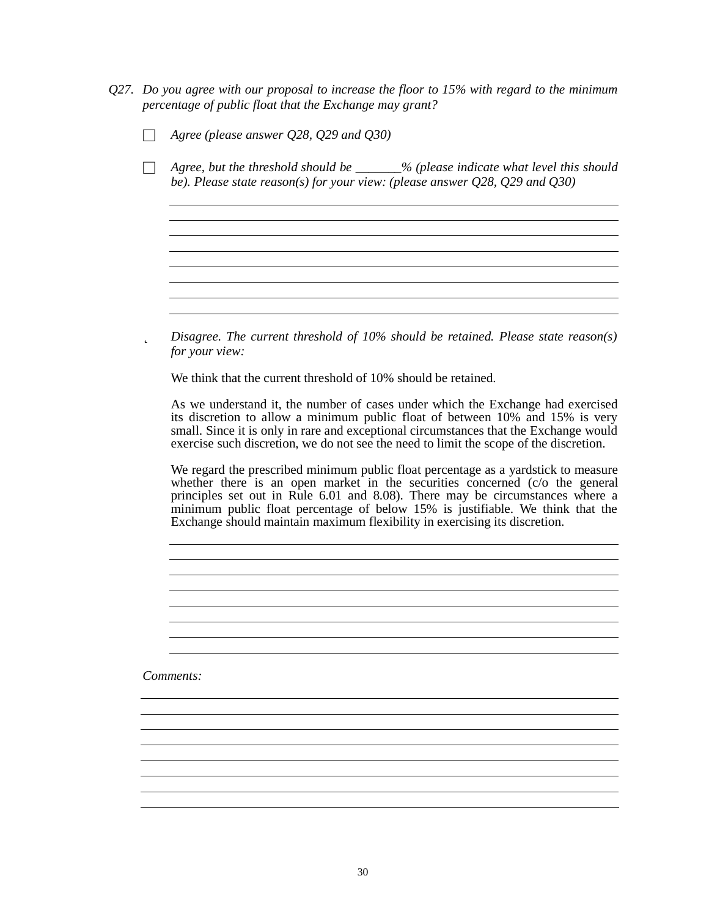*Q27. Do you agree with our proposal to increase the floor to 15% with regard to the minimum percentage of public float that the Exchange may grant?*

|  |  |  |  |  | Agree (please answer $Q28$ , $Q29$ and $Q30$ ) |
|--|--|--|--|--|------------------------------------------------|
|--|--|--|--|--|------------------------------------------------|

□ *Agree, but the threshold should be \_\_\_\_\_\_\_% (please indicate what level this should be). Please state reason(s) for your view: (please answer Q28, Q29 and Q30)*

þ *Disagree. The current threshold of 10% should be retained. Please state reason(s) for your view:*

We think that the current threshold of 10% should be retained.

As we understand it, the number of cases under which the Exchange had exercised its discretion to allow a minimum public float of between 10% and 15% is very small. Since it is only in rare and exceptional circumstances that the Exchange would exercise such discretion, we do not see the need to limit the scope of the discretion.

We regard the prescribed minimum public float percentage as a yardstick to measure whether there is an open market in the securities concerned (c/o the general principles set out in Rule 6.01 and 8.08). There may be circumstances where a minimum public float percentage of below 15% is justifiable. We think that the Exchange should maintain maximum flexibility in exercising its discretion.

<u> 1989 - Johann Stoff, amerikansk politiker (d. 1989)</u>

<u> 1989 - Johann Stoff, amerikansk politiker (d. 1989)</u>

<u> 1980 - Johann Barbara, martxa alemaniar a</u>

*Comments:*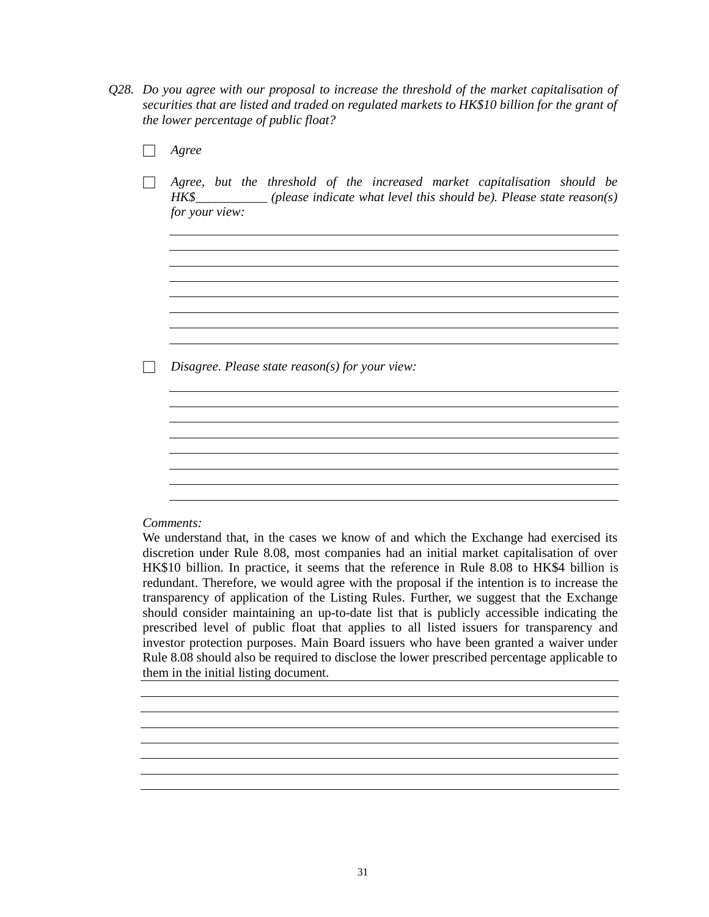- *Q28. Do you agree with our proposal to increase the threshold of the market capitalisation of securities that are listed and traded on regulated markets to HK\$10 billion for the grant of the lower percentage of public float?*
	- □ *Agree* □ *Agree, but the threshold of the increased market capitalisation should be HK\$\_\_\_\_\_\_\_\_\_\_\_ (please indicate what level this should be). Please state reason(s) for your view:* <u> 1989 - Johann Stoff, deutscher Stoffen und der Stoffen und der Stoffen und der Stoffen und der Stoffen und de</u> □ *Disagree. Please state reason(s) for your view:*

#### *Comments:*

We understand that, in the cases we know of and which the Exchange had exercised its discretion under Rule 8.08, most companies had an initial market capitalisation of over HK\$10 billion. In practice, it seems that the reference in Rule 8.08 to HK\$4 billion is redundant. Therefore, we would agree with the proposal if the intention is to increase the transparency of application of the Listing Rules. Further, we suggest that the Exchange should consider maintaining an up-to-date list that is publicly accessible indicating the prescribed level of public float that applies to all listed issuers for transparency and investor protection purposes. Main Board issuers who have been granted a waiver under Rule 8.08 should also be required to disclose the lower prescribed percentage applicable to them in the initial listing document.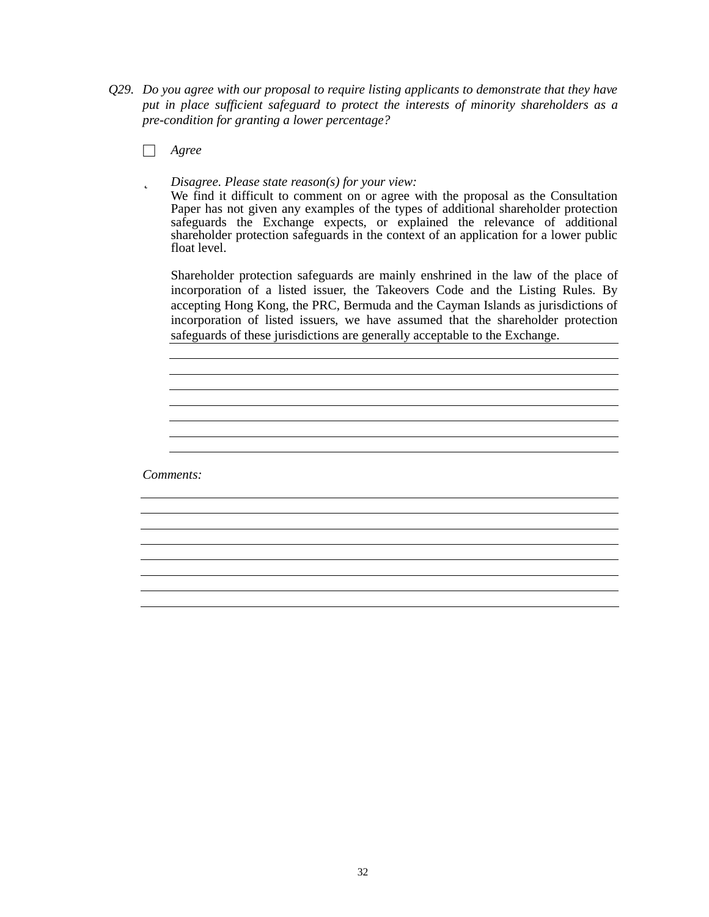*Q29. Do you agree with our proposal to require listing applicants to demonstrate that they have put in place sufficient safeguard to protect the interests of minority shareholders as a pre-condition for granting a lower percentage?*

□ *Agree*

þ *Disagree. Please state reason(s) for your view:*

We find it difficult to comment on or agree with the proposal as the Consultation Paper has not given any examples of the types of additional shareholder protection safeguards the Exchange expects, or explained the relevance of additional shareholder protection safeguards in the context of an application for a lower public float level.

Shareholder protection safeguards are mainly enshrined in the law of the place of incorporation of a listed issuer, the Takeovers Code and the Listing Rules. By accepting Hong Kong, the PRC, Bermuda and the Cayman Islands as jurisdictions of incorporation of listed issuers, we have assumed that the shareholder protection safeguards of these jurisdictions are generally acceptable to the Exchange.

*Comments:*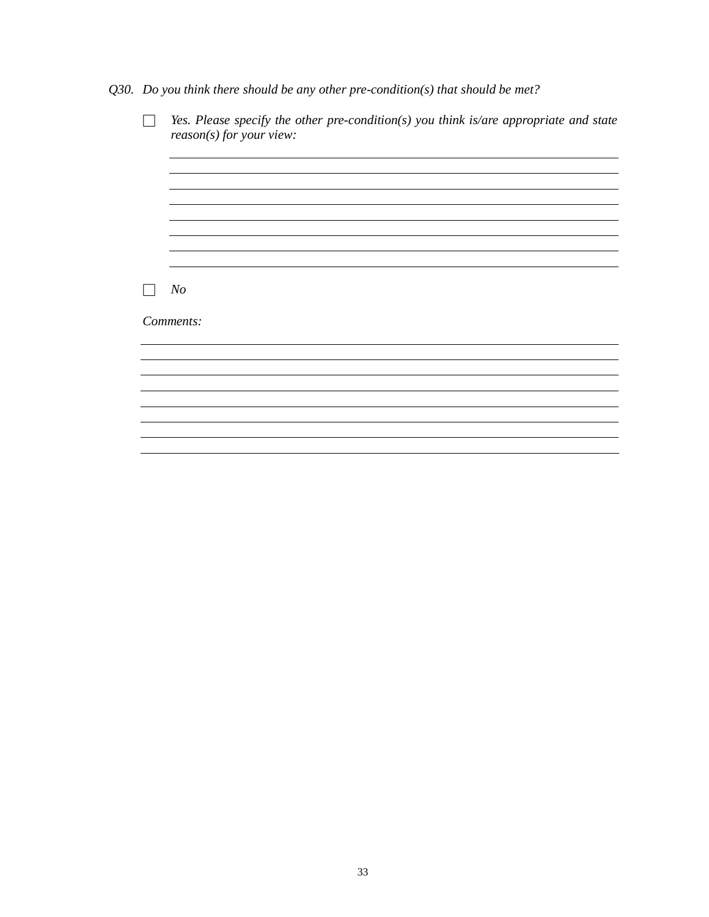*Q30. Do you think there should be any other pre-condition(s) that should be met?*

| N o       |  |  |  |
|-----------|--|--|--|
| Comments: |  |  |  |
|           |  |  |  |
|           |  |  |  |
|           |  |  |  |
|           |  |  |  |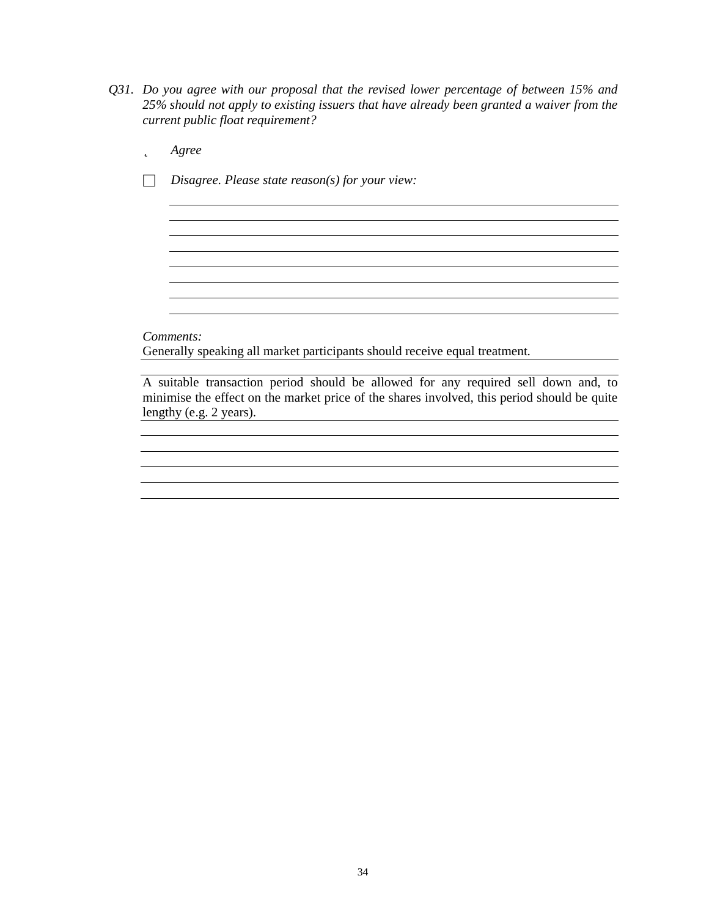- *Q31. Do you agree with our proposal that the revised lower percentage of between 15% and 25% should not apply to existing issuers that have already been granted a waiver from the current public float requirement?*
	- þ *Agree*
	- □ *Disagree. Please state reason(s) for your view:*

*Comments:*

Generally speaking all market participants should receive equal treatment.

A suitable transaction period should be allowed for any required sell down and, to minimise the effect on the market price of the shares involved, this period should be quite lengthy (e.g. 2 years).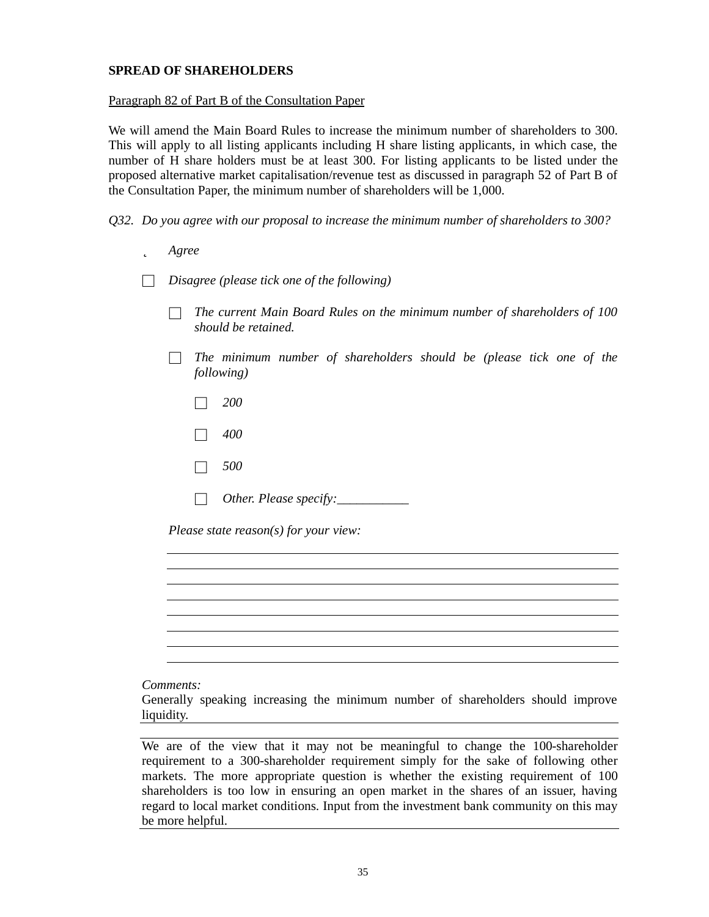# **SPREAD OF SHAREHOLDERS**

## Paragraph 82 of Part B of the Consultation Paper

We will amend the Main Board Rules to increase the minimum number of shareholders to 300. This will apply to all listing applicants including H share listing applicants, in which case, the number of H share holders must be at least 300. For listing applicants to be listed under the proposed alternative market capitalisation/revenue test as discussed in paragraph 52 of Part B of the Consultation Paper, the minimum number of shareholders will be 1,000.

- *Q32. Do you agree with our proposal to increase the minimum number of shareholders to 300?*
	- þ *Agree*

□ *Disagree (please tick one of the following)*

- □ *The current Main Board Rules on the minimum number of shareholders of 100 should be retained.*
- □ *The minimum number of shareholders should be (please tick one of the following)*
	- □ *200*
	- □ *400*
	- □ *500*
	- $\Box$  *Other. Please specify:*

*Please state reason(s) for your view:*

#### *Comments:*

Generally speaking increasing the minimum number of shareholders should improve liquidity.

We are of the view that it may not be meaningful to change the 100-shareholder requirement to a 300-shareholder requirement simply for the sake of following other markets. The more appropriate question is whether the existing requirement of 100 shareholders is too low in ensuring an open market in the shares of an issuer, having regard to local market conditions. Input from the investment bank community on this may be more helpful.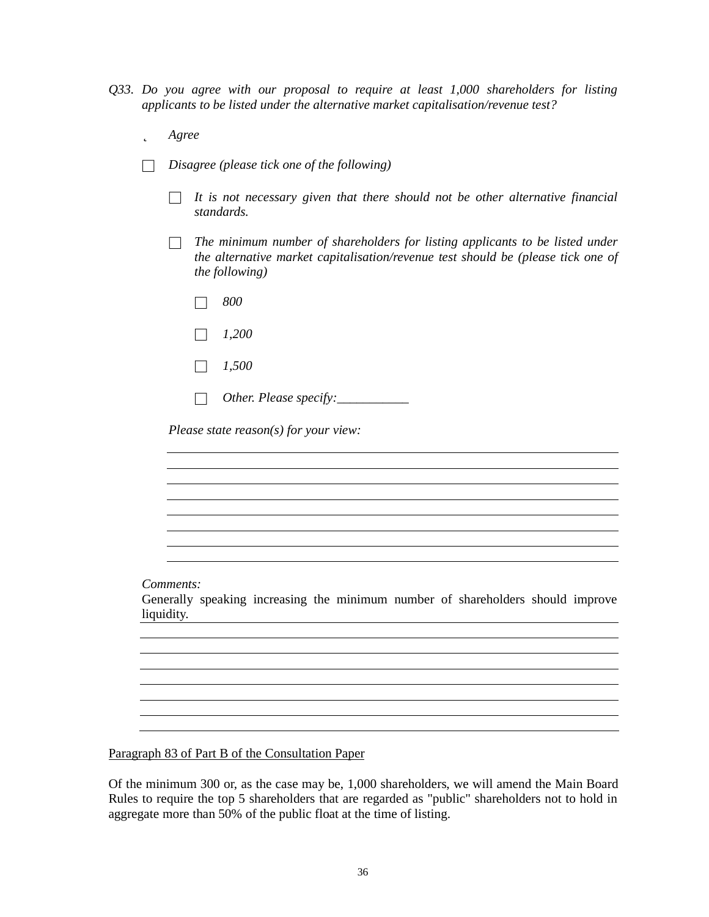- *Q33. Do you agree with our proposal to require at least 1,000 shareholders for listing applicants to be listed under the alternative market capitalisation/revenue test?*
	- þ *Agree*
	- □ *Disagree (please tick one of the following)*
		- □ *It is not necessary given that there should not be other alternative financial standards.*
		- □ *The minimum number of shareholders for listing applicants to be listed under the alternative market capitalisation/revenue test should be (please tick one of the following)*
			- □ *800*
			- □ *1,200*
			- □ *1,500*
			- □ *Other. Please specify:\_\_\_\_\_\_\_\_\_\_\_*

*Please state reason(s) for your view:*

*Comments:*

Generally speaking increasing the minimum number of shareholders should improve liquidity.

<u> 1989 - Johann Stoff, Amerikaansk politiker († 1908)</u>

Paragraph 83 of Part B of the Consultation Paper

Of the minimum 300 or, as the case may be, 1,000 shareholders, we will amend the Main Board Rules to require the top 5 shareholders that are regarded as "public" shareholders not to hold in aggregate more than 50% of the public float at the time of listing.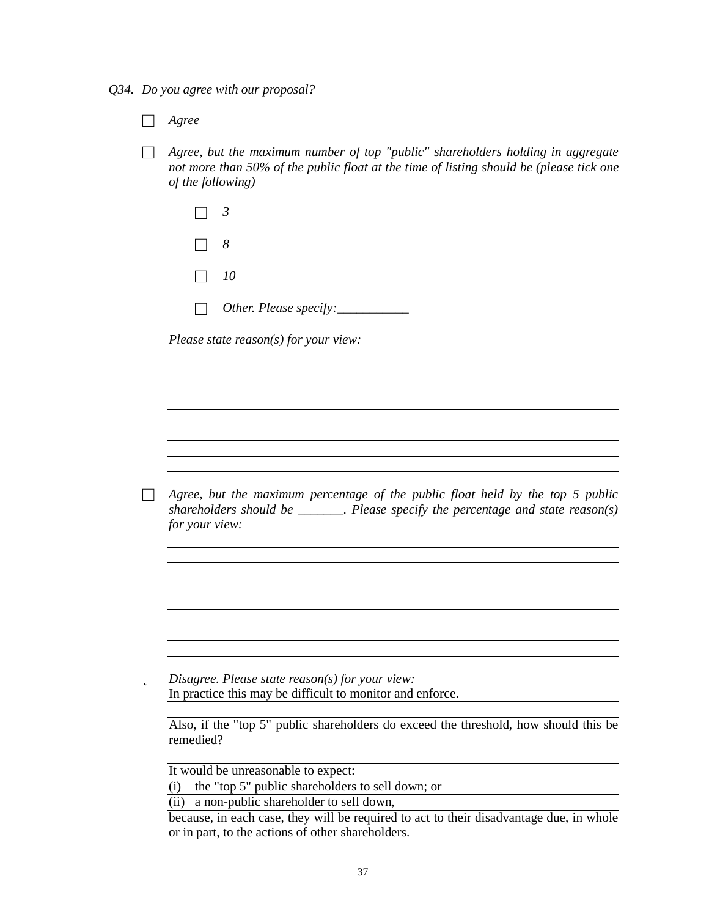*Q34. Do you agree with our proposal?*

□ *Agree*

□ *Agree, but the maximum number of top "public" shareholders holding in aggregate not more than 50% of the public float at the time of listing should be (please tick one of the following)*

| $\Box$ 8  |                               |
|-----------|-------------------------------|
| $\Box$ 10 |                               |
|           | $\Box$ Other. Please specify: |

*Please state reason(s) for your view:*

□ *Agree, but the maximum percentage of the public float held by the top 5 public shareholders should be \_\_\_\_\_\_\_. Please specify the percentage and state reason(s) for your view:*

þ *Disagree. Please state reason(s) for your view:* In practice this may be difficult to monitor and enforce.

Also, if the "top 5" public shareholders do exceed the threshold, how should this be remedied?

It would be unreasonable to expect:

(i) the "top 5" public shareholders to sell down; or

(ii) a non-public shareholder to sell down,

because, in each case, they will be required to act to their disadvantage due, in whole or in part, to the actions of other shareholders.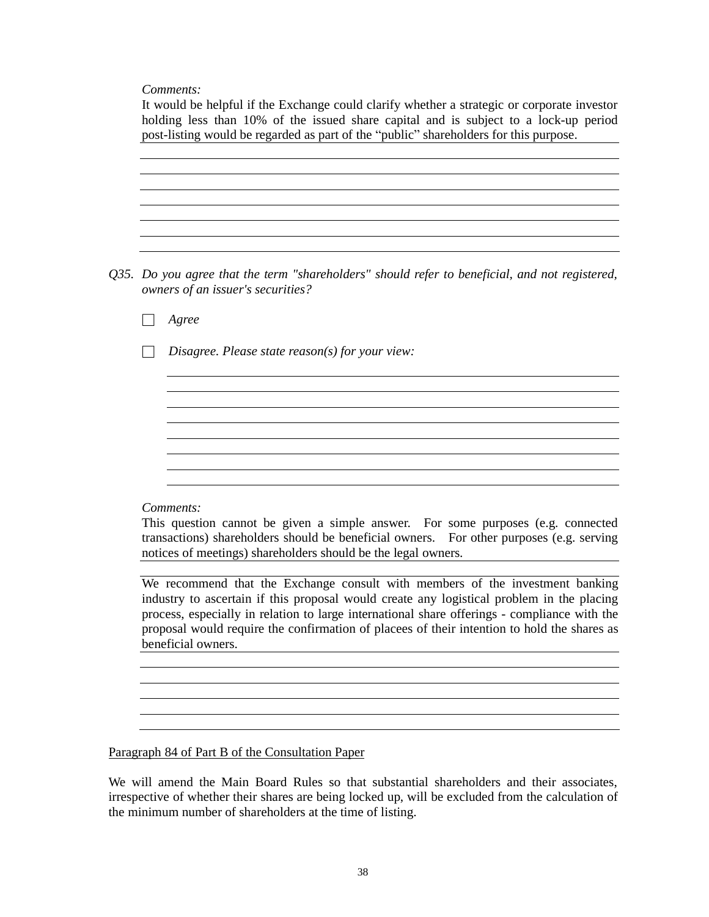*Comments:*

| post-listing would be regarded as part of the "public" shareholders for this purpose.                                                                                                                                                                                                                          |
|----------------------------------------------------------------------------------------------------------------------------------------------------------------------------------------------------------------------------------------------------------------------------------------------------------------|
|                                                                                                                                                                                                                                                                                                                |
|                                                                                                                                                                                                                                                                                                                |
|                                                                                                                                                                                                                                                                                                                |
| Q35. Do you agree that the term "shareholders" should refer to beneficial, and not registered,<br>owners of an issuer's securities?                                                                                                                                                                            |
| Agree                                                                                                                                                                                                                                                                                                          |
| Disagree. Please state reason(s) for your view:                                                                                                                                                                                                                                                                |
|                                                                                                                                                                                                                                                                                                                |
|                                                                                                                                                                                                                                                                                                                |
|                                                                                                                                                                                                                                                                                                                |
|                                                                                                                                                                                                                                                                                                                |
|                                                                                                                                                                                                                                                                                                                |
| Comments:                                                                                                                                                                                                                                                                                                      |
| This question cannot be given a simple answer. For some purposes (e.g. connected<br>transactions) shareholders should be beneficial owners. For other purposes (e.g. serving<br>notices of meetings) shareholders should be the legal owners.                                                                  |
| We recommend that the Exchange consult with members of the investment banking                                                                                                                                                                                                                                  |
| industry to ascertain if this proposal would create any logistical problem in the placing<br>process, especially in relation to large international share offerings - compliance with the<br>proposal would require the confirmation of placees of their intention to hold the shares as<br>beneficial owners. |
|                                                                                                                                                                                                                                                                                                                |
|                                                                                                                                                                                                                                                                                                                |
|                                                                                                                                                                                                                                                                                                                |

We will amend the Main Board Rules so that substantial shareholders and their associates, irrespective of whether their shares are being locked up, will be excluded from the calculation of the minimum number of shareholders at the time of listing.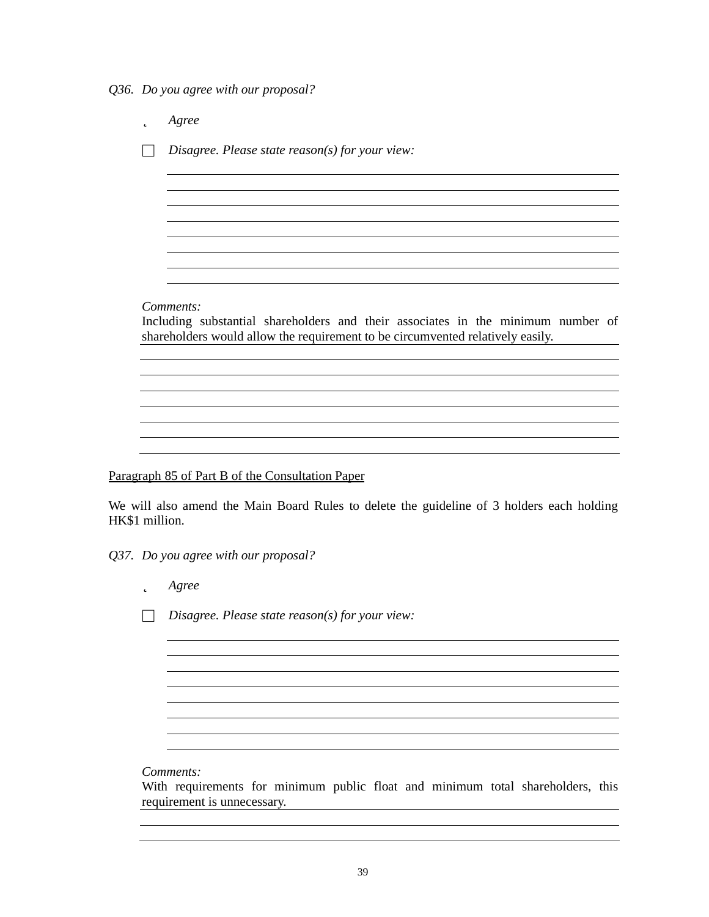*Q36. Do you agree with our proposal?*

þ *Agree* □ *Disagree. Please state reason(s) for your view: Comments:* Including substantial shareholders and their associates in the minimum number of shareholders would allow the requirement to be circumvented relatively easily. 

Paragraph 85 of Part B of the Consultation Paper

We will also amend the Main Board Rules to delete the guideline of 3 holders each holding HK\$1 million.

*Q37. Do you agree with our proposal?*

þ *Agree*

□ *Disagree. Please state reason(s) for your view:*

*Comments:*

With requirements for minimum public float and minimum total shareholders, this requirement is unnecessary.

<u> 1980 - Johann Barn, mars ann an t-Amhain Aonaichte ann an t-Amhain Aonaichte ann an t-Amhain Aonaichte ann an</u>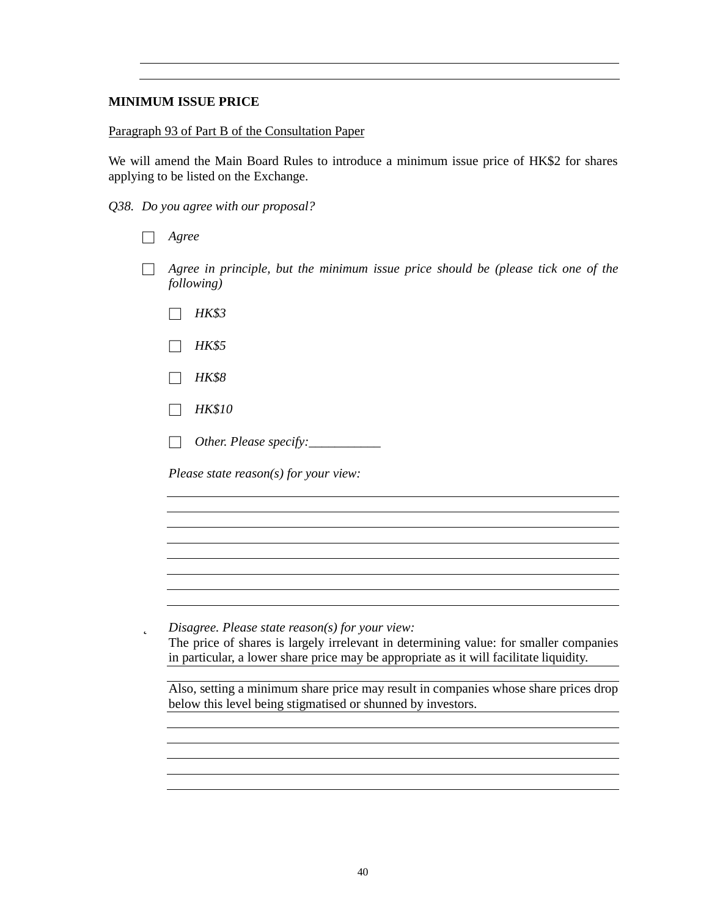## **MINIMUM ISSUE PRICE**

### Paragraph 93 of Part B of the Consultation Paper

We will amend the Main Board Rules to introduce a minimum issue price of HK\$2 for shares applying to be listed on the Exchange.

*Q38. Do you agree with our proposal?*

| voree |
|-------|
|       |

- □ *Agree in principle, but the minimum issue price should be (please tick one of the following)*
	- □ *HK\$3*
	- □ *HK\$5*
	- □ *HK\$8*
	- □ *HK\$10*
	- □ *Other. Please specify:\_\_\_\_\_\_\_\_\_\_\_*

*Please state reason(s) for your view:*

þ *Disagree. Please state reason(s) for your view:*

The price of shares is largely irrelevant in determining value: for smaller companies in particular, a lower share price may be appropriate as it will facilitate liquidity.

<u> 1989 - Johann Stoff, amerikansk politiker (d. 1989)</u>

Also, setting a minimum share price may result in companies whose share prices drop below this level being stigmatised or shunned by investors.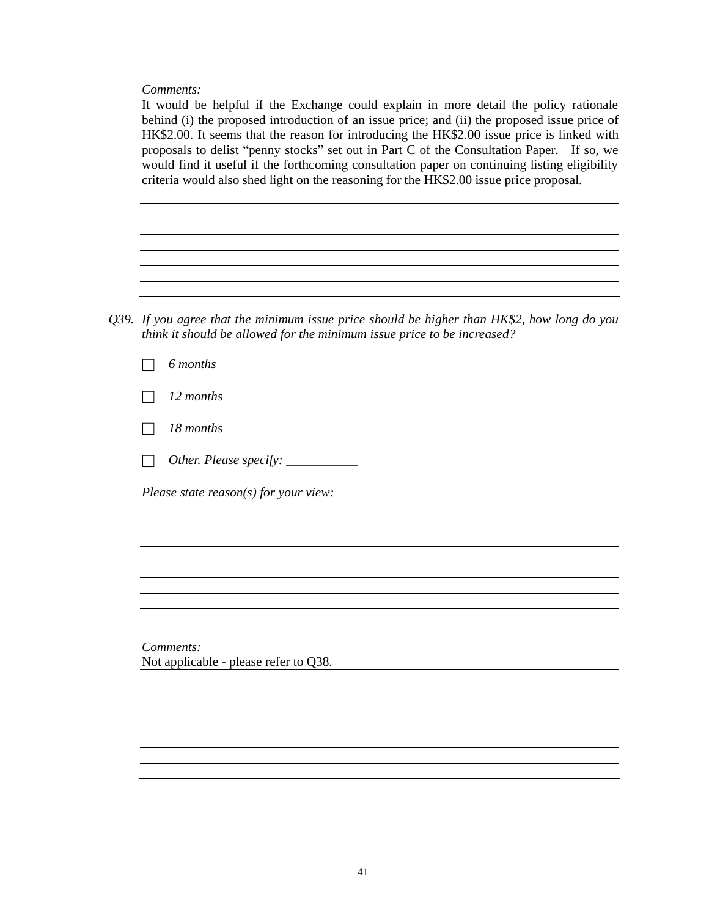*Comments:*

It would be helpful if the Exchange could explain in more detail the policy rationale behind (i) the proposed introduction of an issue price; and (ii) the proposed issue price of HK\$2.00. It seems that the reason for introducing the HK\$2.00 issue price is linked with proposals to delist "penny stocks" set out in Part C of the Consultation Paper. If so, we would find it useful if the forthcoming consultation paper on continuing listing eligibility criteria would also shed light on the reasoning for the HK\$2.00 issue price proposal*.*

<u> 1989 - Johann Barn, mars ann an t-Amhain Aonaich an t-Aonaich an t-Aonaich ann an t-Aonaich ann an t-Aonaich</u>

*Q39. If you agree that the minimum issue price should be higher than HK\$2, how long do you think it should be allowed for the minimum issue price to be increased?*

|  | 6 months |
|--|----------|
|--|----------|

□ *12 months*

□ *18 months*

□ *Other. Please specify: \_\_\_\_\_\_\_\_\_\_\_*

*Please state reason(s) for your view:*

*Comments:* Not applicable - please refer to Q38.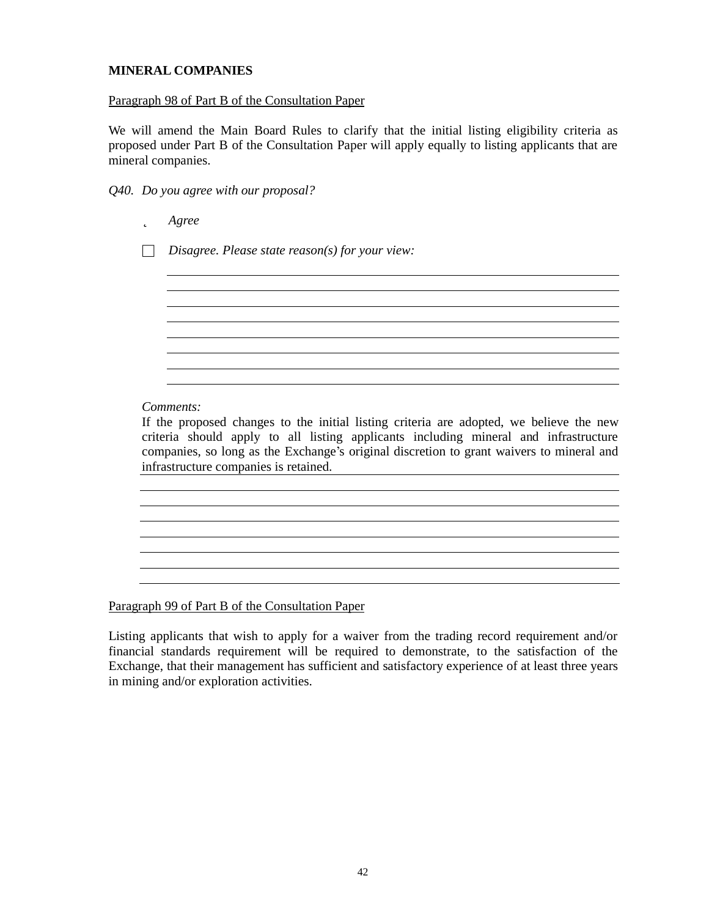## **MINERAL COMPANIES**

### Paragraph 98 of Part B of the Consultation Paper

We will amend the Main Board Rules to clarify that the initial listing eligibility criteria as proposed under Part B of the Consultation Paper will apply equally to listing applicants that are mineral companies.

*Q40. Do you agree with our proposal?*

þ *Agree*

□ *Disagree. Please state reason(s) for your view:*

*Comments:*

If the proposed changes to the initial listing criteria are adopted, we believe the new criteria should apply to all listing applicants including mineral and infrastructure companies, so long as the Exchange's original discretion to grant waivers to mineral and infrastructure companies is retained.

<u> 1989 - Johann Stoff, deutscher Stoff, der Stoff, der Stoff, der Stoff, der Stoff, der Stoff, der Stoff, der S</u>

<u> 1989 - Johann Barn, amerikan besteman besteman besteman besteman besteman besteman besteman besteman bestema</u>

<u> 1980 - Johann Barn, mars ann an t-Amhain Aonaichte ann an t-Amhain Aonaichte ann an t-Amhain Aonaichte ann an</u>

<u> 1980 - Johann Barnett, fransk politik (d. 1980)</u>

Paragraph 99 of Part B of the Consultation Paper

Listing applicants that wish to apply for a waiver from the trading record requirement and/or financial standards requirement will be required to demonstrate, to the satisfaction of the Exchange, that their management has sufficient and satisfactory experience of at least three years in mining and/or exploration activities.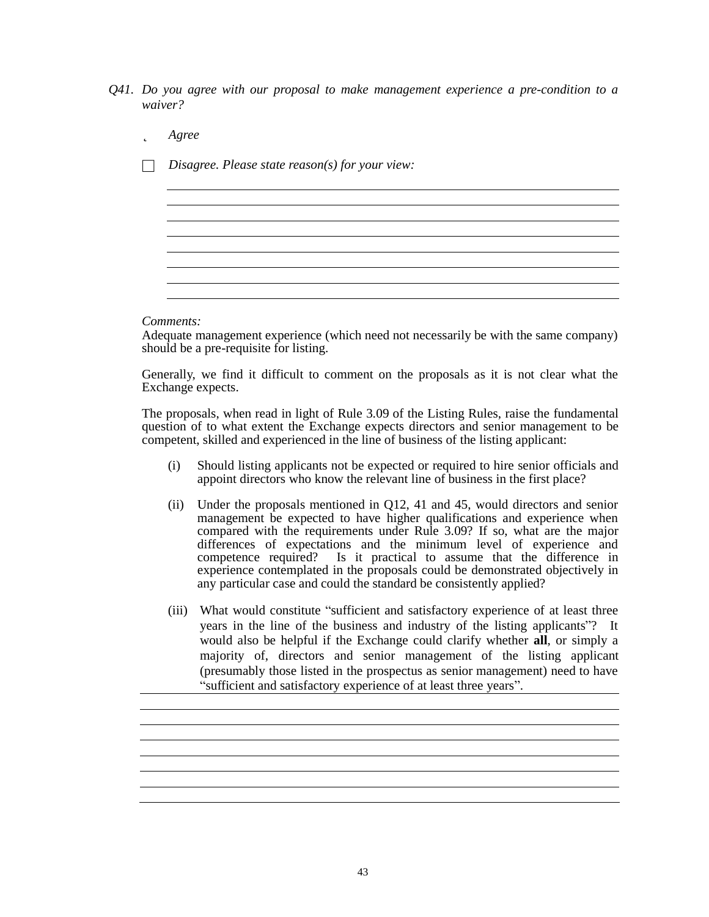- *Q41. Do you agree with our proposal to make management experience a pre-condition to a waiver?*
	- þ *Agree*
	- □ *Disagree. Please state reason(s) for your view:*

*Comments:*

Adequate management experience (which need not necessarily be with the same company) should be a pre-requisite for listing.

<u> 1980 - Johann Barbara, martxa alemaniar amerikan basar da a</u>

Generally, we find it difficult to comment on the proposals as it is not clear what the Exchange expects.

The proposals, when read in light of Rule 3.09 of the Listing Rules, raise the fundamental question of to what extent the Exchange expects directors and senior management to be competent, skilled and experienced in the line of business of the listing applicant:

- (i) Should listing applicants not be expected or required to hire senior officials and appoint directors who know the relevant line of business in the first place?
- (ii) Under the proposals mentioned in Q12, 41 and 45, would directors and senior management be expected to have higher qualifications and experience when compared with the requirements under Rule 3.09? If so, what are the major differences of expectations and the minimum level of experience and competence required? Is it practical to assume that the difference in experience contemplated in the proposals could be demonstrated objectively in any particular case and could the standard be consistently applied?
- (iii) What would constitute "sufficient and satisfactory experience of at least three years in the line of the business and industry of the listing applicants"? It would also be helpful if the Exchange could clarify whether **all**, or simply a majority of, directors and senior management of the listing applicant (presumably those listed in the prospectus as senior management) need to have " sufficient and satisfactory experience of at least three years".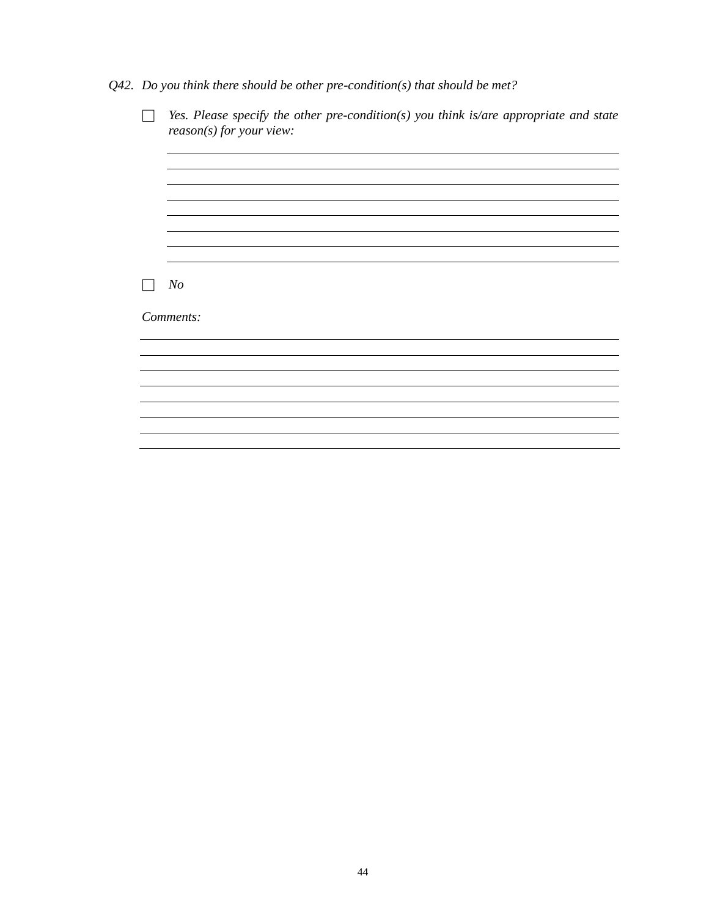*Q42. Do you think there should be other pre-condition(s) that should be met?*

| Yes. Please specify the other pre-condition(s) you think is/are appropriate and state<br>$reason(s)$ for your view: |
|---------------------------------------------------------------------------------------------------------------------|
|                                                                                                                     |
|                                                                                                                     |
|                                                                                                                     |
|                                                                                                                     |
| N <sub>o</sub>                                                                                                      |
| Comments:                                                                                                           |
|                                                                                                                     |
|                                                                                                                     |
|                                                                                                                     |
|                                                                                                                     |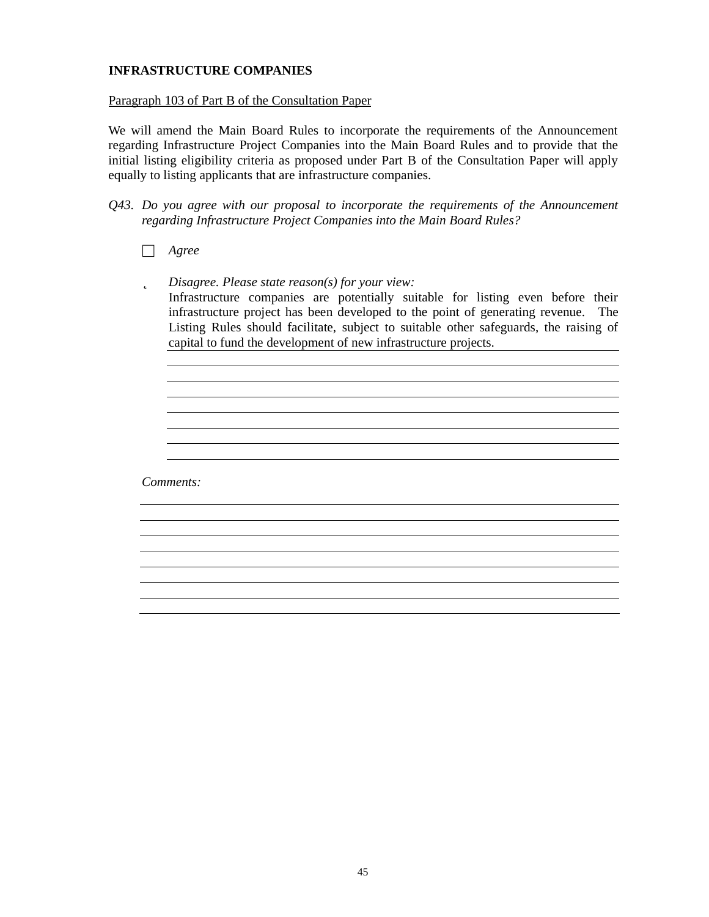## **INFRASTRUCTURE COMPANIES**

### Paragraph 103 of Part B of the Consultation Paper

We will amend the Main Board Rules to incorporate the requirements of the Announcement regarding Infrastructure Project Companies into the Main Board Rules and to provide that the initial listing eligibility criteria as proposed under Part B of the Consultation Paper will apply equally to listing applicants that are infrastructure companies.

*Q43. Do you agree with our proposal to incorporate the requirements of the Announcement regarding Infrastructure Project Companies into the Main Board Rules?*

□ *Agree*

þ *Disagree. Please state reason(s) for your view:* Infrastructure companies are potentially suitable for listing even before their infrastructure project has been developed to the point of generating revenue. The Listing Rules should facilitate, subject to suitable other safeguards, the raising of capital to fund the development of new infrastructure projects.

> <u> 1989 - Johann Barn, mars ann an t-Amhain Aonaichte ann an t-Aonaichte ann an t-Aonaichte ann an t-Aonaichte a</u> <u> 1989 - Johann Stoff, amerikansk politiker (d. 1989)</u>

*Comments:*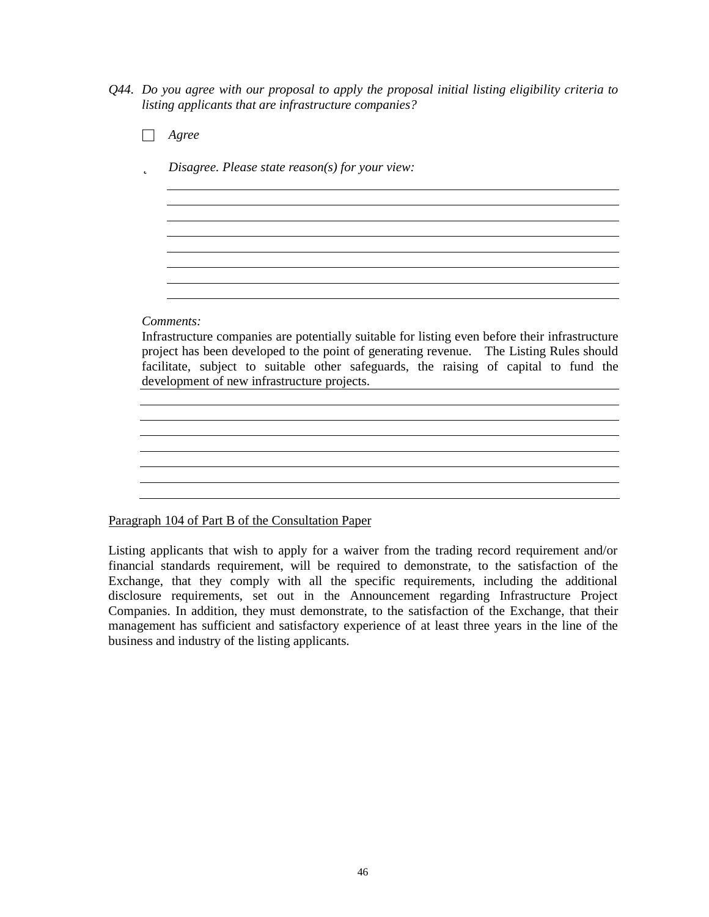*Q44. Do you agree with our proposal to apply the proposal initial listing eligibility criteria to listing applicants that are infrastructure companies?*

□ *Agree*

þ *Disagree. Please state reason(s) for your view:*

*Comments:*

Infrastructure companies are potentially suitable for listing even before their infrastructure project has been developed to the point of generating revenue. The Listing Rules should facilitate, subject to suitable other safeguards, the raising of capital to fund the development of new infrastructure projects.

<u> 1989 - Johann Stoff, deutscher Stoffen und der Stoffen und der Stoffen und der Stoffen und der Stoffen und de</u>

<u> 1980 - Johann Barn, mars ann an t-Amhain Aonaich an t-Aonaich an t-Aonaich ann an t-Aonaich ann an t-Aonaich</u>

<u> 1989 - Johann Stoff, deutscher Stoffen und der Stoffen und der Stoffen und der Stoffen und der Stoffen und der</u>

## Paragraph 104 of Part B of the Consultation Paper

Listing applicants that wish to apply for a waiver from the trading record requirement and/or financial standards requirement, will be required to demonstrate, to the satisfaction of the Exchange, that they comply with all the specific requirements, including the additional disclosure requirements, set out in the Announcement regarding Infrastructure Project Companies. In addition, they must demonstrate, to the satisfaction of the Exchange, that their management has sufficient and satisfactory experience of at least three years in the line of the business and industry of the listing applicants.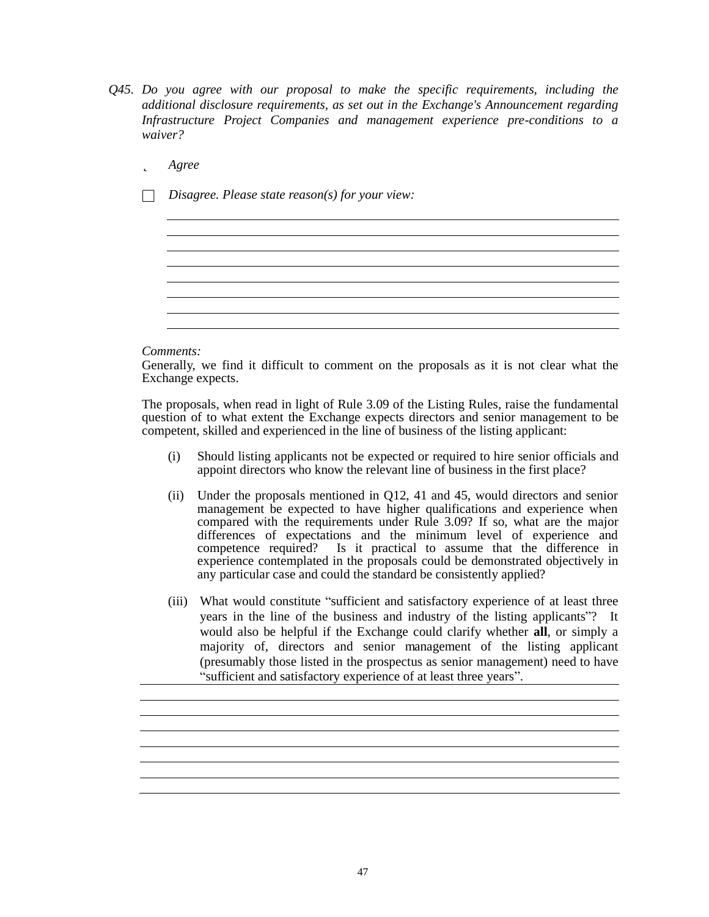*Q45. Do you agree with our proposal to make the specific requirements, including the additional disclosure requirements, as set out in the Exchange's Announcement regarding Infrastructure Project Companies and management experience pre-conditions to a waiver?*

## þ *Agree*

□ *Disagree. Please state reason(s) for your view:*

#### *Comments:*

Generally, we find it difficult to comment on the proposals as it is not clear what the Exchange expects.

The proposals, when read in light of Rule 3.09 of the Listing Rules, raise the fundamental question of to what extent the Exchange expects directors and senior management to be competent, skilled and experienced in the line of business of the listing applicant:

- (i) Should listing applicants not be expected or required to hire senior officials and appoint directors who know the relevant line of business in the first place?
- (ii) Under the proposals mentioned in Q12, 41 and 45, would directors and senior management be expected to have higher qualifications and experience when compared with the requirements under Rule 3.09? If so, what are the major differences of expectations and the minimum level of experience and competence required? Is it practical to assume that the difference in experience contemplated in the proposals could be demonstrated objectively in any particular case and could the standard be consistently applied?
- (iii) What would constitute "sufficient and satisfactory experience of at least three years in the line of the business and industry of the listing applicants"? It would also be helpful if the Exchange could clarify whether **all**, or simply a majority of, directors and senior management of the listing applicant (presumably those listed in the prospectus as senior management) need to have " sufficient and satisfactory experience of at least three years".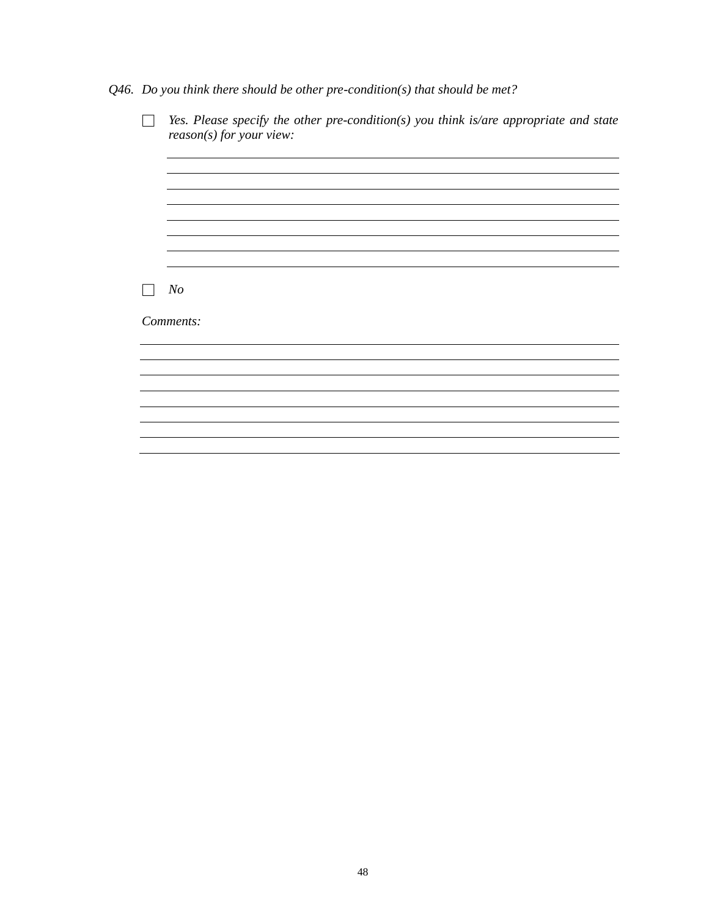*Q46. Do you think there should be other pre-condition(s) that should be met?*

| Yes. Please specify the other pre-condition(s) you think is/are appropriate and state |
|---------------------------------------------------------------------------------------|
| $reason(s)$ for your view:                                                            |
|                                                                                       |
|                                                                                       |
|                                                                                       |
|                                                                                       |
|                                                                                       |
|                                                                                       |
| N <sub>o</sub>                                                                        |
|                                                                                       |
| Comments:                                                                             |
|                                                                                       |
|                                                                                       |
|                                                                                       |
|                                                                                       |
|                                                                                       |
|                                                                                       |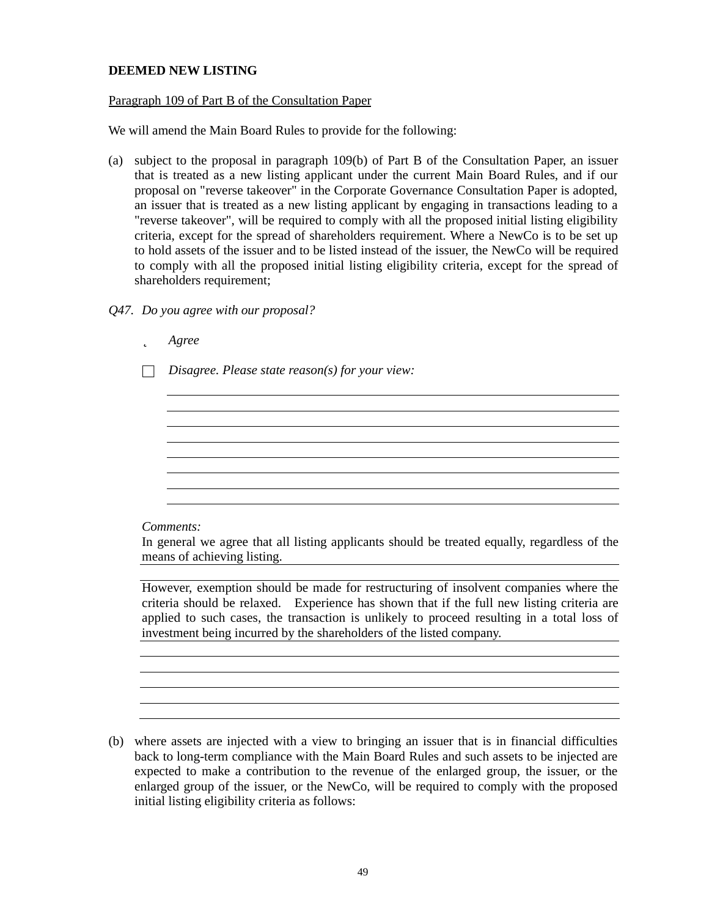## **DEEMED NEW LISTING**

### Paragraph 109 of Part B of the Consultation Paper

We will amend the Main Board Rules to provide for the following:

(a) subject to the proposal in paragraph 109(b) of Part B of the Consultation Paper, an issuer that is treated as a new listing applicant under the current Main Board Rules, and if our proposal on "reverse takeover" in the Corporate Governance Consultation Paper is adopted, an issuer that is treated as a new listing applicant by engaging in transactions leading to a "reverse takeover", will be required to comply with all the proposed initial listing eligibility criteria, except for the spread of shareholders requirement. Where a NewCo is to be set up to hold assets of the issuer and to be listed instead of the issuer, the NewCo will be required to comply with all the proposed initial listing eligibility criteria, except for the spread of shareholders requirement;

### *Q47. Do you agree with our proposal?*

þ *Agree*

□ *Disagree. Please state reason(s) for your view:*

#### *Comments:*

In general we agree that all listing applicants should be treated equally, regardless of the means of achieving listing.

However, exemption should be made for restructuring of insolvent companies where the criteria should be relaxed. Experience has shown that if the full new listing criteria are applied to such cases, the transaction is unlikely to proceed resulting in a total loss of investment being incurred by the shareholders of the listed company.

(b) where assets are injected with a view to bringing an issuer that is in financial difficulties back to long-term compliance with the Main Board Rules and such assets to be injected are expected to make a contribution to the revenue of the enlarged group, the issuer, or the enlarged group of the issuer, or the NewCo, will be required to comply with the proposed initial listing eligibility criteria as follows: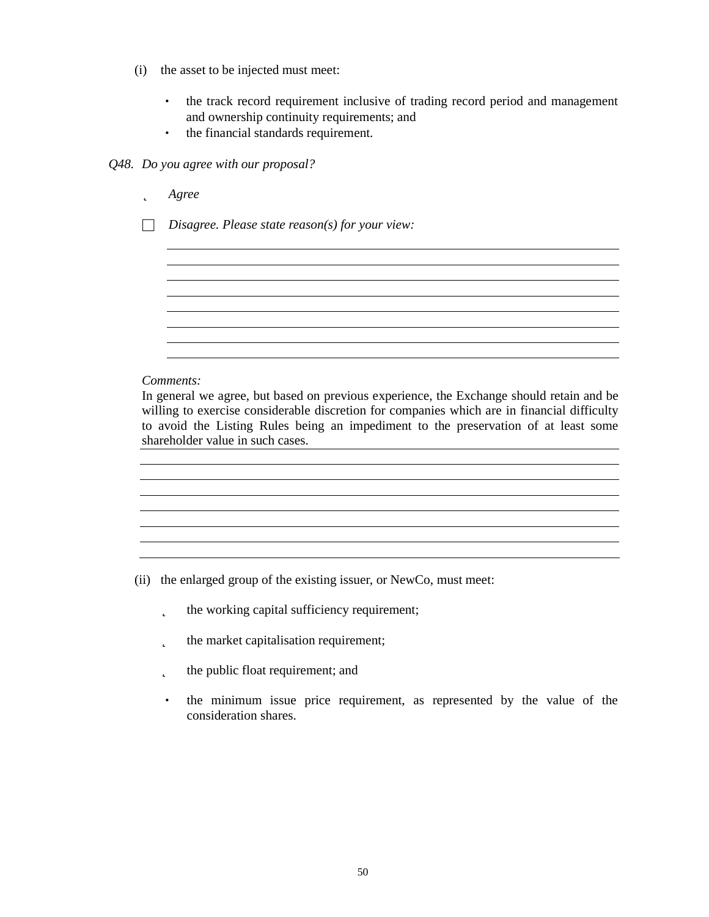- (i) the asset to be injected must meet:
	- the track record requirement inclusive of trading record period and management and ownership continuity requirements; and
	- the financial standards requirement.

#### *Q48. Do you agree with our proposal?*

- þ *Agree*
- □ *Disagree. Please state reason(s) for your view:*

#### *Comments:*

In general we agree, but based on previous experience, the Exchange should retain and be willing to exercise considerable discretion for companies which are in financial difficulty to avoid the Listing Rules being an impediment to the preservation of at least some shareholder value in such cases.

- (ii) the enlarged group of the existing issuer, or NewCo, must meet:
	- **p** the working capital sufficiency requirement;
	- **p** the market capitalisation requirement;
	- **p** the public float requirement; and
	- the minimum issue price requirement, as represented by the value of the consideration shares.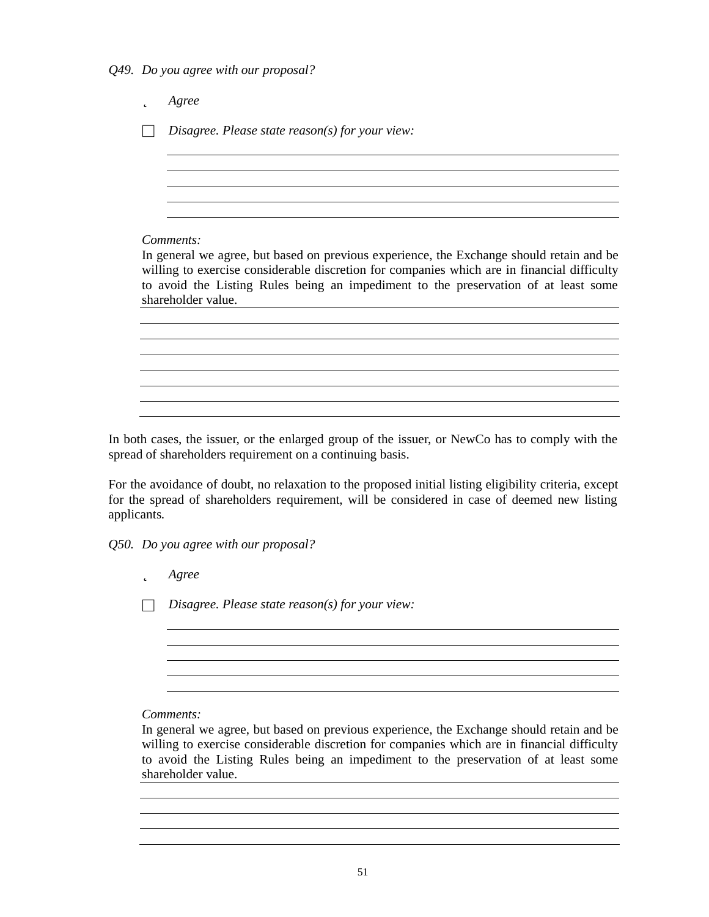*Q49. Do you agree with our proposal?*

þ *Agree* □ *Disagree. Please state reason(s) for your view: Comments:* In general we agree, but based on previous experience, the Exchange should retain and be willing to exercise considerable discretion for companies which are in financial difficulty to avoid the Listing Rules being an impediment to the preservation of at least some shareholder value. 

In both cases, the issuer, or the enlarged group of the issuer, or NewCo has to comply with the spread of shareholders requirement on a continuing basis.

For the avoidance of doubt, no relaxation to the proposed initial listing eligibility criteria, except for the spread of shareholders requirement, will be considered in case of deemed new listing applicants.

*Q50. Do you agree with our proposal?*

þ *Agree*

□ *Disagree. Please state reason(s) for your view:*

*Comments:*

In general we agree, but based on previous experience, the Exchange should retain and be willing to exercise considerable discretion for companies which are in financial difficulty to avoid the Listing Rules being an impediment to the preservation of at least some shareholder value.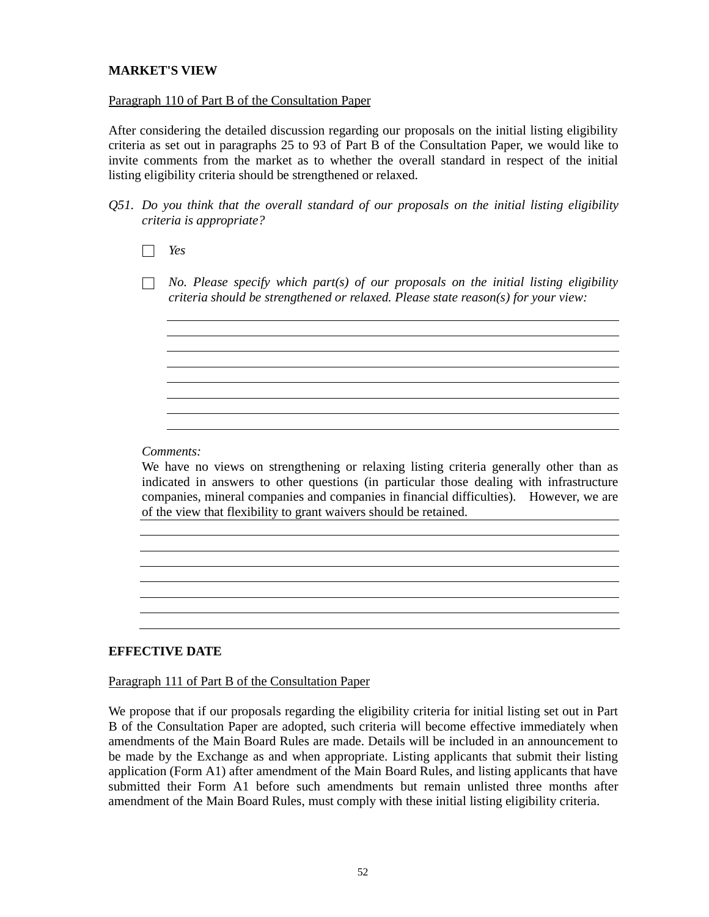## **MARKET'S VIEW**

### Paragraph 110 of Part B of the Consultation Paper

After considering the detailed discussion regarding our proposals on the initial listing eligibility criteria as set out in paragraphs 25 to 93 of Part B of the Consultation Paper, we would like to invite comments from the market as to whether the overall standard in respect of the initial listing eligibility criteria should be strengthened or relaxed.

*Q51. Do you think that the overall standard of our proposals on the initial listing eligibility criteria is appropriate?*

□ *Yes*

□ *No. Please specify which part(s) of our proposals on the initial listing eligibility criteria should be strengthened or relaxed. Please state reason(s) for your view:*

*Comments:*

We have no views on strengthening or relaxing listing criteria generally other than as indicated in answers to other questions (in particular those dealing with infrastructure companies, mineral companies and companies in financial difficulties). However, we are of the view that flexibility to grant waivers should be retained.

## **EFFECTIVE DATE**

## Paragraph 111 of Part B of the Consultation Paper

We propose that if our proposals regarding the eligibility criteria for initial listing set out in Part B of the Consultation Paper are adopted, such criteria will become effective immediately when amendments of the Main Board Rules are made. Details will be included in an announcement to be made by the Exchange as and when appropriate. Listing applicants that submit their listing application (Form A1) after amendment of the Main Board Rules, and listing applicants that have submitted their Form A1 before such amendments but remain unlisted three months after amendment of the Main Board Rules, must comply with these initial listing eligibility criteria.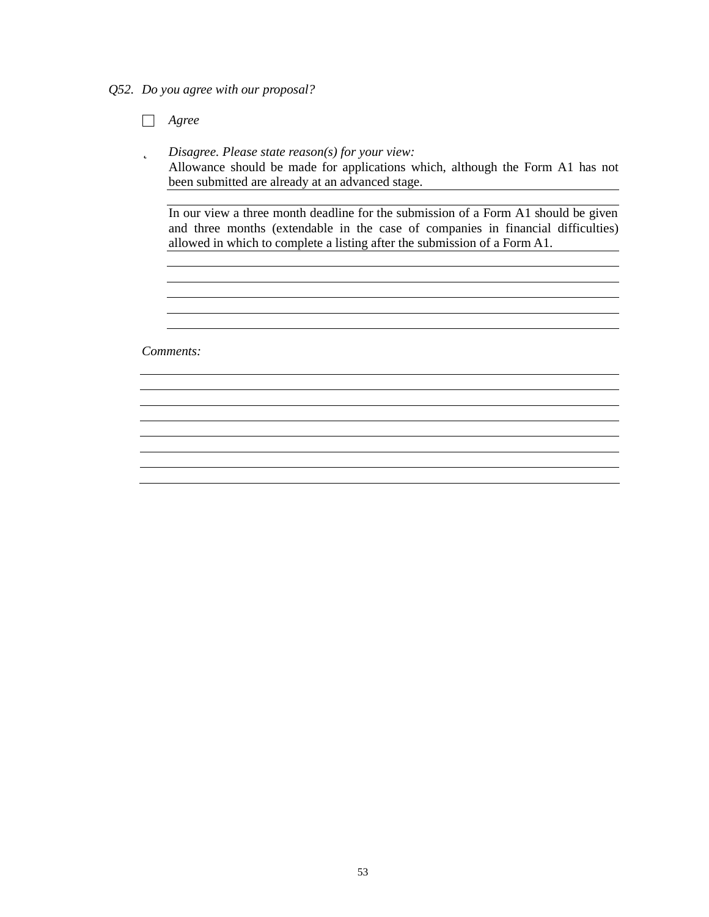*Q52. Do you agree with our proposal?*

□ *Agree*

þ *Disagree. Please state reason(s) for your view:* Allowance should be made for applications which, although the Form A1 has not been submitted are already at an advanced stage.

In our view a three month deadline for the submission of a Form A1 should be given and three months (extendable in the case of companies in financial difficulties) allowed in which to complete a listing after the submission of a Form A1.

*Comments:*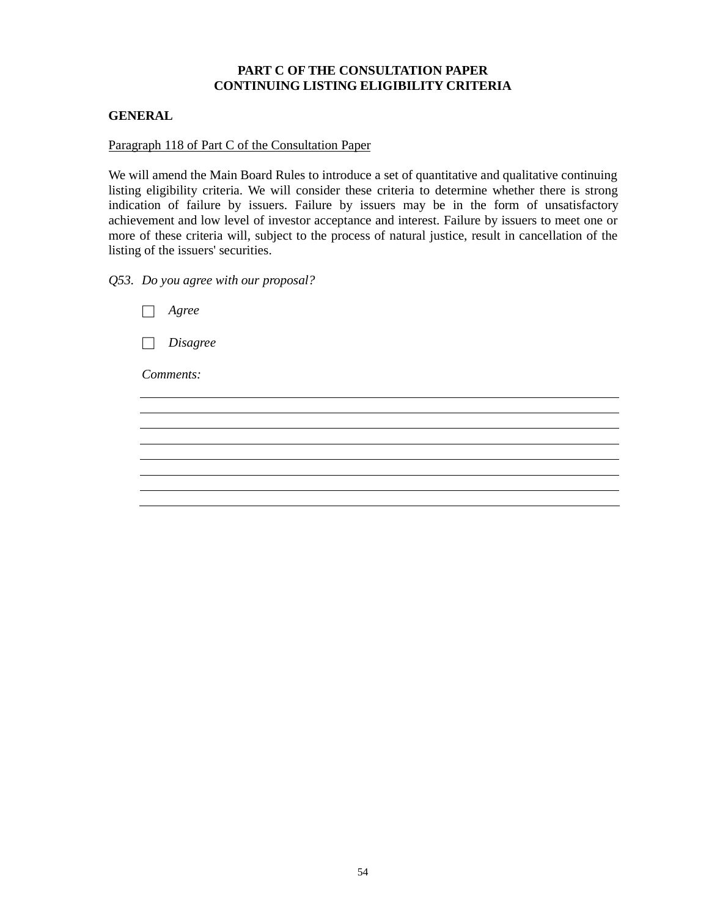# **PART C OF THE CONSULTATION PAPER CONTINUING LISTING ELIGIBILITY CRITERIA**

## **GENERAL**

### Paragraph 118 of Part C of the Consultation Paper

We will amend the Main Board Rules to introduce a set of quantitative and qualitative continuing listing eligibility criteria. We will consider these criteria to determine whether there is strong indication of failure by issuers. Failure by issuers may be in the form of unsatisfactory achievement and low level of investor acceptance and interest. Failure by issuers to meet one or more of these criteria will, subject to the process of natural justice, result in cancellation of the listing of the issuers' securities.

*Q53. Do you agree with our proposal?*

| Agree                                |  |
|--------------------------------------|--|
| <i>Disagree</i><br>$\vert \ \ \vert$ |  |
| Comments:                            |  |
|                                      |  |
|                                      |  |
|                                      |  |
|                                      |  |
|                                      |  |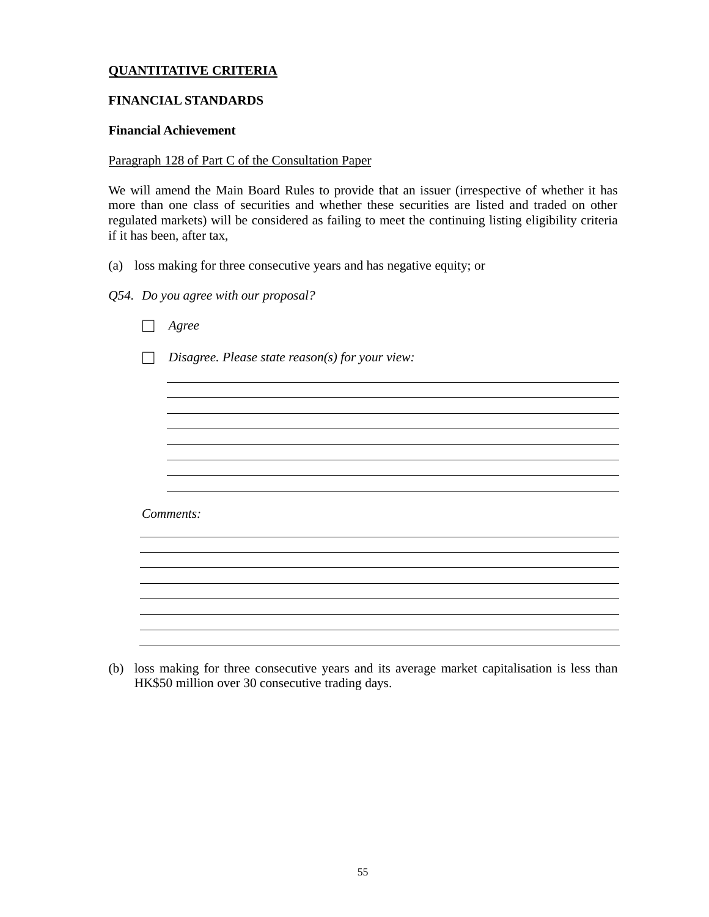# **QUANTITATIVE CRITERIA**

## **FINANCIAL STANDARDS**

## **Financial Achievement**

### Paragraph 128 of Part C of the Consultation Paper

We will amend the Main Board Rules to provide that an issuer (irrespective of whether it has more than one class of securities and whether these securities are listed and traded on other regulated markets) will be considered as failing to meet the continuing listing eligibility criteria if it has been, after tax,

(a) loss making for three consecutive years and has negative equity; or

## *Q54. Do you agree with our proposal?*

| Agree                                           |
|-------------------------------------------------|
| Disagree. Please state reason(s) for your view: |
|                                                 |
|                                                 |
|                                                 |
|                                                 |
|                                                 |
| Comments:                                       |
|                                                 |
|                                                 |
|                                                 |
|                                                 |
|                                                 |
|                                                 |

(b) loss making for three consecutive years and its average market capitalisation is less than HK\$50 million over 30 consecutive trading days.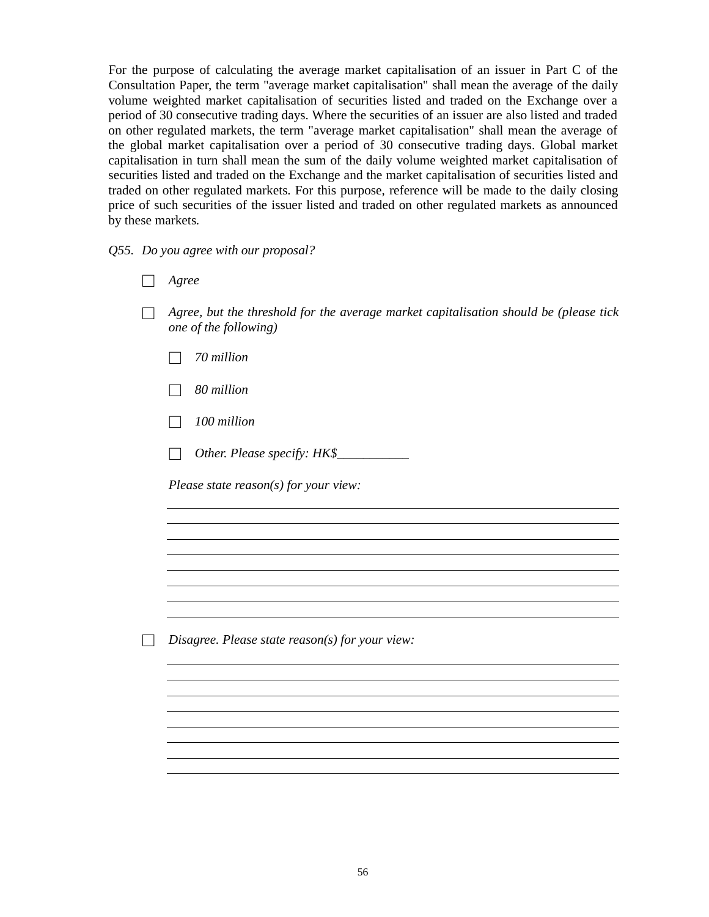For the purpose of calculating the average market capitalisation of an issuer in Part C of the Consultation Paper, the term "average market capitalisation" shall mean the average of the daily volume weighted market capitalisation of securities listed and traded on the Exchange over a period of 30 consecutive trading days. Where the securities of an issuer are also listed and traded on other regulated markets, the term "average market capitalisation" shall mean the average of the global market capitalisation over a period of 30 consecutive trading days. Global market capitalisation in turn shall mean the sum of the daily volume weighted market capitalisation of securities listed and traded on the Exchange and the market capitalisation of securities listed and traded on other regulated markets. For this purpose, reference will be made to the daily closing price of such securities of the issuer listed and traded on other regulated markets as announced by these markets.

*Q55. Do you agree with our proposal?*

- □ *Agree*
- □ *Agree, but the threshold for the average market capitalisation should be (please tick one of the following)*
	- □ *70 million*
	- □ *80 million*
	- □ *100 million*
	- □ *Other. Please specify: HK\$\_\_\_\_\_\_\_\_\_\_\_*

*Please state reason(s) for your view:*

□ *Disagree. Please state reason(s) for your view:*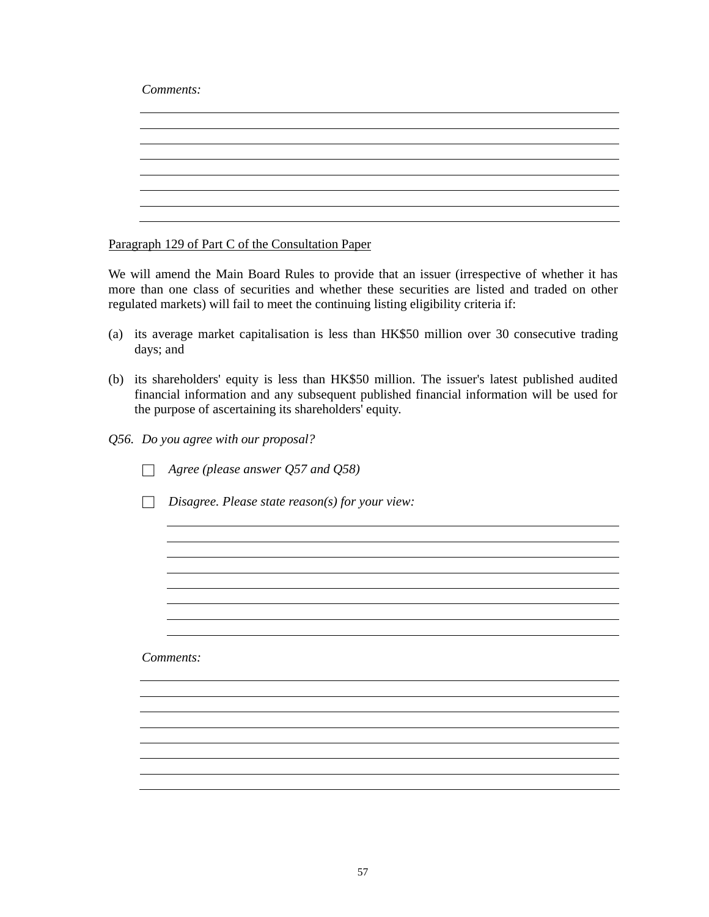*Comments:*

Paragraph 129 of Part C of the Consultation Paper

We will amend the Main Board Rules to provide that an issuer (irrespective of whether it has more than one class of securities and whether these securities are listed and traded on other regulated markets) will fail to meet the continuing listing eligibility criteria if:

- (a) its average market capitalisation is less than HK\$50 million over 30 consecutive trading days; and
- (b) its shareholders' equity is less than HK\$50 million. The issuer's latest published audited financial information and any subsequent published financial information will be used for the purpose of ascertaining its shareholders' equity.
- *Q56. Do you agree with our proposal?*

□ *Agree (please answer Q57 and Q58)*

□ *Disagree. Please state reason(s) for your view:*

*Comments:*

<u> 1989 - Johann Stoff, amerikansk politiker (\* 1908)</u>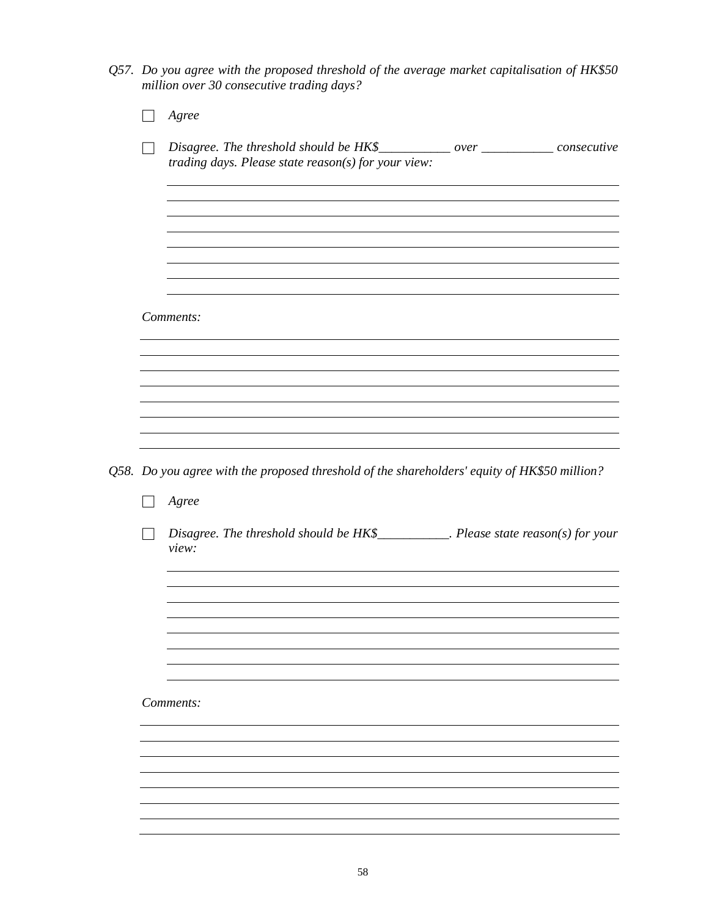*Q57. Do you agree with the proposed threshold of the average market capitalisation of HK\$50 million over 30 consecutive trading days?*

| Agree                                                                                                                                   |  |
|-----------------------------------------------------------------------------------------------------------------------------------------|--|
| Disagree. The threshold should be HK\$___________ over ___________ consecutive<br>trading days. Please state $reason(s)$ for your view: |  |
|                                                                                                                                         |  |
|                                                                                                                                         |  |
| Comments:                                                                                                                               |  |
|                                                                                                                                         |  |
|                                                                                                                                         |  |
|                                                                                                                                         |  |
| Q58. Do you agree with the proposed threshold of the shareholders' equity of HK\$50 million?                                            |  |
| Agree                                                                                                                                   |  |
| Disagree. The threshold should be $HK\$<br>Please state reason(s) for your<br>view:                                                     |  |
|                                                                                                                                         |  |
|                                                                                                                                         |  |
| Comments:                                                                                                                               |  |
|                                                                                                                                         |  |
|                                                                                                                                         |  |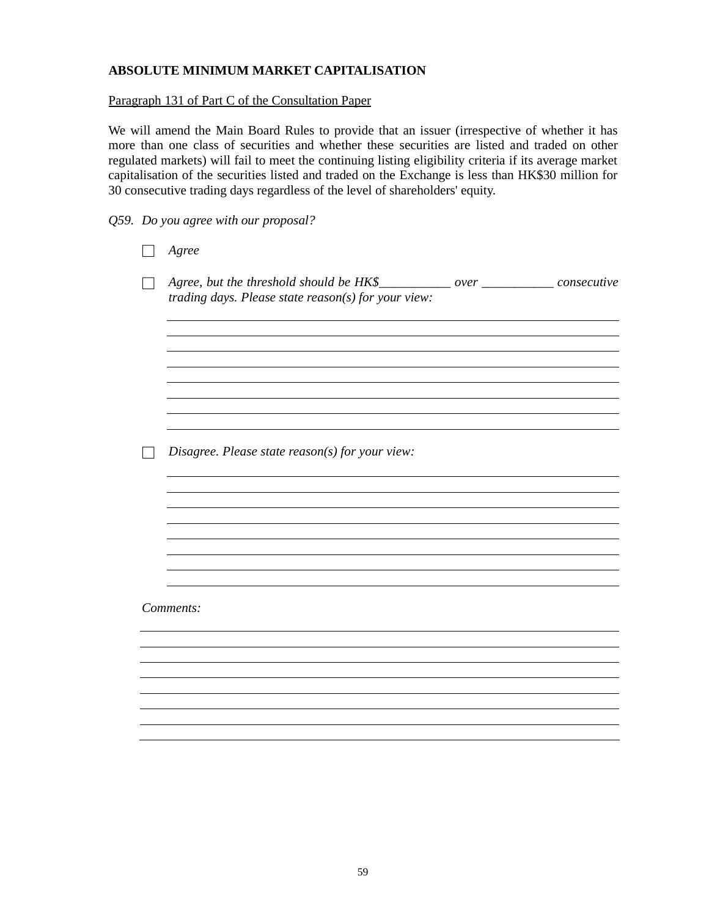## **ABSOLUTE MINIMUM MARKET CAPITALISATION**

### Paragraph 131 of Part C of the Consultation Paper

We will amend the Main Board Rules to provide that an issuer (irrespective of whether it has more than one class of securities and whether these securities are listed and traded on other regulated markets) will fail to meet the continuing listing eligibility criteria if its average market capitalisation of the securities listed and traded on the Exchange is less than HK\$30 million for 30 consecutive trading days regardless of the level of shareholders' equity.

*Q59. Do you agree with our proposal?*

| Agree                                                                                                                                    |
|------------------------------------------------------------------------------------------------------------------------------------------|
| Agree, but the threshold should be HK\$___________ over _____________ consecutive<br>trading days. Please state reason(s) for your view: |
|                                                                                                                                          |
|                                                                                                                                          |
| Disagree. Please state reason(s) for your view:                                                                                          |
|                                                                                                                                          |
|                                                                                                                                          |
|                                                                                                                                          |
| Comments:                                                                                                                                |
|                                                                                                                                          |
|                                                                                                                                          |
|                                                                                                                                          |
|                                                                                                                                          |
|                                                                                                                                          |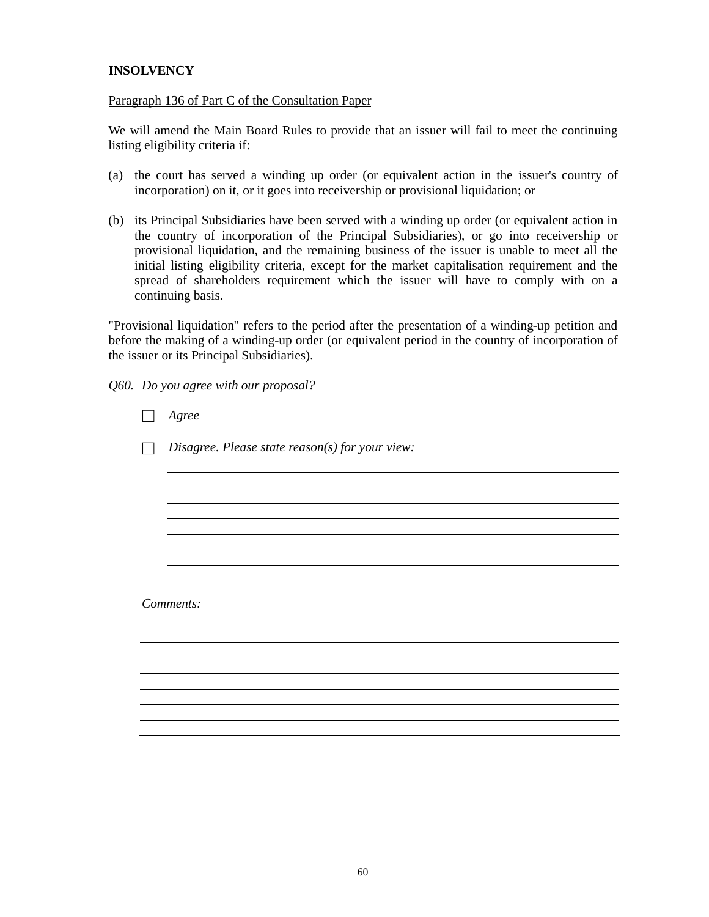## **INSOLVENCY**

### Paragraph 136 of Part C of the Consultation Paper

We will amend the Main Board Rules to provide that an issuer will fail to meet the continuing listing eligibility criteria if:

- (a) the court has served a winding up order (or equivalent action in the issuer's country of incorporation) on it, or it goes into receivership or provisional liquidation; or
- (b) its Principal Subsidiaries have been served with a winding up order (or equivalent action in the country of incorporation of the Principal Subsidiaries), or go into receivership or provisional liquidation, and the remaining business of the issuer is unable to meet all the initial listing eligibility criteria, except for the market capitalisation requirement and the spread of shareholders requirement which the issuer will have to comply with on a continuing basis.

"Provisional liquidation" refers to the period after the presentation of a winding-up petition and before the making of a winding-up order (or equivalent period in the country of incorporation of the issuer or its Principal Subsidiaries).

*Q60. Do you agree with our proposal?*

| Agree                                           |
|-------------------------------------------------|
| Disagree. Please state reason(s) for your view: |
|                                                 |
|                                                 |
|                                                 |
|                                                 |
| Comments:                                       |
|                                                 |
|                                                 |
|                                                 |
|                                                 |
|                                                 |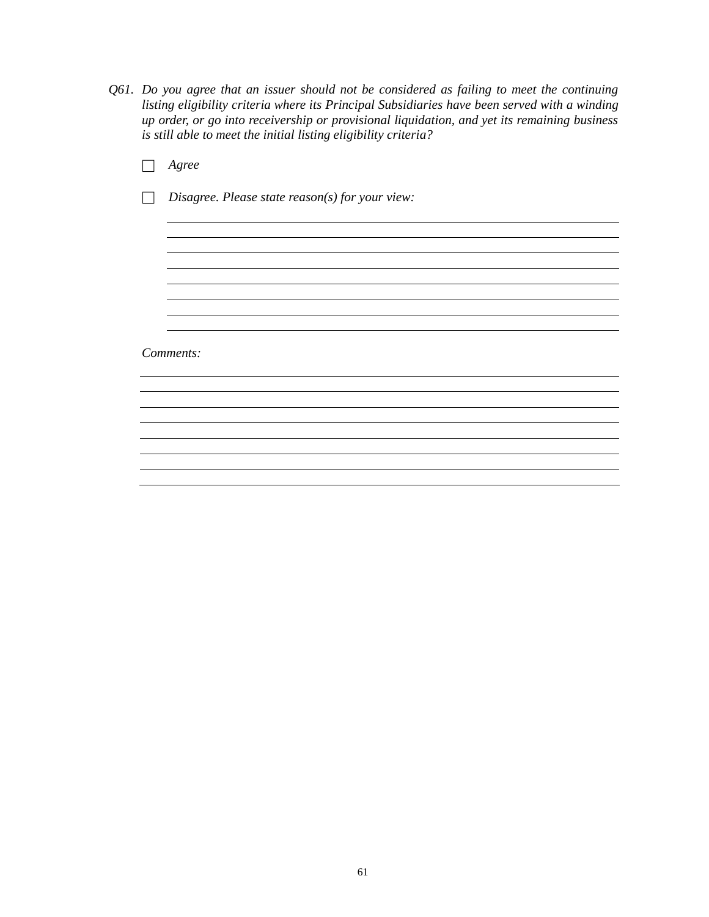*Q61. Do you agree that an issuer should not be considered as failing to meet the continuing listing eligibility criteria where its Principal Subsidiaries have been served with a winding up order, or go into receivership or provisional liquidation, and yet its remaining business is still able to meet the initial listing eligibility criteria?*

| Agree                                             |
|---------------------------------------------------|
| Disagree. Please state $reason(s)$ for your view: |
|                                                   |
|                                                   |
|                                                   |
|                                                   |
|                                                   |
|                                                   |
| Comments:                                         |
|                                                   |
|                                                   |
|                                                   |
|                                                   |
|                                                   |
|                                                   |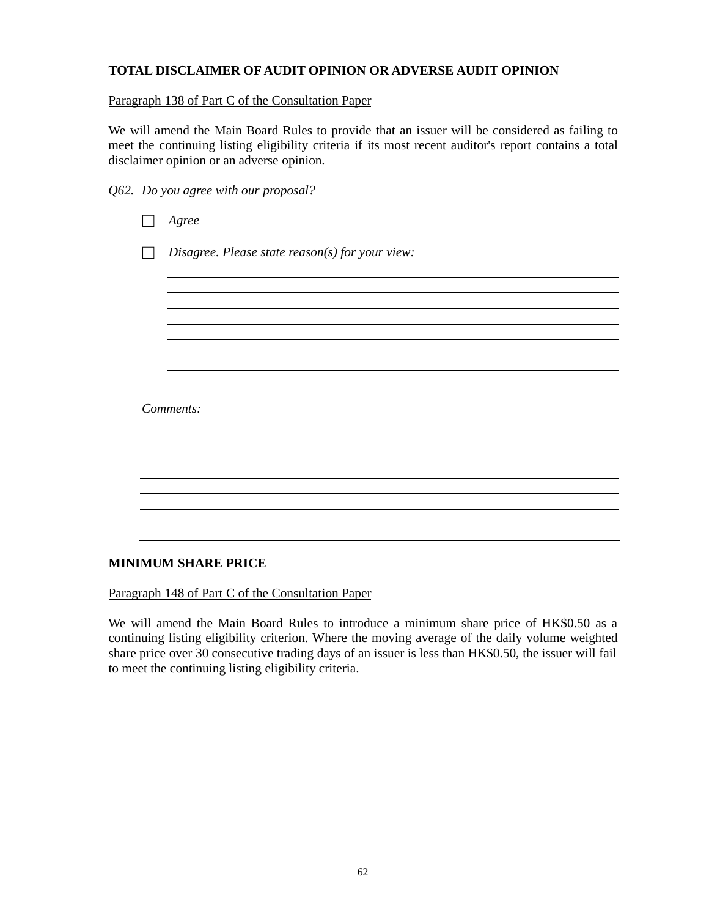# **TOTAL DISCLAIMER OF AUDIT OPINION OR ADVERSE AUDIT OPINION**

## Paragraph 138 of Part C of the Consultation Paper

We will amend the Main Board Rules to provide that an issuer will be considered as failing to meet the continuing listing eligibility criteria if its most recent auditor's report contains a total disclaimer opinion or an adverse opinion.

|  |  | Q62. Do you agree with our proposal? |
|--|--|--------------------------------------|
|  |  |                                      |

| Agree                                           |
|-------------------------------------------------|
| Disagree. Please state reason(s) for your view: |
|                                                 |
|                                                 |
|                                                 |
|                                                 |
| Comments:                                       |
|                                                 |
|                                                 |
|                                                 |
|                                                 |
|                                                 |

## **MINIMUM SHARE PRICE**

Paragraph 148 of Part C of the Consultation Paper

We will amend the Main Board Rules to introduce a minimum share price of HK\$0.50 as a continuing listing eligibility criterion. Where the moving average of the daily volume weighted share price over 30 consecutive trading days of an issuer is less than HK\$0.50, the issuer will fail to meet the continuing listing eligibility criteria.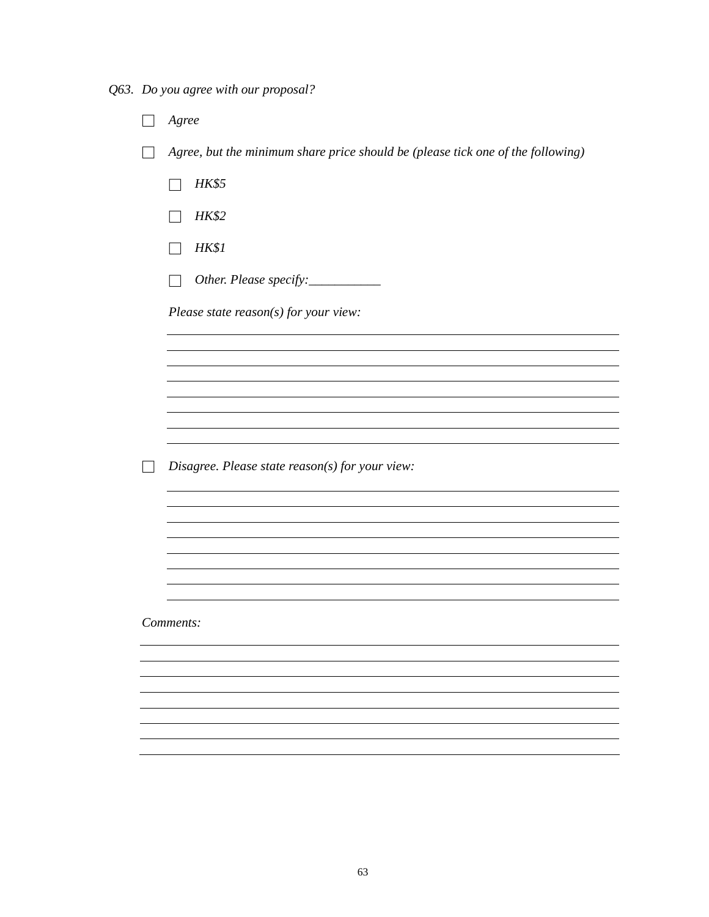*Q63. Do you agree with our proposal?*

| Agree                                                                           |
|---------------------------------------------------------------------------------|
| Agree, but the minimum share price should be (please tick one of the following) |
| <b>HK\$5</b>                                                                    |
| <b>HK\$2</b>                                                                    |
| <b>HK\$1</b>                                                                    |
| Other. Please specify:                                                          |
| Please state $reason(s)$ for your view:                                         |
|                                                                                 |
|                                                                                 |
|                                                                                 |
|                                                                                 |
| Disagree. Please state reason(s) for your view:                                 |
|                                                                                 |
|                                                                                 |
|                                                                                 |
|                                                                                 |
| Comments:                                                                       |
|                                                                                 |
|                                                                                 |
|                                                                                 |
|                                                                                 |
|                                                                                 |
|                                                                                 |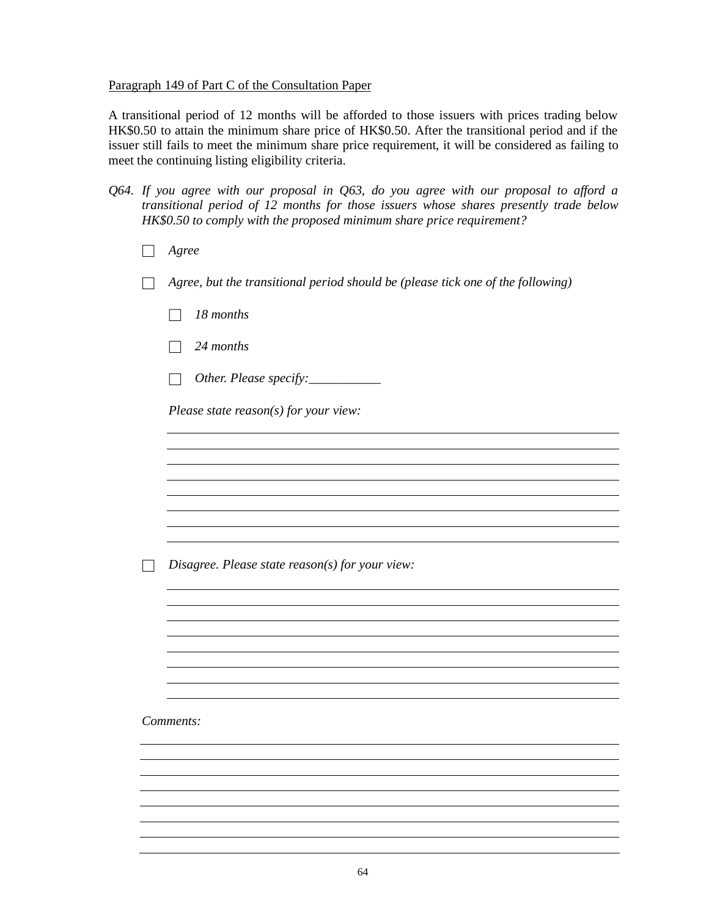## Paragraph 149 of Part C of the Consultation Paper

A transitional period of 12 months will be afforded to those issuers with prices trading below HK\$0.50 to attain the minimum share price of HK\$0.50. After the transitional period and if the issuer still fails to meet the minimum share price requirement, it will be considered as failing to meet the continuing listing eligibility criteria.

- *Q64. If you agree with our proposal in Q63, do you agree with our proposal to afford a transitional period of 12 months for those issuers whose shares presently trade below HK\$0.50 to comply with the proposed minimum share price requirement?*
	- □ *Agree*
	- □ *Agree, but the transitional period should be (please tick one of the following)*
		- □ *18 months*
		- □ *24 months*
		- □ *Other. Please specify:\_\_\_\_\_\_\_\_\_\_\_*

*Please state reason(s) for your view:*

□ *Disagree. Please state reason(s) for your view:*

*Comments:*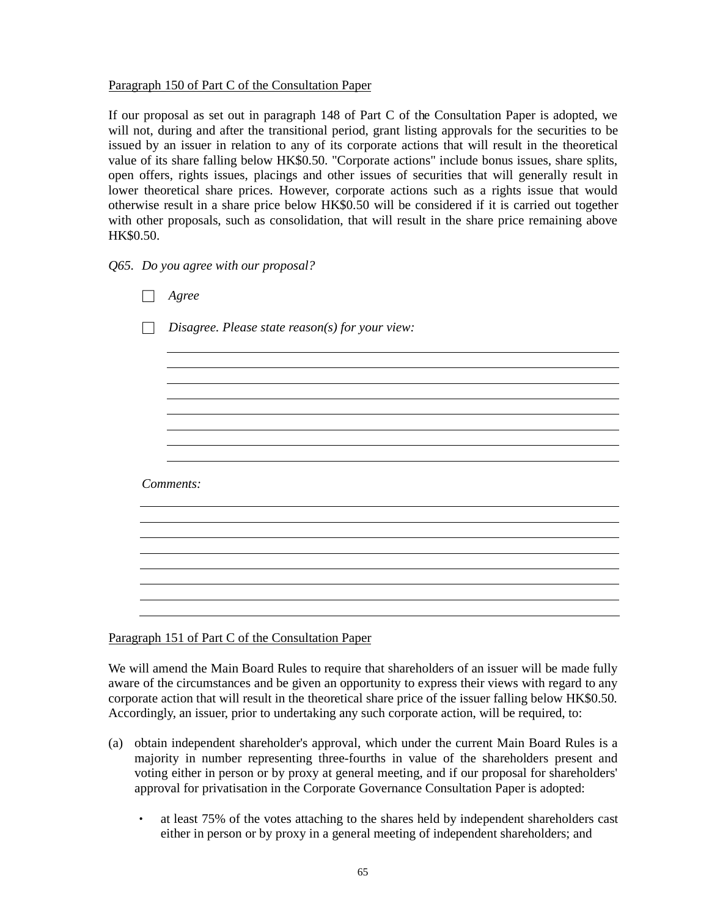## Paragraph 150 of Part C of the Consultation Paper

If our proposal as set out in paragraph 148 of Part C of the Consultation Paper is adopted, we will not, during and after the transitional period, grant listing approvals for the securities to be issued by an issuer in relation to any of its corporate actions that will result in the theoretical value of its share falling below HK\$0.50. "Corporate actions" include bonus issues, share splits, open offers, rights issues, placings and other issues of securities that will generally result in lower theoretical share prices. However, corporate actions such as a rights issue that would otherwise result in a share price below HK\$0.50 will be considered if it is carried out together with other proposals, such as consolidation, that will result in the share price remaining above HK\$0.50.

| Q65. Do you agree with our proposal? |  |  |  |  |  |  |  |
|--------------------------------------|--|--|--|--|--|--|--|
|--------------------------------------|--|--|--|--|--|--|--|

| Agree                                           |  |
|-------------------------------------------------|--|
| Disagree. Please state reason(s) for your view: |  |
|                                                 |  |
|                                                 |  |
|                                                 |  |
|                                                 |  |
|                                                 |  |
| Comments:                                       |  |
|                                                 |  |
|                                                 |  |
|                                                 |  |
|                                                 |  |
|                                                 |  |

Paragraph 151 of Part C of the Consultation Paper

We will amend the Main Board Rules to require that shareholders of an issuer will be made fully aware of the circumstances and be given an opportunity to express their views with regard to any corporate action that will result in the theoretical share price of the issuer falling below HK\$0.50. Accordingly, an issuer, prior to undertaking any such corporate action, will be required, to:

- (a) obtain independent shareholder's approval, which under the current Main Board Rules is a majority in number representing three-fourths in value of the shareholders present and voting either in person or by proxy at general meeting, and if our proposal for shareholders' approval for privatisation in the Corporate Governance Consultation Paper is adopted:
	- at least 75% of the votes attaching to the shares held by independent shareholders cast either in person or by proxy in a general meeting of independent shareholders; and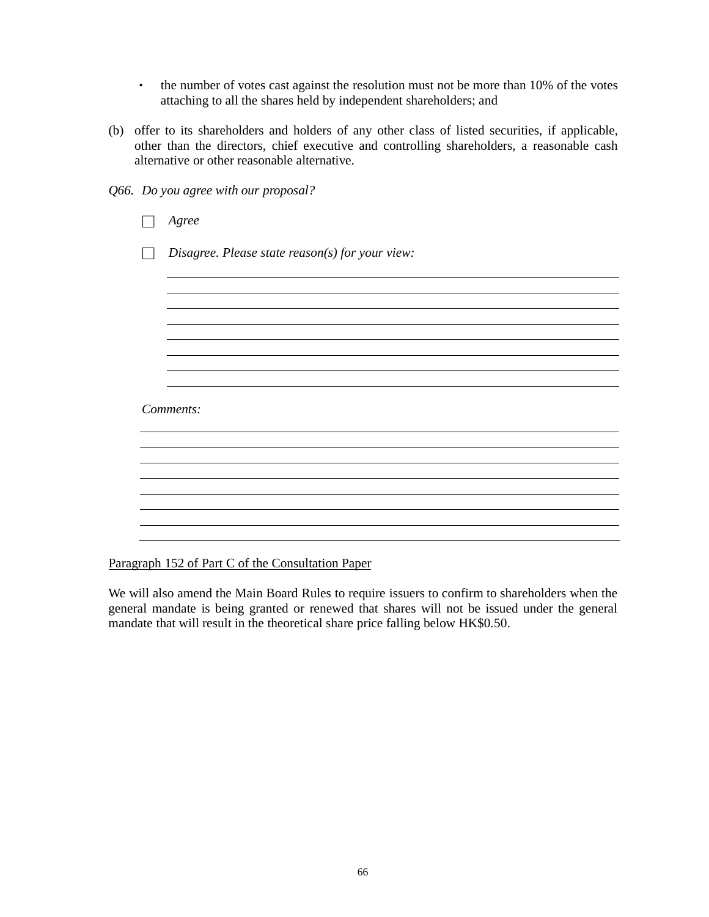- the number of votes cast against the resolution must not be more than 10% of the votes attaching to all the shares held by independent shareholders; and
- (b) offer to its shareholders and holders of any other class of listed securities, if applicable, other than the directors, chief executive and controlling shareholders, a reasonable cash alternative or other reasonable alternative.

*Q66. Do you agree with our proposal?*

| Agree                                             |
|---------------------------------------------------|
| Disagree. Please state $reason(s)$ for your view: |
|                                                   |
|                                                   |
|                                                   |
|                                                   |
| Comments:                                         |
|                                                   |
|                                                   |
|                                                   |
|                                                   |
|                                                   |

Paragraph 152 of Part C of the Consultation Paper

We will also amend the Main Board Rules to require issuers to confirm to shareholders when the general mandate is being granted or renewed that shares will not be issued under the general mandate that will result in the theoretical share price falling below HK\$0.50.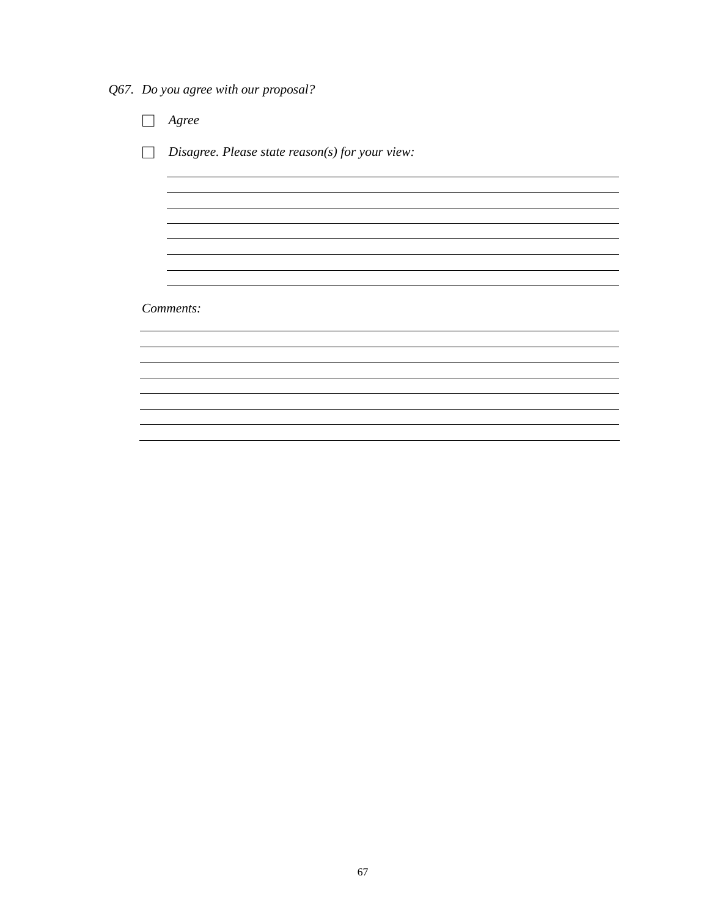*Q67. Do you agree with our proposal?*

□ *Agree* □ *Disagree. Please state reason(s) for your view: Comments:*<u> 1989 - Johann Stoff, amerikansk politiker (d. 1989)</u>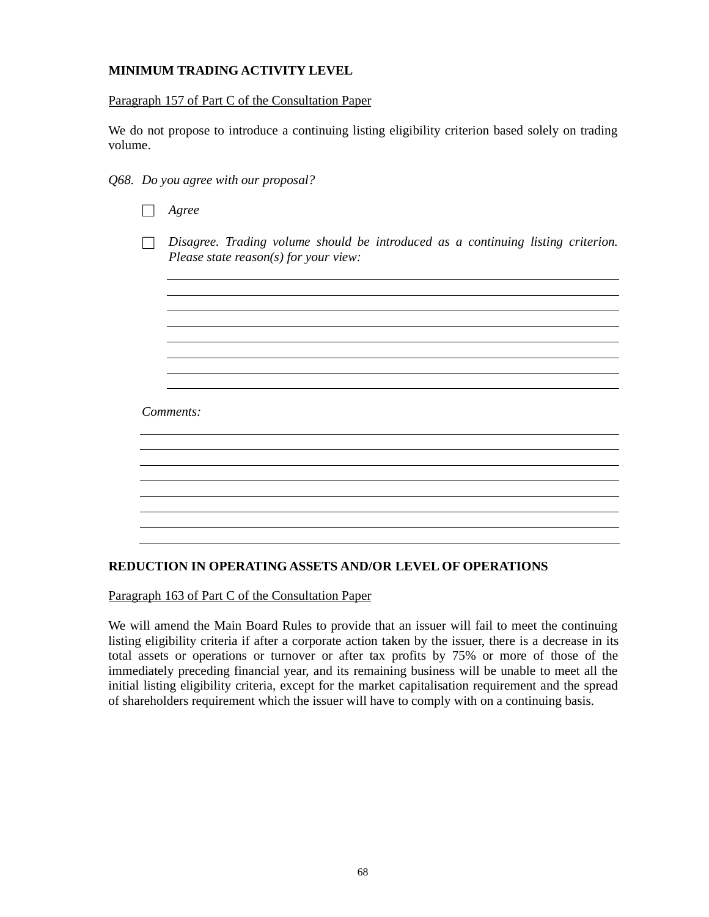# **MINIMUM TRADING ACTIVITY LEVEL**

## Paragraph 157 of Part C of the Consultation Paper

We do not propose to introduce a continuing listing eligibility criterion based solely on trading volume.

- *Q68. Do you agree with our proposal?*
	- □ *Agree*

□ *Disagree. Trading volume should be introduced as a continuing listing criterion. Please state reason(s) for your view:*

<u> 1989 - Johann Stoff, fransk politik (f. 1989)</u>

## *Comments:*

## **REDUCTION IN OPERATING ASSETS AND/OR LEVEL OF OPERATIONS**

Paragraph 163 of Part C of the Consultation Paper

We will amend the Main Board Rules to provide that an issuer will fail to meet the continuing listing eligibility criteria if after a corporate action taken by the issuer, there is a decrease in its total assets or operations or turnover or after tax profits by 75% or more of those of the immediately preceding financial year, and its remaining business will be unable to meet all the initial listing eligibility criteria, except for the market capitalisation requirement and the spread of shareholders requirement which the issuer will have to comply with on a continuing basis.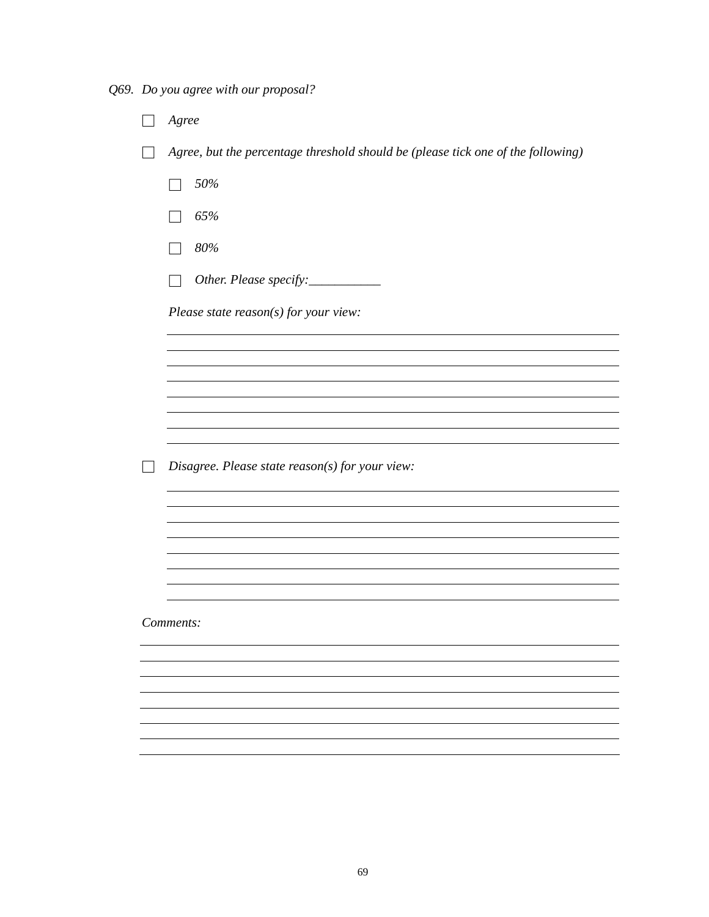*Q69. Do you agree with our proposal?*

| Agree                                                                            |
|----------------------------------------------------------------------------------|
| Agree, but the percentage threshold should be (please tick one of the following) |
| 50%                                                                              |
| 65%                                                                              |
| 80%                                                                              |
| Other. Please specify: ___________                                               |
| Please state $reason(s)$ for your view:                                          |
|                                                                                  |
|                                                                                  |
|                                                                                  |
|                                                                                  |
| Disagree. Please state reason(s) for your view:                                  |
|                                                                                  |
|                                                                                  |
|                                                                                  |
|                                                                                  |
| Comments:                                                                        |
|                                                                                  |
|                                                                                  |
|                                                                                  |
|                                                                                  |
|                                                                                  |
|                                                                                  |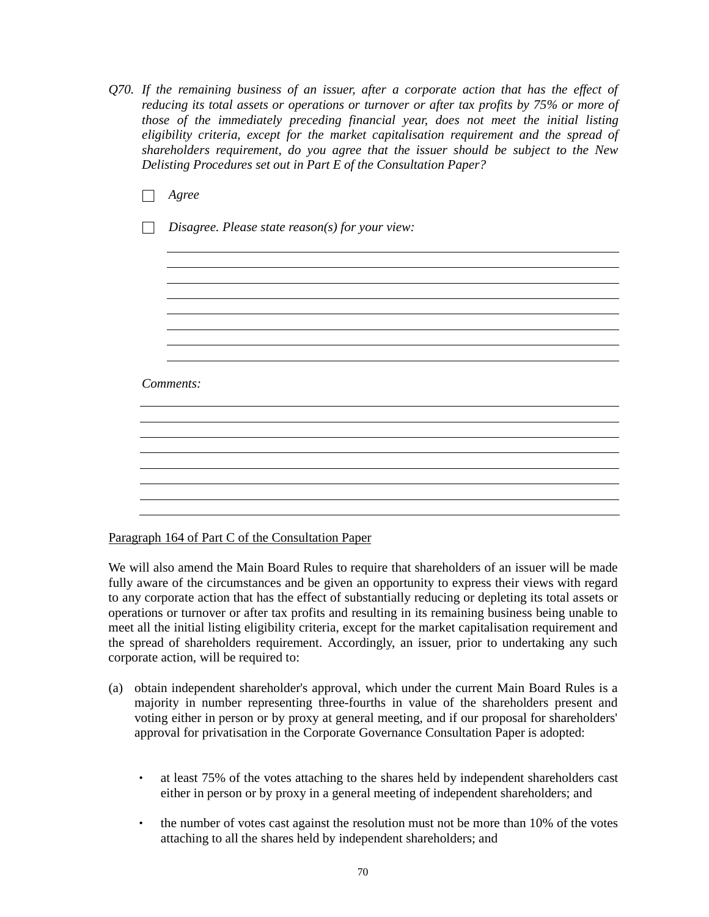- *Q70. If the remaining business of an issuer, after a corporate action that has the effect of reducing its total assets or operations or turnover or after tax profits by 75% or more of those of the immediately preceding financial year, does not meet the initial listing eligibility criteria, except for the market capitalisation requirement and the spread of shareholders requirement, do you agree that the issuer should be subject to the New Delisting Procedures set out in Part E of the Consultation Paper?*
	- □ *Agree* □ *Disagree. Please state reason(s) for your view: Comments:*

Paragraph 164 of Part C of the Consultation Paper

We will also amend the Main Board Rules to require that shareholders of an issuer will be made fully aware of the circumstances and be given an opportunity to express their views with regard to any corporate action that has the effect of substantially reducing or depleting its total assets or operations or turnover or after tax profits and resulting in its remaining business being unable to meet all the initial listing eligibility criteria, except for the market capitalisation requirement and the spread of shareholders requirement. Accordingly, an issuer, prior to undertaking any such corporate action, will be required to:

the control of the control of the control of the control of the control of the control of the control of the control of the control of the control of the control of the control of the control of the control of the control

<u> 1980 - Johann Stoff, deutscher Stoffen und der Stoffen und der Stoffen und der Stoffen und der Stoffen und de</u>

- (a) obtain independent shareholder's approval, which under the current Main Board Rules is a majority in number representing three-fourths in value of the shareholders present and voting either in person or by proxy at general meeting, and if our proposal for shareholders' approval for privatisation in the Corporate Governance Consultation Paper is adopted:
	- at least 75% of the votes attaching to the shares held by independent shareholders cast either in person or by proxy in a general meeting of independent shareholders; and
	- the number of votes cast against the resolution must not be more than 10% of the votes attaching to all the shares held by independent shareholders; and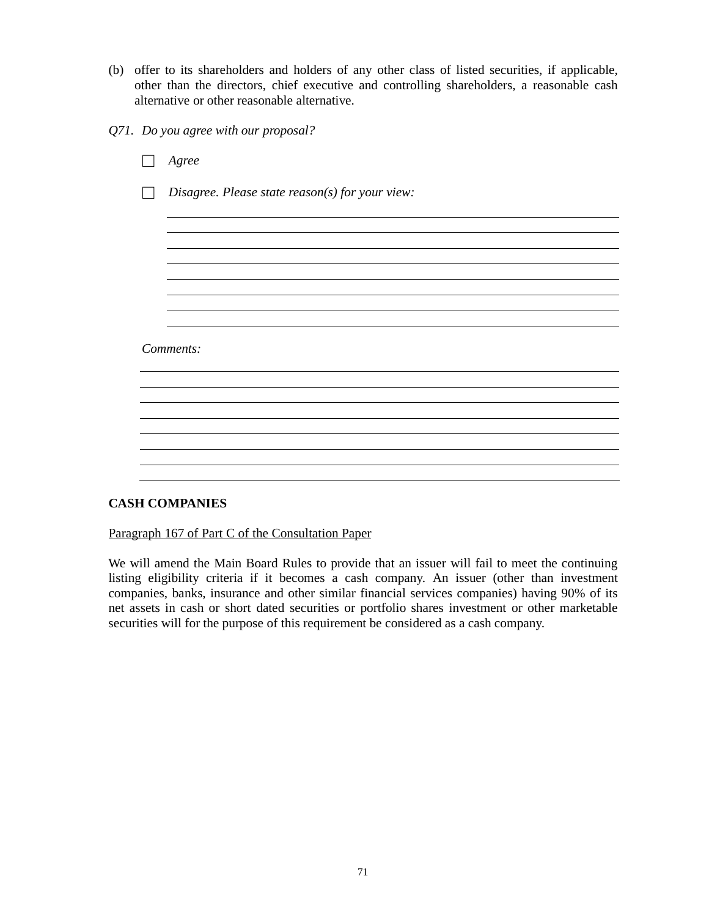- (b) offer to its shareholders and holders of any other class of listed securities, if applicable, other than the directors, chief executive and controlling shareholders, a reasonable cash alternative or other reasonable alternative.
- *Q71. Do you agree with our proposal?*

| $A\,$ gree                                      |
|-------------------------------------------------|
| Disagree. Please state reason(s) for your view: |
|                                                 |
|                                                 |
|                                                 |
|                                                 |
|                                                 |
|                                                 |
| Comments:                                       |
|                                                 |
|                                                 |
|                                                 |
|                                                 |
|                                                 |
|                                                 |
|                                                 |

# **CASH COMPANIES**

Paragraph 167 of Part C of the Consultation Paper

We will amend the Main Board Rules to provide that an issuer will fail to meet the continuing listing eligibility criteria if it becomes a cash company. An issuer (other than investment companies, banks, insurance and other similar financial services companies) having 90% of its net assets in cash or short dated securities or portfolio shares investment or other marketable securities will for the purpose of this requirement be considered as a cash company.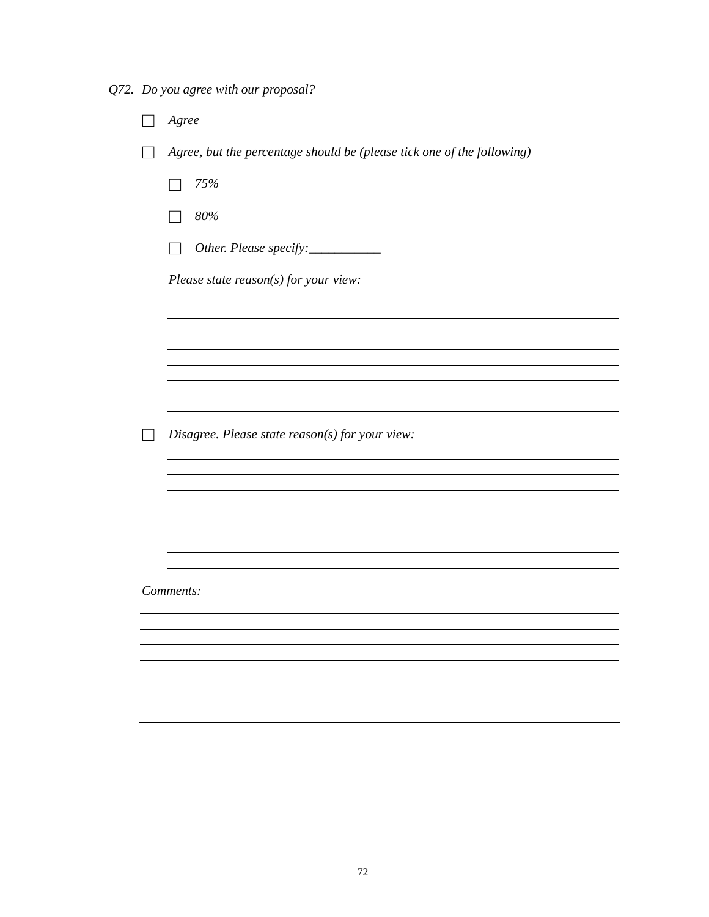*Q72. Do you agree with our proposal?*

| $A\,$ gree                                                             |
|------------------------------------------------------------------------|
| Agree, but the percentage should be (please tick one of the following) |
| 75%                                                                    |
| 80%                                                                    |
| Other. Please specify:___________                                      |
| Please state $reason(s)$ for your view:                                |
|                                                                        |
|                                                                        |
|                                                                        |
|                                                                        |
| Disagree. Please state reason(s) for your view:                        |
|                                                                        |
|                                                                        |
|                                                                        |
|                                                                        |
| Comments:                                                              |
|                                                                        |
|                                                                        |
|                                                                        |
|                                                                        |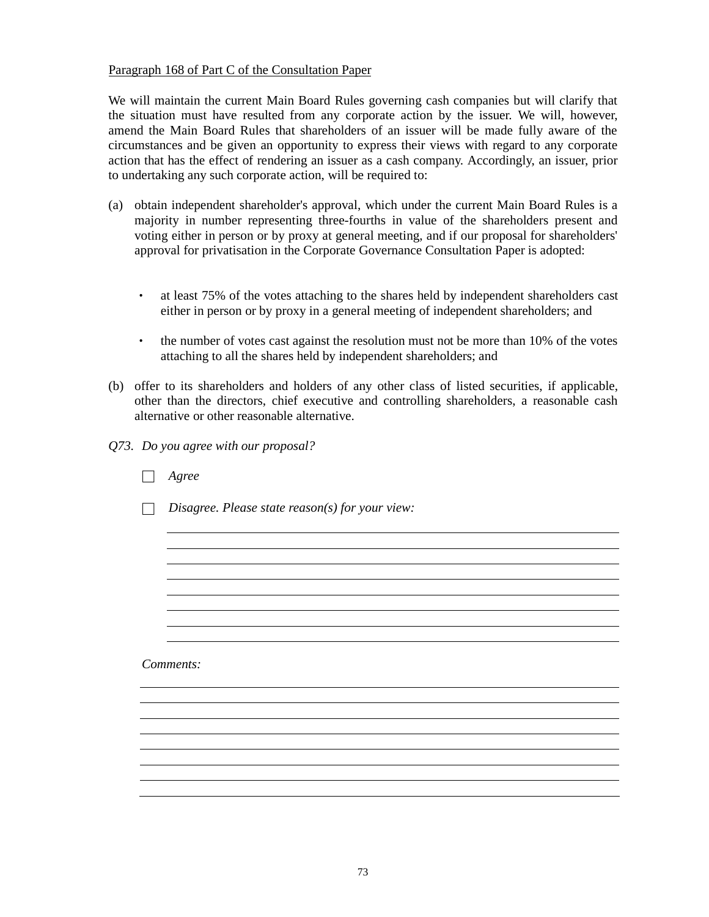# Paragraph 168 of Part C of the Consultation Paper

We will maintain the current Main Board Rules governing cash companies but will clarify that the situation must have resulted from any corporate action by the issuer. We will, however, amend the Main Board Rules that shareholders of an issuer will be made fully aware of the circumstances and be given an opportunity to express their views with regard to any corporate action that has the effect of rendering an issuer as a cash company. Accordingly, an issuer, prior to undertaking any such corporate action, will be required to:

- (a) obtain independent shareholder's approval, which under the current Main Board Rules is a majority in number representing three-fourths in value of the shareholders present and voting either in person or by proxy at general meeting, and if our proposal for shareholders' approval for privatisation in the Corporate Governance Consultation Paper is adopted:
	- at least 75% of the votes attaching to the shares held by independent shareholders cast either in person or by proxy in a general meeting of independent shareholders; and
	- the number of votes cast against the resolution must not be more than 10% of the votes attaching to all the shares held by independent shareholders; and
- (b) offer to its shareholders and holders of any other class of listed securities, if applicable, other than the directors, chief executive and controlling shareholders, a reasonable cash alternative or other reasonable alternative.
- *Q73. Do you agree with our proposal?*

| Agree                                           |
|-------------------------------------------------|
| Disagree. Please state reason(s) for your view: |
|                                                 |
|                                                 |
|                                                 |
|                                                 |
|                                                 |
| Comments:                                       |
|                                                 |
|                                                 |
|                                                 |
|                                                 |
|                                                 |
|                                                 |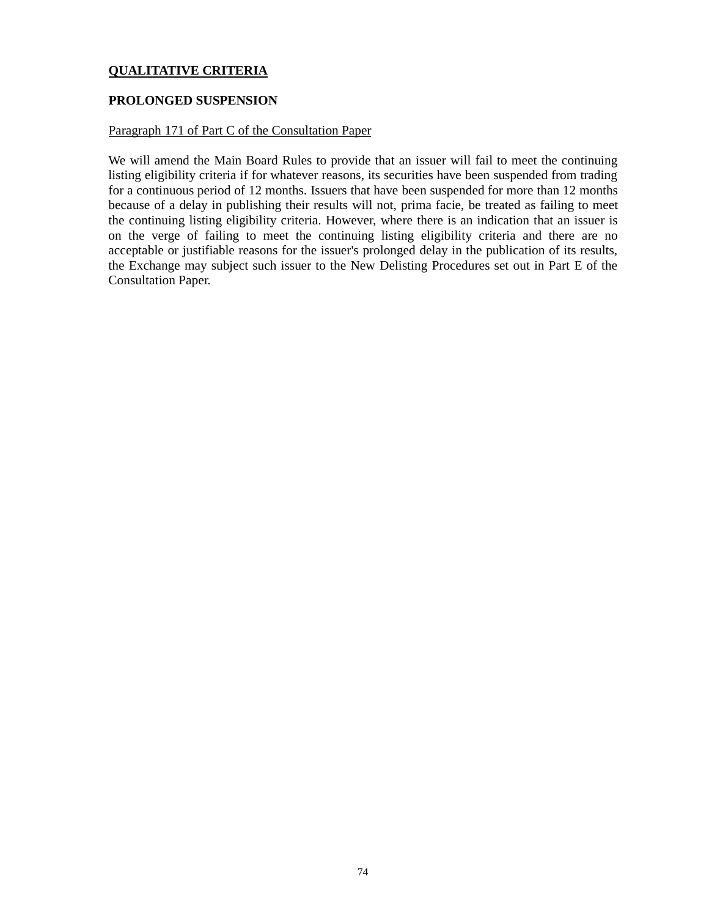# **QUALITATIVE CRITERIA**

# **PROLONGED SUSPENSION**

# Paragraph 171 of Part C of the Consultation Paper

We will amend the Main Board Rules to provide that an issuer will fail to meet the continuing listing eligibility criteria if for whatever reasons, its securities have been suspended from trading for a continuous period of 12 months. Issuers that have been suspended for more than 12 months because of a delay in publishing their results will not, prima facie, be treated as failing to meet the continuing listing eligibility criteria. However, where there is an indication that an issuer is on the verge of failing to meet the continuing listing eligibility criteria and there are no acceptable or justifiable reasons for the issuer's prolonged delay in the publication of its results, the Exchange may subject such issuer to the New Delisting Procedures set out in Part E of the Consultation Paper.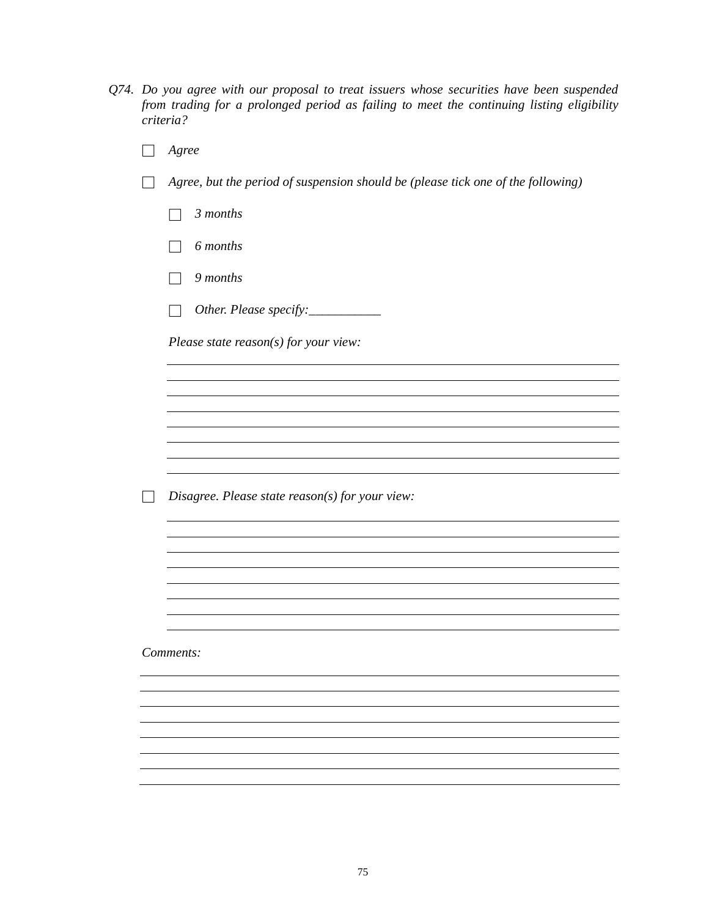- *Q74. Do you agree with our proposal to treat issuers whose securities have been suspended from trading for a prolonged period as failing to meet the continuing listing eligibility criteria?*
	- □ *Agree* □ *Agree, but the period of suspension should be (please tick one of the following)* □ *3 months* □ *6 months* □ *9 months* □ *Other. Please specify:\_\_\_\_\_\_\_\_\_\_\_ Please state reason(s) for your view:* □ *Disagree. Please state reason(s) for your view: Comments:*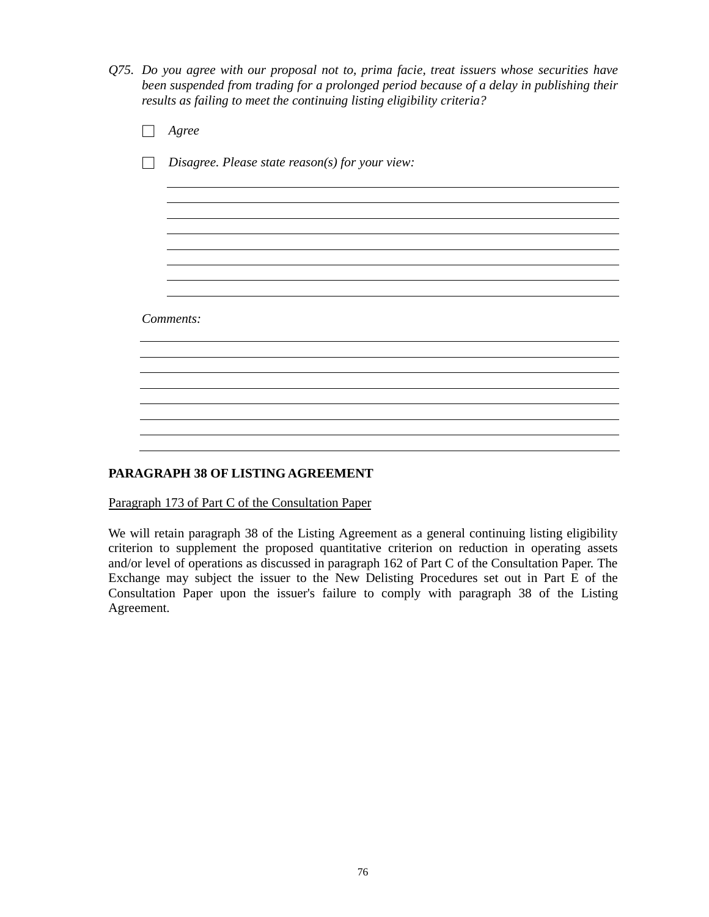*Q75. Do you agree with our proposal not to, prima facie, treat issuers whose securities have been suspended from trading for a prolonged period because of a delay in publishing their results as failing to meet the continuing listing eligibility criteria?*

| Agree                                           |  |
|-------------------------------------------------|--|
| Disagree. Please state reason(s) for your view: |  |
|                                                 |  |
|                                                 |  |
|                                                 |  |
|                                                 |  |
| Comments:                                       |  |
|                                                 |  |
|                                                 |  |
|                                                 |  |
|                                                 |  |

# **PARAGRAPH 38 OF LISTING AGREEMENT**

Paragraph 173 of Part C of the Consultation Paper

We will retain paragraph 38 of the Listing Agreement as a general continuing listing eligibility criterion to supplement the proposed quantitative criterion on reduction in operating assets and/or level of operations as discussed in paragraph 162 of Part C of the Consultation Paper. The Exchange may subject the issuer to the New Delisting Procedures set out in Part E of the Consultation Paper upon the issuer's failure to comply with paragraph 38 of the Listing Agreement.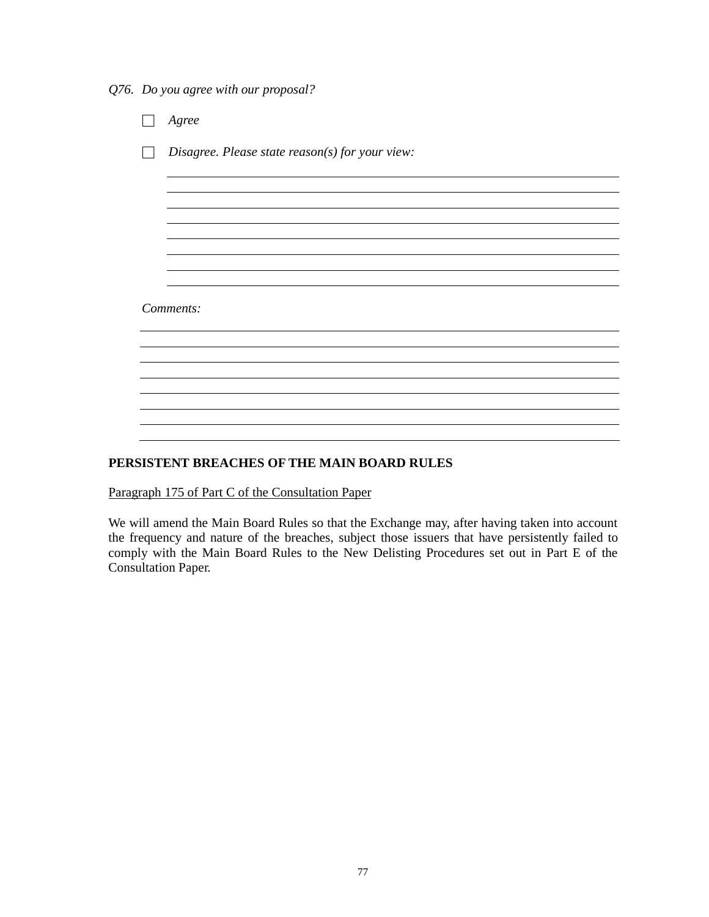*Q76. Do you agree with our proposal?*

|           | Agree                                           |  |
|-----------|-------------------------------------------------|--|
|           | Disagree. Please state reason(s) for your view: |  |
|           |                                                 |  |
|           |                                                 |  |
|           |                                                 |  |
|           |                                                 |  |
| Comments: |                                                 |  |
|           |                                                 |  |
|           |                                                 |  |
|           |                                                 |  |
|           |                                                 |  |

# **PERSISTENT BREACHES OF THE MAIN BOARD RULES**

Paragraph 175 of Part C of the Consultation Paper

We will amend the Main Board Rules so that the Exchange may, after having taken into account the frequency and nature of the breaches, subject those issuers that have persistently failed to comply with the Main Board Rules to the New Delisting Procedures set out in Part E of the Consultation Paper.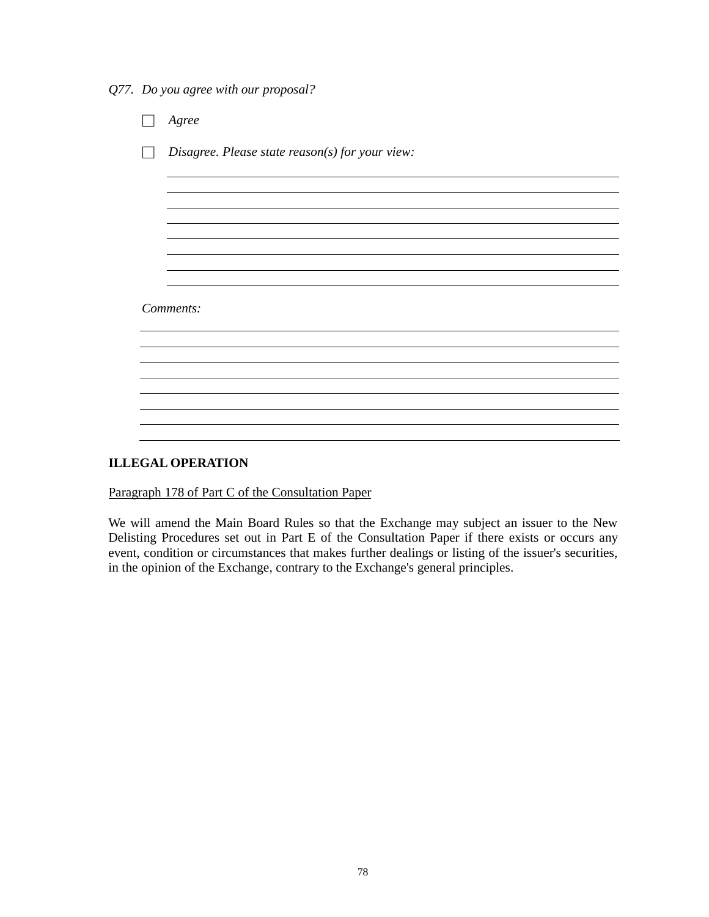*Q77. Do you agree with our proposal?*

|           | Agree                                             |  |
|-----------|---------------------------------------------------|--|
|           | Disagree. Please state $reason(s)$ for your view: |  |
|           |                                                   |  |
|           |                                                   |  |
|           |                                                   |  |
|           |                                                   |  |
| Comments: |                                                   |  |
|           |                                                   |  |
|           |                                                   |  |
|           |                                                   |  |
|           |                                                   |  |

# **ILLEGAL OPERATION**

Paragraph 178 of Part C of the Consultation Paper

We will amend the Main Board Rules so that the Exchange may subject an issuer to the New Delisting Procedures set out in Part E of the Consultation Paper if there exists or occurs any event, condition or circumstances that makes further dealings or listing of the issuer's securities, in the opinion of the Exchange, contrary to the Exchange's general principles.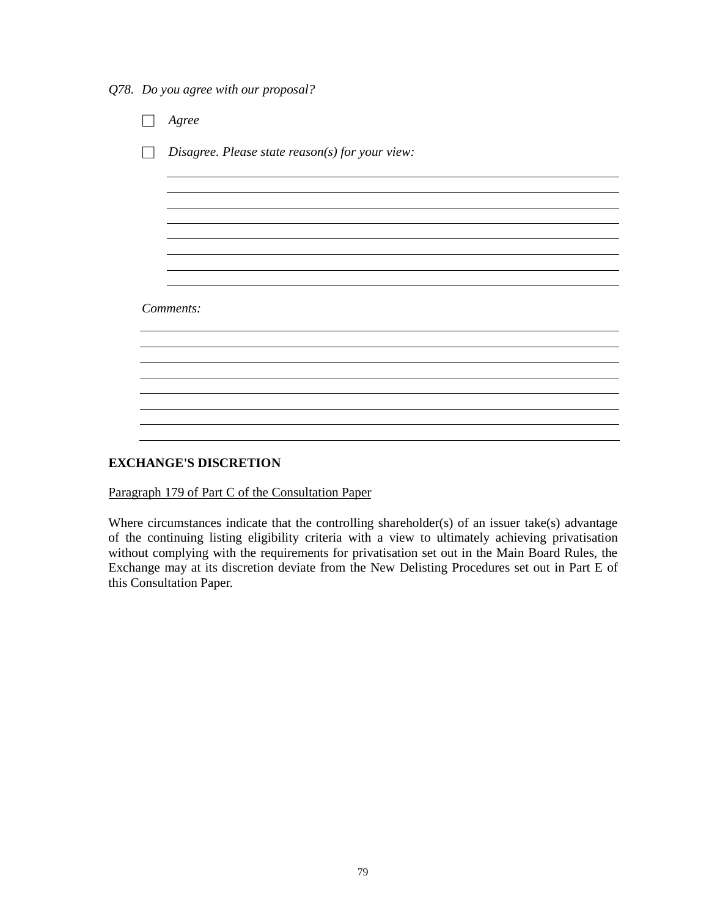*Q78. Do you agree with our proposal?*

|           | Agree                                             |  |
|-----------|---------------------------------------------------|--|
|           | Disagree. Please state $reason(s)$ for your view: |  |
|           |                                                   |  |
|           |                                                   |  |
|           |                                                   |  |
|           |                                                   |  |
| Comments: |                                                   |  |
|           |                                                   |  |
|           |                                                   |  |
|           |                                                   |  |
|           |                                                   |  |

# **EXCHANGE'S DISCRETION**

Paragraph 179 of Part C of the Consultation Paper

Where circumstances indicate that the controlling shareholder(s) of an issuer take(s) advantage of the continuing listing eligibility criteria with a view to ultimately achieving privatisation without complying with the requirements for privatisation set out in the Main Board Rules, the Exchange may at its discretion deviate from the New Delisting Procedures set out in Part E of this Consultation Paper.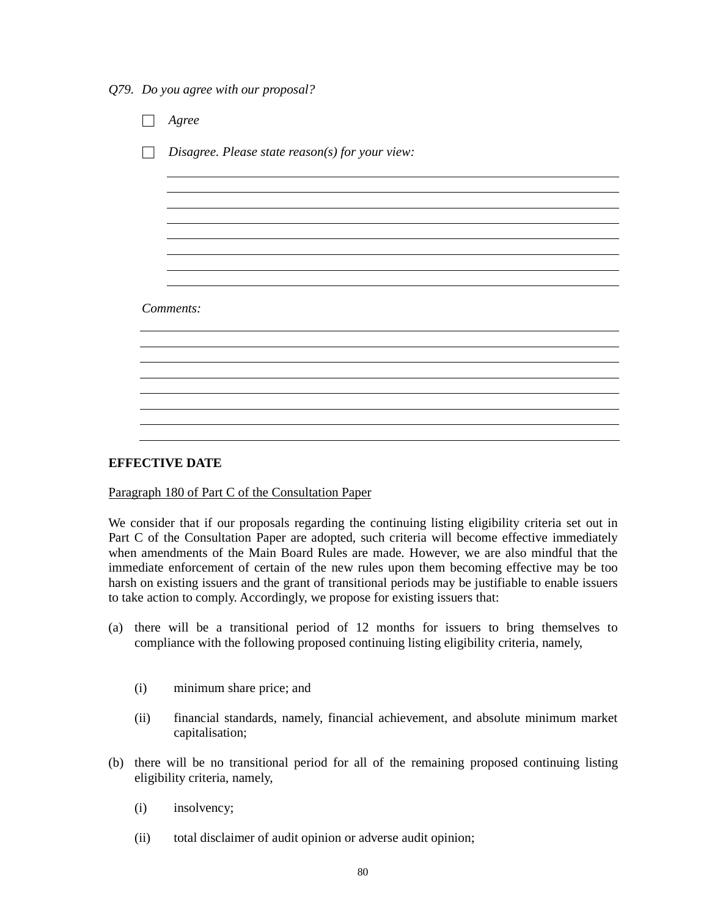*Q79. Do you agree with our proposal?*

|           | Agree                                           |  |
|-----------|-------------------------------------------------|--|
|           | Disagree. Please state reason(s) for your view: |  |
|           |                                                 |  |
|           |                                                 |  |
|           |                                                 |  |
|           |                                                 |  |
| Comments: |                                                 |  |
|           |                                                 |  |
|           |                                                 |  |
|           |                                                 |  |
|           |                                                 |  |

## **EFFECTIVE DATE**

## Paragraph 180 of Part C of the Consultation Paper

We consider that if our proposals regarding the continuing listing eligibility criteria set out in Part C of the Consultation Paper are adopted, such criteria will become effective immediately when amendments of the Main Board Rules are made. However, we are also mindful that the immediate enforcement of certain of the new rules upon them becoming effective may be too harsh on existing issuers and the grant of transitional periods may be justifiable to enable issuers to take action to comply. Accordingly, we propose for existing issuers that:

- (a) there will be a transitional period of 12 months for issuers to bring themselves to compliance with the following proposed continuing listing eligibility criteria, namely,
	- (i) minimum share price; and
	- (ii) financial standards, namely, financial achievement, and absolute minimum market capitalisation;
- (b) there will be no transitional period for all of the remaining proposed continuing listing eligibility criteria, namely,
	- (i) insolvency;
	- (ii) total disclaimer of audit opinion or adverse audit opinion;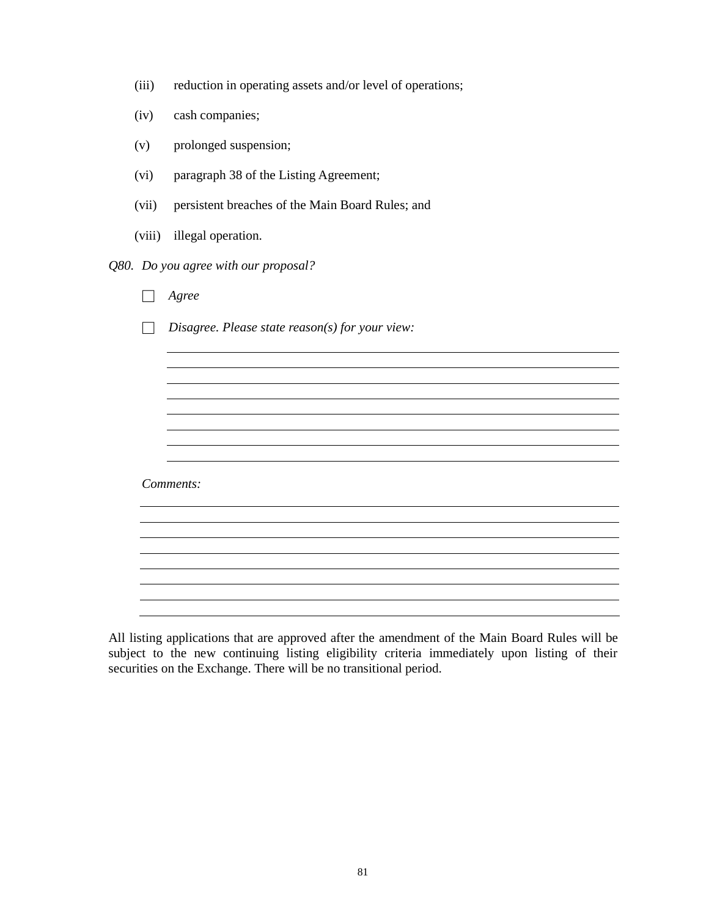| (iii) |  |  | reduction in operating assets and/or level of operations; |
|-------|--|--|-----------------------------------------------------------|
|       |  |  |                                                           |

- (iv) cash companies;
- (v) prolonged suspension;
- (vi) paragraph 38 of the Listing Agreement;
- (vii) persistent breaches of the Main Board Rules; and
- (viii) illegal operation.
- *Q80. Do you agree with our proposal?*

| Agree                                           |
|-------------------------------------------------|
| Disagree. Please state reason(s) for your view: |
|                                                 |
|                                                 |
|                                                 |
|                                                 |
|                                                 |
| Comments:                                       |
|                                                 |
|                                                 |
|                                                 |
|                                                 |
|                                                 |

All listing applications that are approved after the amendment of the Main Board Rules will be subject to the new continuing listing eligibility criteria immediately upon listing of their securities on the Exchange. There will be no transitional period.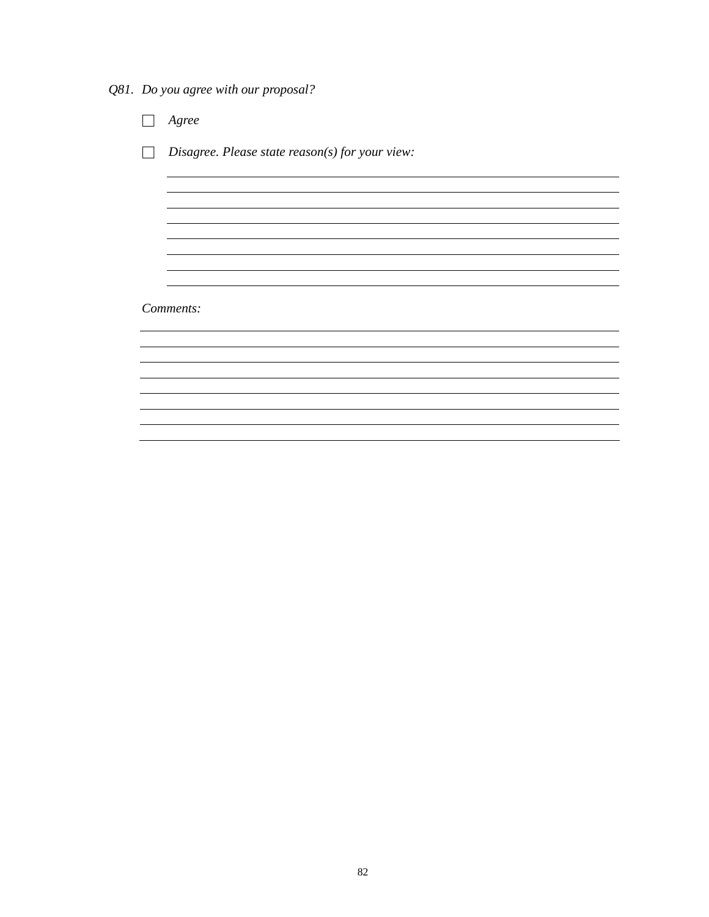*Q81. Do you agree with our proposal?*

□ *Agree* □ *Disagree. Please state reason(s) for your view: Comments:*<u> 1989 - Johann Stoff, amerikansk politiker (d. 1989)</u>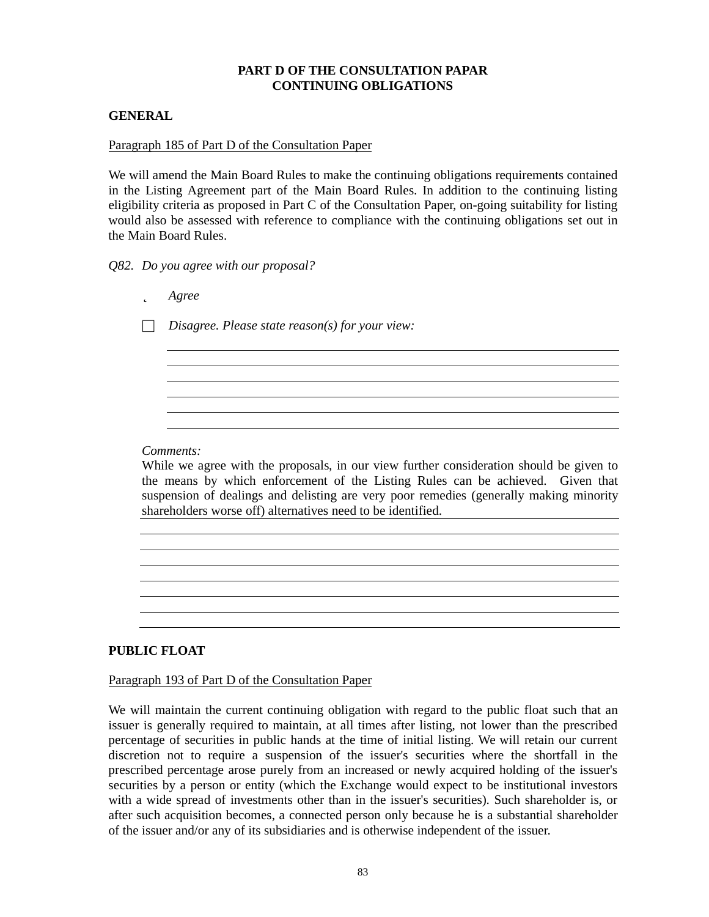# **PART D OF THE CONSULTATION PAPAR CONTINUING OBLIGATIONS**

# **GENERAL**

### Paragraph 185 of Part D of the Consultation Paper

We will amend the Main Board Rules to make the continuing obligations requirements contained in the Listing Agreement part of the Main Board Rules. In addition to the continuing listing eligibility criteria as proposed in Part C of the Consultation Paper, on-going suitability for listing would also be assessed with reference to compliance with the continuing obligations set out in the Main Board Rules.

*Q82. Do you agree with our proposal?*

| Agree                                           |
|-------------------------------------------------|
| Disagree. Please state reason(s) for your view: |
|                                                 |
|                                                 |
|                                                 |
|                                                 |
|                                                 |
|                                                 |

## *Comments:*

While we agree with the proposals, in our view further consideration should be given to the means by which enforcement of the Listing Rules can be achieved. Given that suspension of dealings and delisting are very poor remedies (generally making minority shareholders worse off) alternatives need to be identified.

# **PUBLIC FLOAT**

## Paragraph 193 of Part D of the Consultation Paper

We will maintain the current continuing obligation with regard to the public float such that an issuer is generally required to maintain, at all times after listing, not lower than the prescribed percentage of securities in public hands at the time of initial listing. We will retain our current discretion not to require a suspension of the issuer's securities where the shortfall in the prescribed percentage arose purely from an increased or newly acquired holding of the issuer's securities by a person or entity (which the Exchange would expect to be institutional investors with a wide spread of investments other than in the issuer's securities). Such shareholder is, or after such acquisition becomes, a connected person only because he is a substantial shareholder of the issuer and/or any of its subsidiaries and is otherwise independent of the issuer.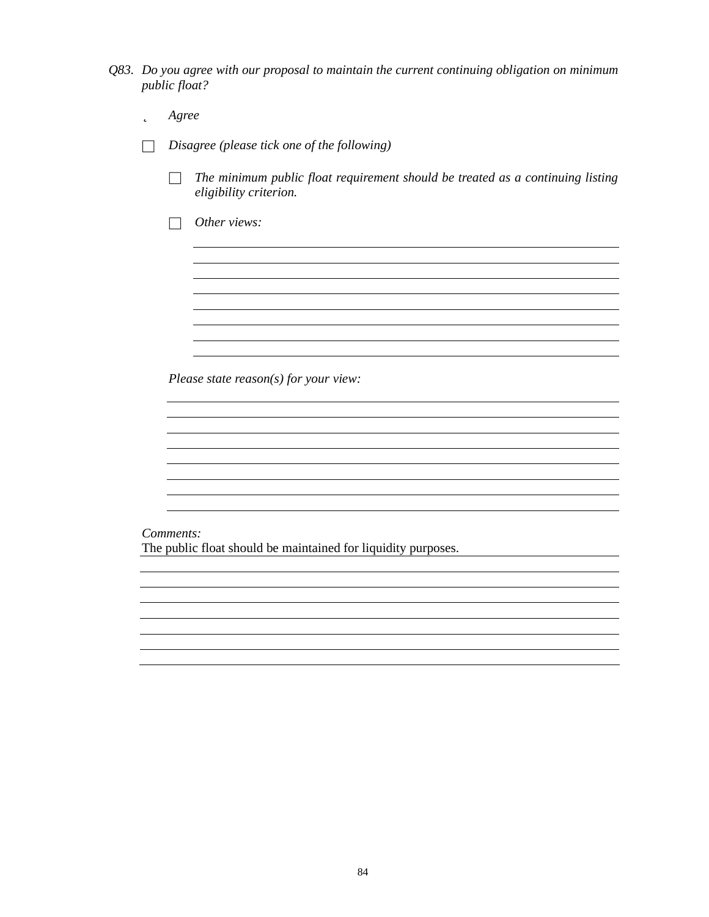*Q83. Do you agree with our proposal to maintain the current continuing obligation on minimum public float?*

| þ | Agree                                                                                                    |
|---|----------------------------------------------------------------------------------------------------------|
|   | Disagree (please tick one of the following)                                                              |
|   | The minimum public float requirement should be treated as a continuing listing<br>eligibility criterion. |
|   | Other views:                                                                                             |
|   |                                                                                                          |
|   |                                                                                                          |
|   |                                                                                                          |
|   |                                                                                                          |
|   | Please state $reason(s)$ for your view:                                                                  |
|   |                                                                                                          |
|   |                                                                                                          |
|   |                                                                                                          |
|   |                                                                                                          |
|   | Comments:<br>The public float should be maintained for liquidity purposes.                               |
|   |                                                                                                          |
|   |                                                                                                          |
|   |                                                                                                          |
|   |                                                                                                          |
|   |                                                                                                          |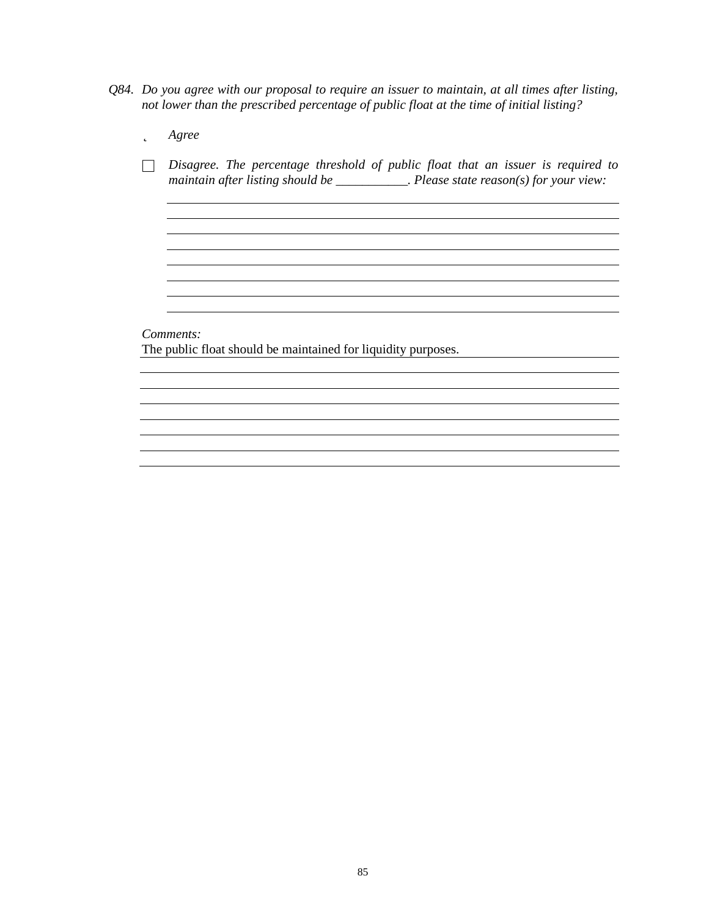*Q84. Do you agree with our proposal to require an issuer to maintain, at all times after listing, not lower than the prescribed percentage of public float at the time of initial listing?*

| р | Agree                                                                                                                                                                        |
|---|------------------------------------------------------------------------------------------------------------------------------------------------------------------------------|
|   | Disagree. The percentage threshold of public float that an issuer is required to<br>maintain after listing should be $\_\_\_\_\_\_\_\$ Please state reason(s) for your view: |
|   |                                                                                                                                                                              |
|   |                                                                                                                                                                              |
|   |                                                                                                                                                                              |
|   |                                                                                                                                                                              |
|   | Comments:                                                                                                                                                                    |
|   | The public float should be maintained for liquidity purposes.                                                                                                                |
|   |                                                                                                                                                                              |
|   |                                                                                                                                                                              |
|   |                                                                                                                                                                              |
|   |                                                                                                                                                                              |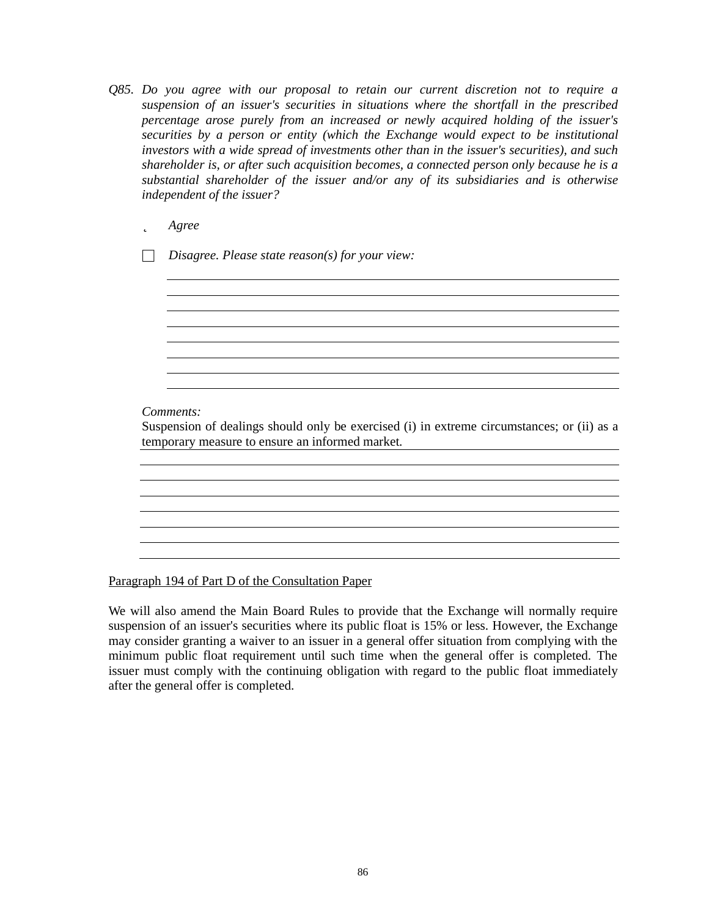*Q85. Do you agree with our proposal to retain our current discretion not to require a suspension of an issuer's securities in situations where the shortfall in the prescribed percentage arose purely from an increased or newly acquired holding of the issuer's securities by a person or entity (which the Exchange would expect to be institutional investors with a wide spread of investments other than in the issuer's securities), and such shareholder is, or after such acquisition becomes, a connected person only because he is a substantial shareholder of the issuer and/or any of its subsidiaries and is otherwise independent of the issuer?*

# þ *Agree*

□ *Disagree. Please state reason(s) for your view:*

# *Comments:*

Suspension of dealings should only be exercised (i) in extreme circumstances; or (ii) as a temporary measure to ensure an informed market.

<u> 1980 - Johann Barn, mars an t-Amerikaansk politiker (\* 1950)</u>

Paragraph 194 of Part D of the Consultation Paper

We will also amend the Main Board Rules to provide that the Exchange will normally require suspension of an issuer's securities where its public float is 15% or less. However, the Exchange may consider granting a waiver to an issuer in a general offer situation from complying with the minimum public float requirement until such time when the general offer is completed. The issuer must comply with the continuing obligation with regard to the public float immediately after the general offer is completed.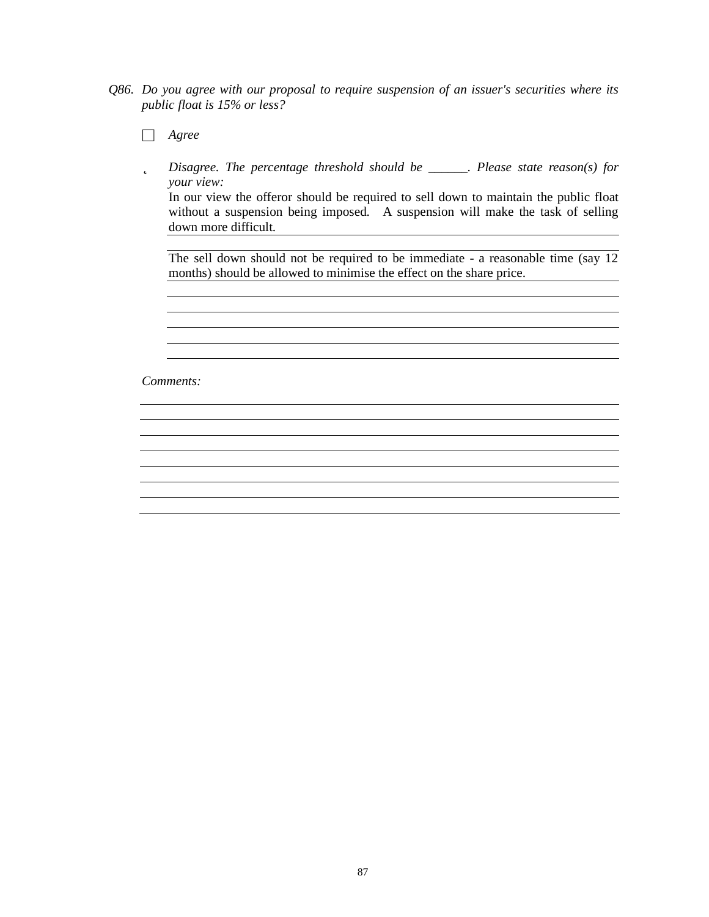*Q86. Do you agree with our proposal to require suspension of an issuer's securities where its public float is 15% or less?*

□ *Agree*

þ *Disagree. The percentage threshold should be \_\_\_\_\_\_. Please state reason(s) for your view:*

In our view the offeror should be required to sell down to maintain the public float without a suspension being imposed. A suspension will make the task of selling down more difficult. 

The sell down should not be required to be immediate - a reasonable time (say 12 months) should be allowed to minimise the effect on the share price.

the control of the control of the control of the control of the control of the control of the control of the control of the control of the control of the control of the control of the control of the control of the control

*Comments:*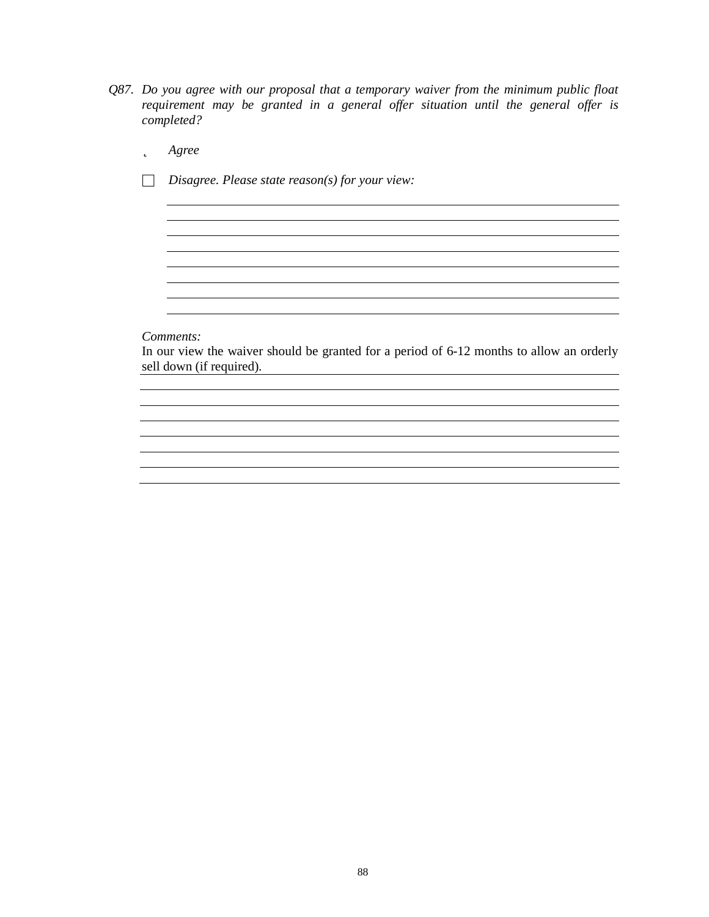- *Q87. Do you agree with our proposal that a temporary waiver from the minimum public float requirement may be granted in a general offer situation until the general offer is completed?*
	- þ *Agree*
	- □ *Disagree. Please state reason(s) for your view:*

*Comments:*

In our view the waiver should be granted for a period of 6-12 months to allow an orderly sell down (if required).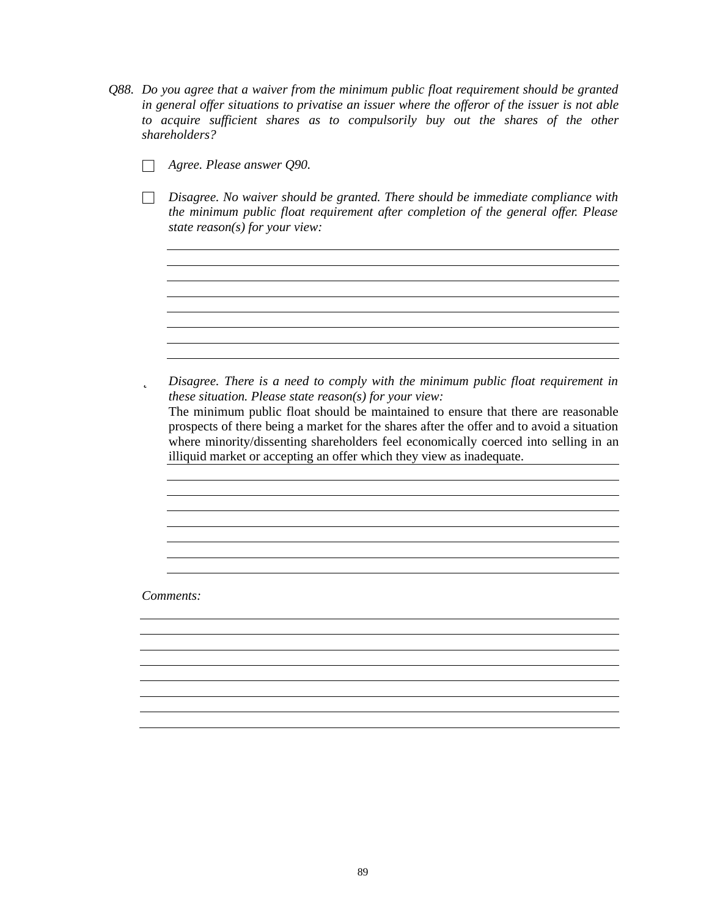- *Q88. Do you agree that a waiver from the minimum public float requirement should be granted in general offer situations to privatise an issuer where the offeror of the issuer is not able to acquire sufficient shares as to compulsorily buy out the shares of the other shareholders?*
	- □ *Agree. Please answer Q90.*
	- □ *Disagree. No waiver should be granted. There should be immediate compliance with the minimum public float requirement after completion of the general of er. Please state reason(s) for your view:*

<u> 1989 - Johann Stoff, amerikansk politiker (\* 1908)</u>

<u> 1989 - Johann Barn, mars ann an t-Amhain an t-Amhain an t-Amhain an t-Amhain an t-Amhain an t-Amhain an t-Amh</u>

<u> 1980 - Johann Stoff, deutscher Stoffen und der Stoffen und der Stoffen und der Stoffen und der Stoffen und de</u>

þ *Disagree. There is a need to comply with the minimum public float requirement in these situation. Please state reason(s) for your view:* The minimum public float should be maintained to ensure that there are reasonable prospects of there being a market for the shares after the offer and to avoid a situation where minority/dissenting shareholders feel economically coerced into selling in an illiquid market or accepting an offer which they view as inadequate.

*Comments:*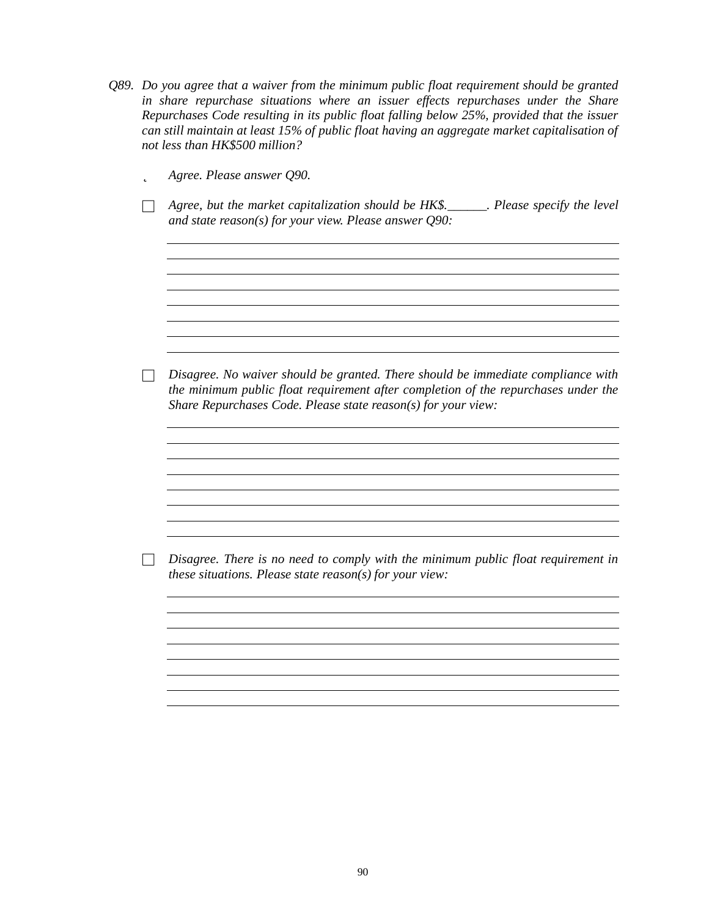| Q89. Do you agree that a waiver from the minimum public float requirement should be granted  |
|----------------------------------------------------------------------------------------------|
| in share repurchase situations where an issuer effects repurchases under the Share           |
| Repurchases Code resulting in its public float falling below 25%, provided that the issuer   |
| can still maintain at least 15% of public float having an aggregate market capitalisation of |
| not less than HK\$500 million?                                                               |
|                                                                                              |

þ *Agree. Please answer Q90.*

□ *Agree, but the market capitalization should be HK\$.\_\_\_\_\_\_. Please specify the level and state reason(s) for your view. Please answer Q90:*

□ *Disagree. No waiver should be granted. There should be immediate compliance with the minimum public float requirement after completion of the repurchases under the Share Repurchases Code. Please state reason(s) for your view:*

<u> 1989 - Johann Stoff, deutscher Stoffen und der Stoffen und der Stoffen und der Stoffen und der Stoffen und de</u>

<u> 1980 - Johann Stoff, deutscher Stoff, der Stoff, deutscher Stoff, der Stoff, der Stoff, der Stoff, der Stoff</u>

□ *Disagree. There is no need to comply with the minimum public float requirement in these situations. Please state reason(s) for your view:*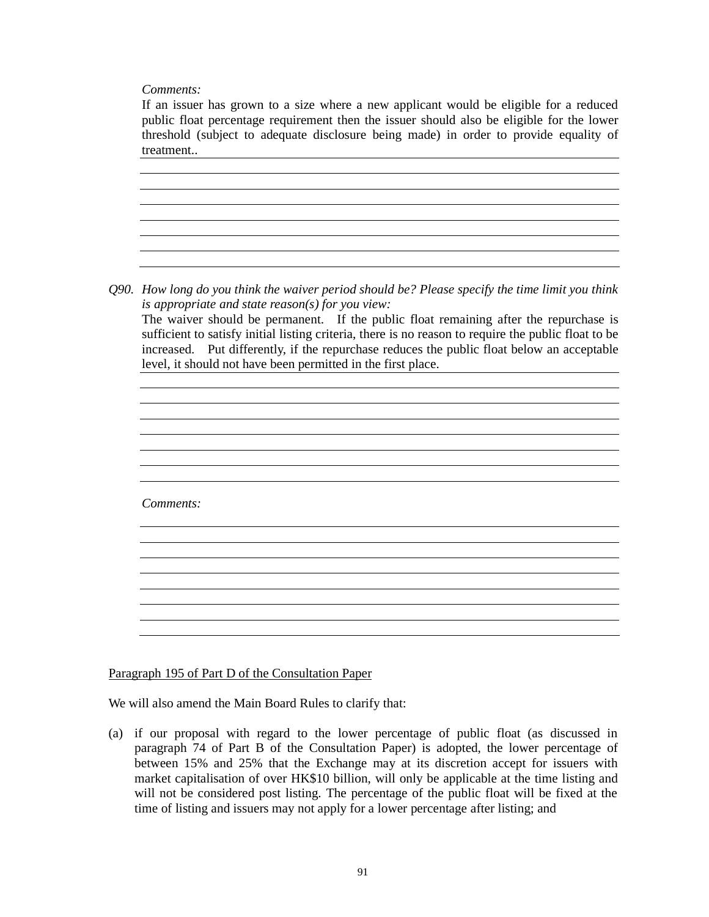*Comments:*

If an issuer has grown to a size where a new applicant would be eligible for a reduced public float percentage requirement then the issuer should also be eligible for the lower threshold (subject to adequate disclosure being made) in order to provide equality of treatment.. *Q90. How long do you think the waiver period should be? Please specify the time limit you think is appropriate and state reason(s) for you view:* The waiver should be permanent. If the public float remaining after the repurchase is sufficient to satisfy initial listing criteria, there is no reason to require the public float to be increased. Put differently, if the repurchase reduces the public float below an acceptable level, it should not have been permitted in the first place. *Comments:*

Paragraph 195 of Part D of the Consultation Paper

We will also amend the Main Board Rules to clarify that:

(a) if our proposal with regard to the lower percentage of public float (as discussed in paragraph 74 of Part B of the Consultation Paper) is adopted, the lower percentage of between 15% and 25% that the Exchange may at its discretion accept for issuers with market capitalisation of over HK\$10 billion, will only be applicable at the time listing and will not be considered post listing. The percentage of the public float will be fixed at the time of listing and issuers may not apply for a lower percentage after listing; and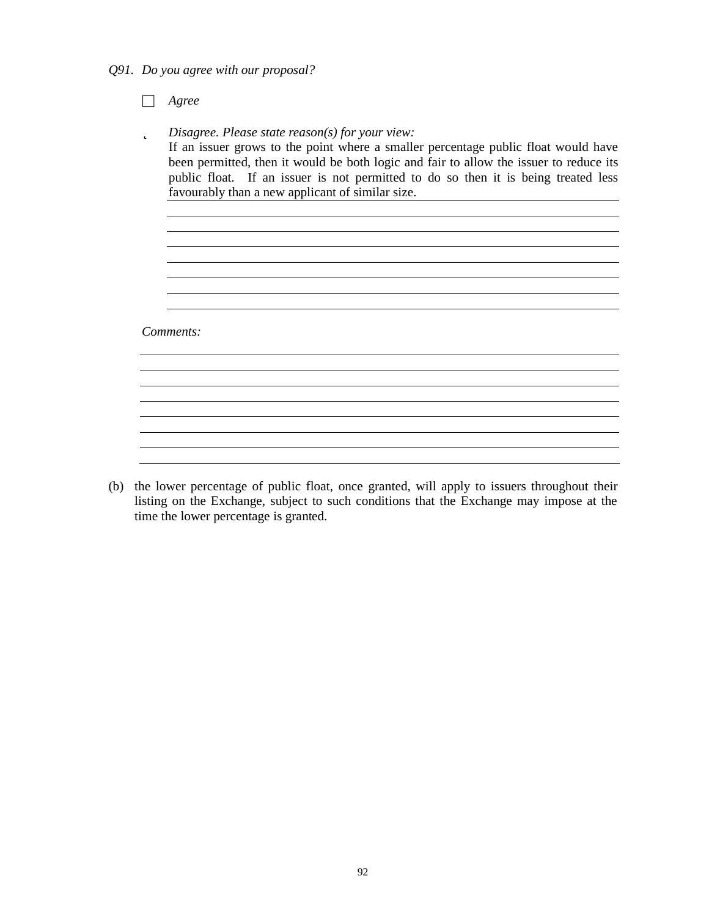*Q91. Do you agree with our proposal?*

□ *Agree*

þ *Disagree. Please state reason(s) for your view:* If an issuer grows to the point where a smaller percentage public float would have been permitted, then it would be both logic and fair to allow the issuer to reduce its public float. If an issuer is not permitted to do so then it is being treated less favourably than a new applicant of similar size. <u> 1980 - Johann Barnett, fransk politik (d. 1980)</u> <u> 1980 - Johann Stoff, deutscher Stoffen und der Stoffen und der Stoffen und der Stoffen und der Stoffen und de</u> <u> 1989 - Johann Stoff, amerikansk politiker (d. 1989)</u> *Comments:*

(b) the lower percentage of public float, once granted, will apply to issuers throughout their listing on the Exchange, subject to such conditions that the Exchange may impose at the time the lower percentage is granted.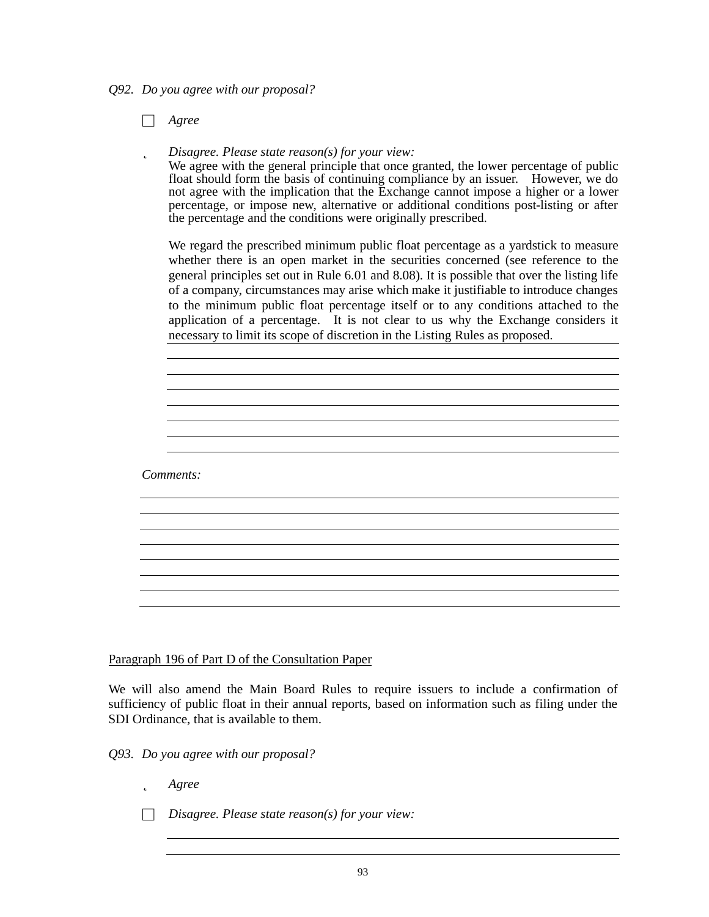*Q92. Do you agree with our proposal?*

□ *Agree*

þ *Disagree. Please state reason(s) for your view:*

We agree with the general principle that once granted, the lower percentage of public float should form the basis of continuing compliance by an issuer. However, we do not agree with the implication that the Exchange cannot impose a higher or a lower percentage, or impose new, alternative or additional conditions post-listing or after the percentage and the conditions were originally prescribed.

We regard the prescribed minimum public float percentage as a yardstick to measure whether there is an open market in the securities concerned (see reference to the general principles set out in Rule 6.01 and 8.08). It is possible that over the listing life of a company, circumstances may arise which make it justifiable to introduce changes to the minimum public float percentage itself or to any conditions attached to the application of a percentage. It is not clear to us why the Exchange considers it necessary to limit its scope of discretion in the Listing Rules as proposed.

*Comments:*

Paragraph 196 of Part D of the Consultation Paper

We will also amend the Main Board Rules to require issuers to include a confirmation of sufficiency of public float in their annual reports, based on information such as filing under the SDI Ordinance, that is available to them.

*Q93. Do you agree with our proposal?*

- þ *Agree*
- □ *Disagree. Please state reason(s) for your view:*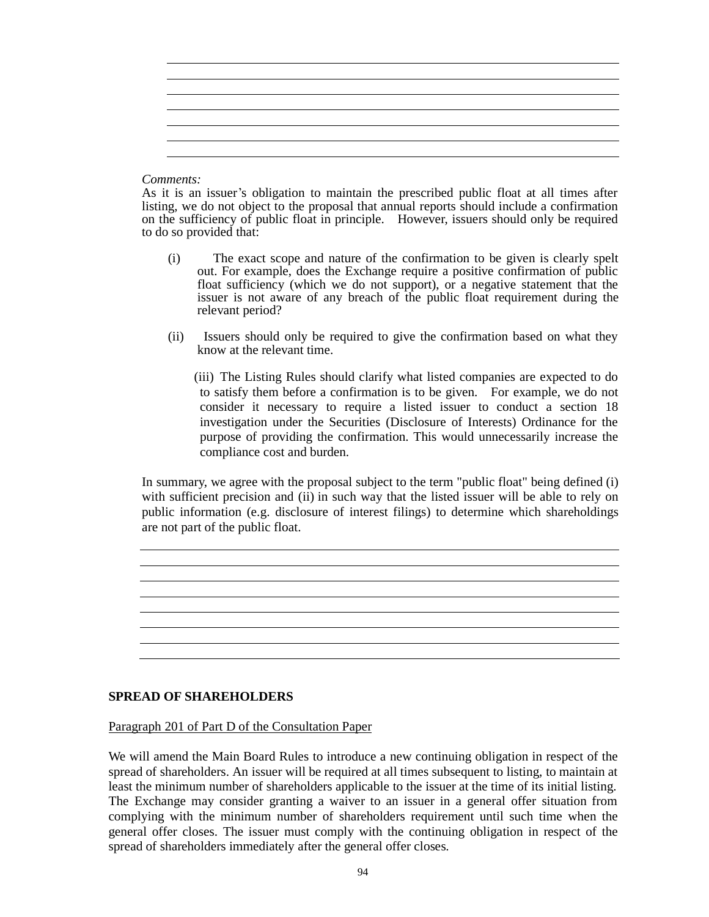*Comments:*

As it is an issuer's obligation to maintain the prescribed public float at all times after listing, we do not object to the proposal that annual reports should include a confirmation on the sufficiency of public float in principle. However, issuers should only be required to do so provided that:

- (i) The exact scope and nature of the confirmation to be given is clearly spelt out. For example, does the Exchange require a positive confirmation of public float sufficiency (which we do not support), or a negative statement that the issuer is not aware of any breach of the public float requirement during the relevant period?
- (ii) Issuers should only be required to give the confirmation based on what they know at the relevant time.

 (iii) The Listing Rules should clarify what listed companies are expected to do to satisfy them before a confirmation is to be given. For example, we do not consider it necessary to require a listed issuer to conduct a section 18 investigation under the Securities (Disclosure of Interests) Ordinance for the purpose of providing the confirmation. This would unnecessarily increase the compliance cost and burden.

In summary, we agree with the proposal subject to the term "public float" being defined (i) with sufficient precision and (ii) in such way that the listed issuer will be able to rely on public information (e.g. disclosure of interest filings) to determine which shareholdings are not part of the public float.

## **SPREAD OF SHAREHOLDERS**

Paragraph 201 of Part D of the Consultation Paper

We will amend the Main Board Rules to introduce a new continuing obligation in respect of the spread of shareholders. An issuer will be required at all times subsequent to listing, to maintain at least the minimum number of shareholders applicable to the issuer at the time of its initial listing. The Exchange may consider granting a waiver to an issuer in a general offer situation from complying with the minimum number of shareholders requirement until such time when the general offer closes. The issuer must comply with the continuing obligation in respect of the spread of shareholders immediately after the general offer closes.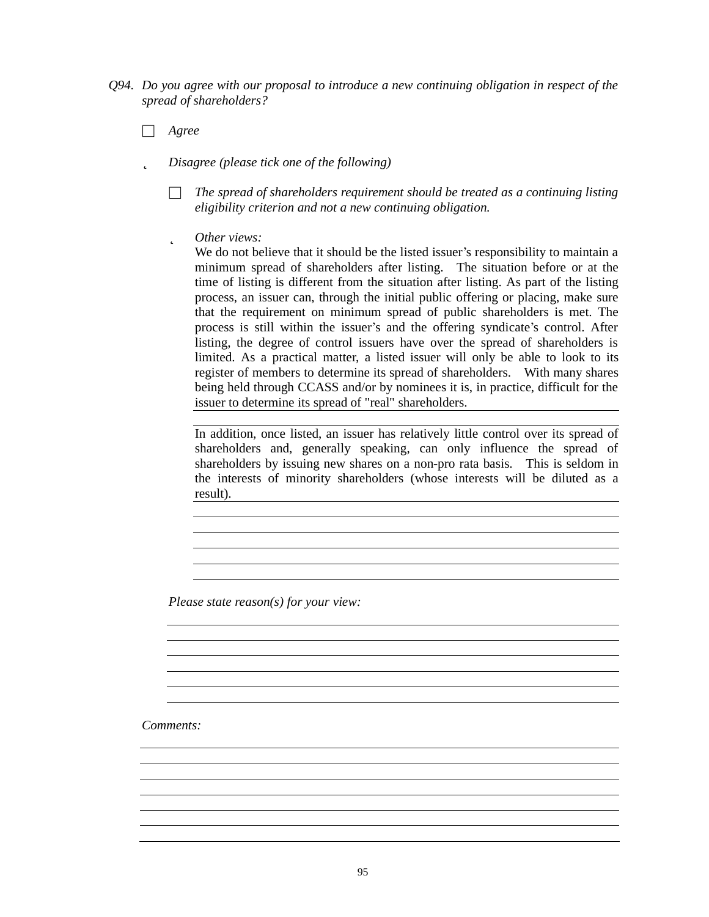- *Q94. Do you agree with our proposal to introduce a new continuing obligation in respect of the spread of shareholders?*
	- □ *Agree*
	- þ *Disagree (please tick one of the following)*
		- □ *The spread of shareholders requirement should be treated as a continuing listing eligibility criterion and not a new continuing obligation.*
		- þ *Other views:*

We do not believe that it should be the listed issuer's responsibility to maintain a minimum spread of shareholders after listing. The situation before or at the time of listing is different from the situation after listing. As part of the listing process, an issuer can, through the initial public offering or placing, make sure that the requirement on minimum spread of public shareholders is met. The process is still within the issuer's and the offering syndicate's control. After listing, the degree of control issuers have over the spread of shareholders is limited. As a practical matter, a listed issuer will only be able to look to its register of members to determine its spread of shareholders. With many shares being held through CCASS and/or by nominees it is, in practice, difficult for the issuer to determine its spread of "real" shareholders.

In addition, once listed, an issuer has relatively little control over its spread of shareholders and, generally speaking, can only influence the spread of shareholders by issuing new shares on a non-pro rata basis. This is seldom in the interests of minority shareholders (whose interests will be diluted as a result).

<u> 1989 - Johann Stoff, deutscher Stoff, der Stoff, der Stoff, der Stoff, der Stoff, der Stoff, der Stoff, der S</u>

<u> 1980 - Johann Barn, mars ann an t-Amhain Aonaich an t-Aonaich an t-Aonaich ann an t-Aonaich ann an t-Aonaich</u>

*Please state reason(s) for your view:*

*Comments:*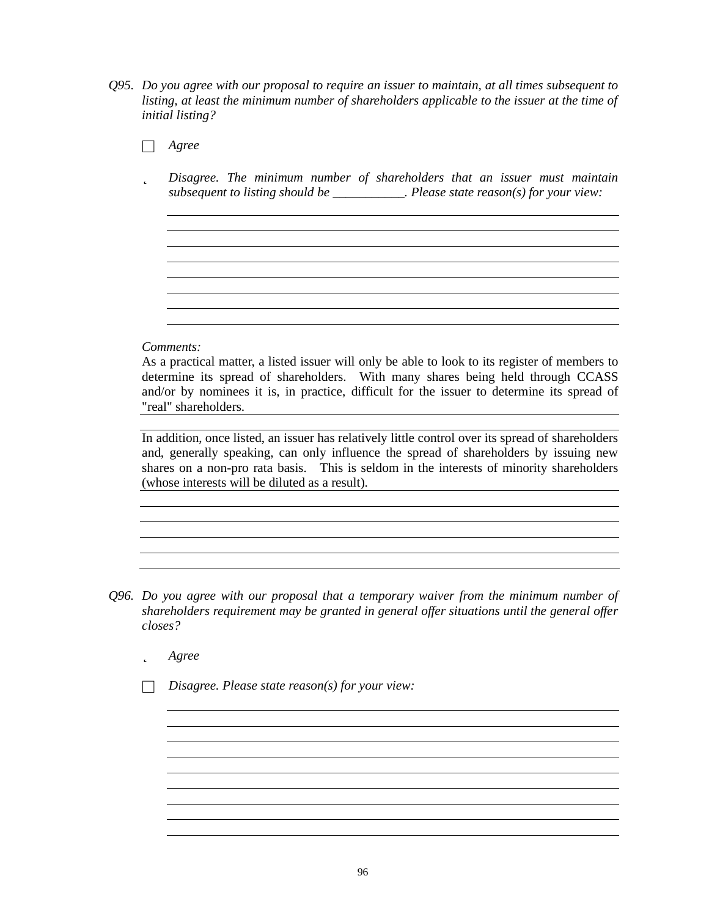- *Q95. Do you agree with our proposal to require an issuer to maintain, at all times subsequent to listing, at least the minimum number of shareholders applicable to the issuer at the time of initial listing?*
	- □ *Agree* þ *Disagree. The minimum number of shareholders that an issuer must maintain subsequent to listing should be \_\_\_\_\_\_\_\_\_\_\_. Please state reason(s) for your view: Comments:* As a practical matter, a listed issuer will only be able to look to its register of members to determine its spread of shareholders. With many shares being held through CCASS and/or by nominees it is, in practice, difficult for the issuer to determine its spread of "real" shareholders. In addition, once listed, an issuer has relatively little control over its spread of shareholders and, generally speaking, can only influence the spread of shareholders by issuing new shares on a non-pro rata basis. This is seldom in the interests of minority shareholders (whose interests will be diluted as a result).
- *Q96. Do you agree with our proposal that a temporary waiver from the minimum number of shareholders requirement may be granted in general offer situations until the general of er closes?*
	- þ *Agree*
	- □ *Disagree. Please state reason(s) for your view:*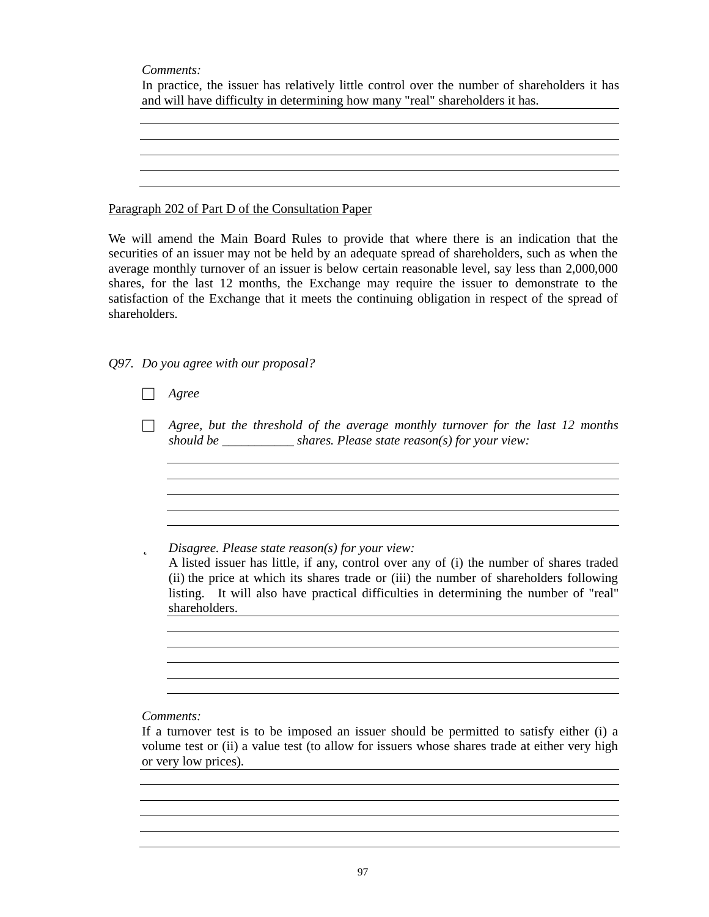*Comments:*

|  |                                                                              |  | In practice, the issuer has relatively little control over the number of shareholders it has |  |
|--|------------------------------------------------------------------------------|--|----------------------------------------------------------------------------------------------|--|
|  | and will have difficulty in determining how many "real" shareholders it has. |  |                                                                                              |  |

<u> 1980 - Johann Stoff, deutscher Stoff, der Stoff, deutscher Stoff, der Stoff, der Stoff, der Stoff, der Stoff</u>

Paragraph 202 of Part D of the Consultation Paper

We will amend the Main Board Rules to provide that where there is an indication that the securities of an issuer may not be held by an adequate spread of shareholders, such as when the average monthly turnover of an issuer is below certain reasonable level, say less than 2,000,000 shares, for the last 12 months, the Exchange may require the issuer to demonstrate to the satisfaction of the Exchange that it meets the continuing obligation in respect of the spread of shareholders.

*Q97. Do you agree with our proposal?*

□ *Agree*

□ *Agree, but the threshold of the average monthly turnover for the last 12 months should be \_\_\_\_\_\_\_\_\_\_\_ shares. Please state reason(s) for your view:*

þ *Disagree. Please state reason(s) for your view:*

A listed issuer has little, if any, control over any of (i) the number of shares traded (ii) the price at which its shares trade or (iii) the number of shareholders following listing. It will also have practical difficulties in determining the number of "real" shareholders.

<u> 1980 - Johann Stoff, deutscher Stoffen und der Stoffen und der Stoffen und der Stoffen und der Stoffen und d</u>

<u> 1980 - Johann Barbara, martxa alemaniar amerikan basar da a</u>

*Comments:*

If a turnover test is to be imposed an issuer should be permitted to satisfy either (i) a volume test or (ii) a value test (to allow for issuers whose shares trade at either very high or very low prices).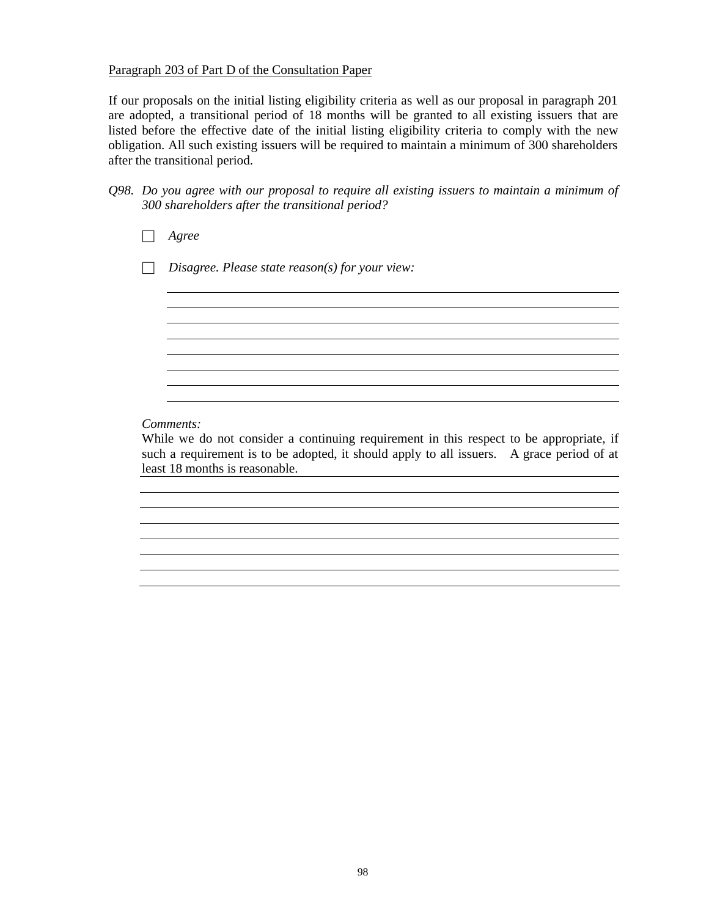### Paragraph 203 of Part D of the Consultation Paper

If our proposals on the initial listing eligibility criteria as well as our proposal in paragraph 201 are adopted, a transitional period of 18 months will be granted to all existing issuers that are listed before the effective date of the initial listing eligibility criteria to comply with the new obligation. All such existing issuers will be required to maintain a minimum of 300 shareholders after the transitional period.

| $Q98.$ Do you agree with our proposal to require all existing issuers to maintain a minimum of |
|------------------------------------------------------------------------------------------------|
| 300 shareholders after the transitional period?                                                |

□ *Agree*

□ *Disagree. Please state reason(s) for your view:*

## *Comments:*

While we do not consider a continuing requirement in this respect to be appropriate, if such a requirement is to be adopted, it should apply to all issuers. A grace period of at least 18 months is reasonable.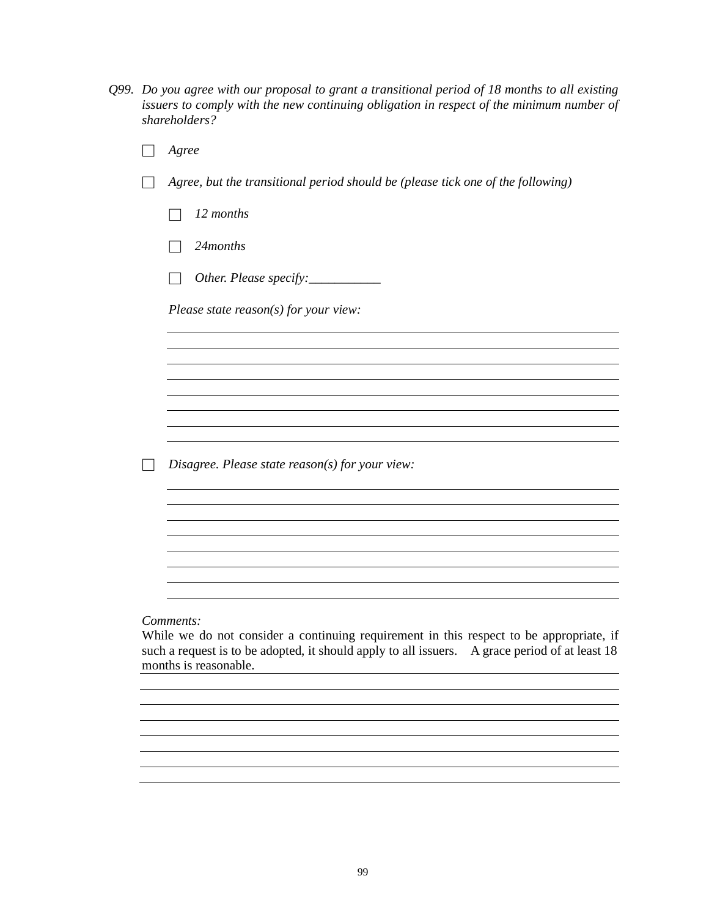| $Q99$ . Do you agree with our proposal to grant a transitional period of 18 months to all existing |
|----------------------------------------------------------------------------------------------------|
| issuers to comply with the new continuing obligation in respect of the minimum number of           |
| shareholders?                                                                                      |

| Agree                                                                                                |
|------------------------------------------------------------------------------------------------------|
| Agree, but the transitional period should be (please tick one of the following)                      |
| 12 months                                                                                            |
| 24months                                                                                             |
| Other. Please specify:___________                                                                    |
| Please state $reason(s)$ for your view:                                                              |
|                                                                                                      |
|                                                                                                      |
|                                                                                                      |
|                                                                                                      |
|                                                                                                      |
| Disagree. Please state $reason(s)$ for your view:                                                    |
|                                                                                                      |
|                                                                                                      |
|                                                                                                      |
|                                                                                                      |
|                                                                                                      |
|                                                                                                      |
| Comments:<br>While we do not consider a continuing requirement in this respect to be appropriate, if |

such a request is to be adopted, it should apply to all issuers. A grace period of at least 18 months is reasonable.

<u> 1989 - Johann Stoff, amerikansk politiker (d. 1989)</u>

<u> 1980 - Johann Stoff, deutscher Stoffen und der Stoffen und der Stoffen und der Stoffen und der Stoffen und d</u>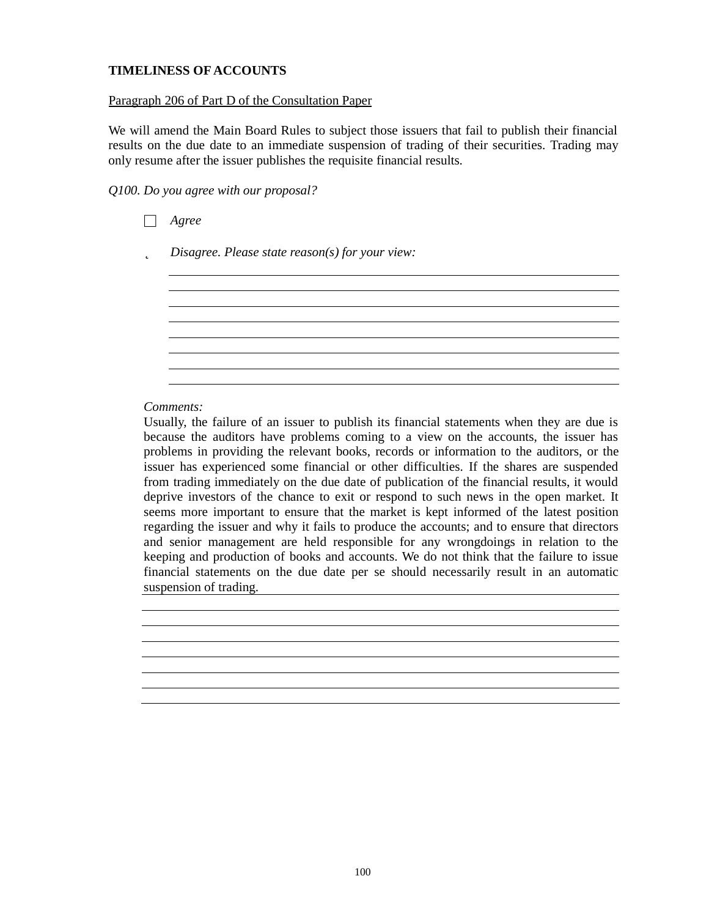# **TIMELINESS OF ACCOUNTS**

### Paragraph 206 of Part D of the Consultation Paper

We will amend the Main Board Rules to subject those issuers that fail to publish their financial results on the due date to an immediate suspension of trading of their securities. Trading may only resume after the issuer publishes the requisite financial results.

*Q100. Do you agree with our proposal?*

| roo<br>. o r |  |
|--------------|--|
|--------------|--|

þ *Disagree. Please state reason(s) for your view:*

### *Comments:*

Usually, the failure of an issuer to publish its financial statements when they are due is because the auditors have problems coming to a view on the accounts, the issuer has problems in providing the relevant books, records or information to the auditors, or the issuer has experienced some financial or other difficulties. If the shares are suspended from trading immediately on the due date of publication of the financial results, it would deprive investors of the chance to exit or respond to such news in the open market. It seems more important to ensure that the market is kept informed of the latest position regarding the issuer and why it fails to produce the accounts; and to ensure that directors and senior management are held responsible for any wrongdoings in relation to the keeping and production of books and accounts. We do not think that the failure to issue financial statements on the due date per se should necessarily result in an automatic suspension of trading.

<u> 1980 - Johann Barn, fransk politik (f. 1980)</u>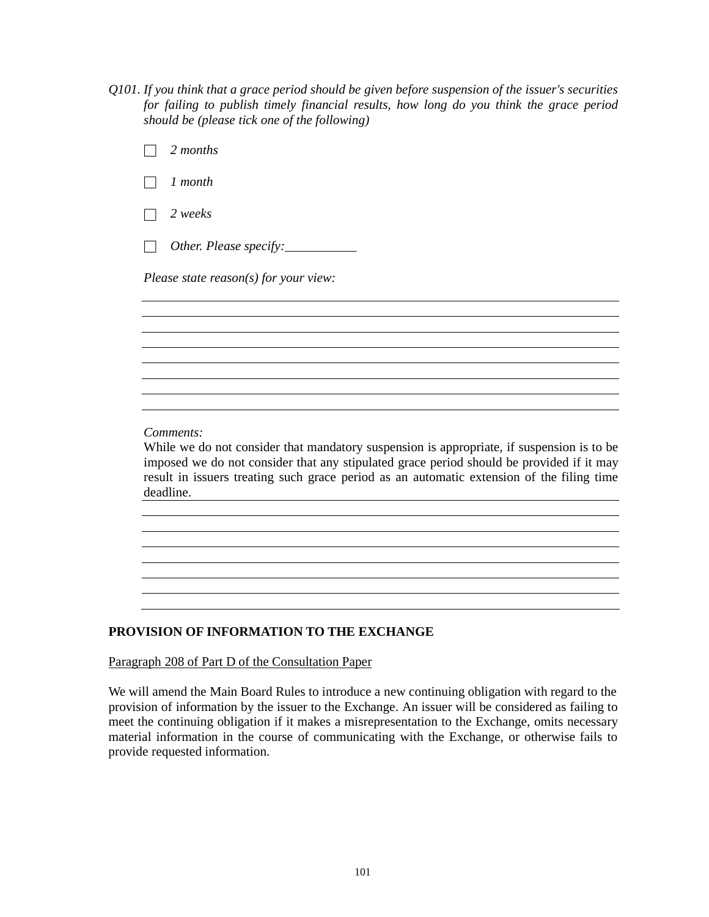*Q101. If you think that a grace period should be given before suspension of the issuer's securities for failing to publish timely financial results, how long do you think the grace period should be (please tick one of the following)*

| 2 months                                                                                                                                                                                                                                                                                                     |
|--------------------------------------------------------------------------------------------------------------------------------------------------------------------------------------------------------------------------------------------------------------------------------------------------------------|
| 1 month                                                                                                                                                                                                                                                                                                      |
| 2 weeks                                                                                                                                                                                                                                                                                                      |
| Other. Please specify:___________                                                                                                                                                                                                                                                                            |
| Please state reason(s) for your view:                                                                                                                                                                                                                                                                        |
|                                                                                                                                                                                                                                                                                                              |
|                                                                                                                                                                                                                                                                                                              |
|                                                                                                                                                                                                                                                                                                              |
|                                                                                                                                                                                                                                                                                                              |
| Comments:<br>While we do not consider that mandatory suspension is appropriate, if suspension is to be<br>imposed we do not consider that any stipulated grace period should be provided if it may<br>result in issuers treating such grace period as an automatic extension of the filing time<br>deadline. |
|                                                                                                                                                                                                                                                                                                              |
|                                                                                                                                                                                                                                                                                                              |
|                                                                                                                                                                                                                                                                                                              |

# **PROVISION OF INFORMATION TO THE EXCHANGE**

Paragraph 208 of Part D of the Consultation Paper

We will amend the Main Board Rules to introduce a new continuing obligation with regard to the provision of information by the issuer to the Exchange. An issuer will be considered as failing to meet the continuing obligation if it makes a misrepresentation to the Exchange, omits necessary material information in the course of communicating with the Exchange, or otherwise fails to provide requested information.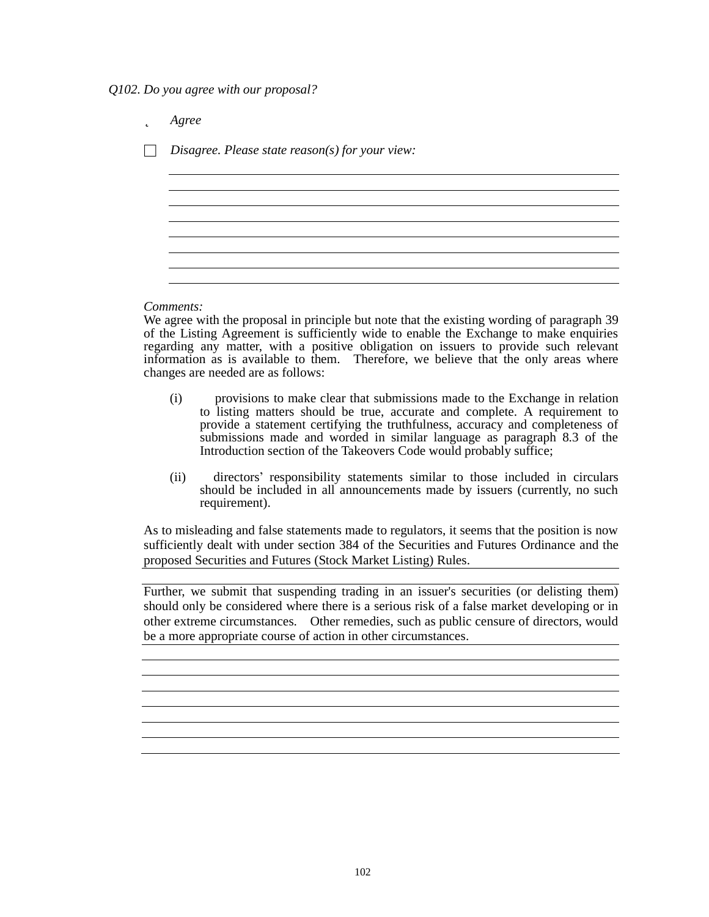*Q102. Do you agree with our proposal?*

þ *Agree* □ *Disagree. Please state reason(s) for your view:*

## *Comments:*

We agree with the proposal in principle but note that the existing wording of paragraph 39 of the Listing Agreement is sufficiently wide to enable the Exchange to make enquiries regarding any matter, with a positive obligation on issuers to provide such relevant information as is available to them. Therefore, we believe that the only areas where changes are needed are as follows:

- (i) provisions to make clear that submissions made to the Exchange in relation to listing matters should be true, accurate and complete. A requirement to provide a statement certifying the truthfulness, accuracy and completeness of submissions made and worded in similar language as paragraph 8.3 of the Introduction section of the Takeovers Code would probably suffice;
- (ii) directors' responsibility statements similar to those included in circulars should be included in all announcements made by issuers (currently, no such requirement).

As to misleading and false statements made to regulators, it seems that the position is now sufficiently dealt with under section 384 of the Securities and Futures Ordinance and the proposed Securities and Futures (Stock Market Listing) Rules.

Further, we submit that suspending trading in an issuer's securities (or delisting them) should only be considered where there is a serious risk of a false market developing or in other extreme circumstances. Other remedies, such as public censure of directors, would be a more appropriate course of action in other circumstances.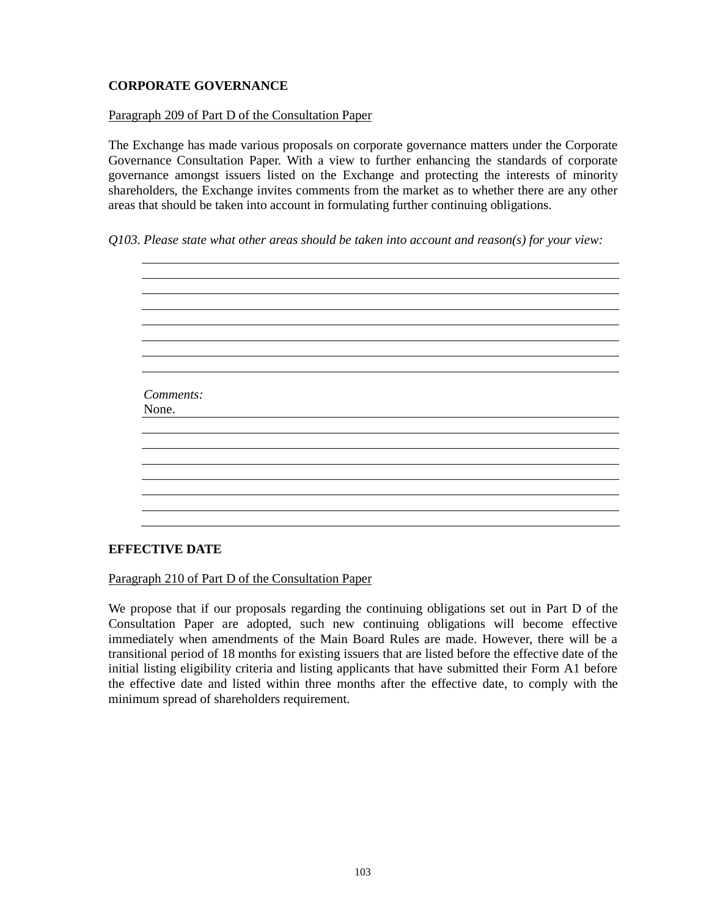# **CORPORATE GOVERNANCE**

### Paragraph 209 of Part D of the Consultation Paper

The Exchange has made various proposals on corporate governance matters under the Corporate Governance Consultation Paper. With a view to further enhancing the standards of corporate governance amongst issuers listed on the Exchange and protecting the interests of minority shareholders, the Exchange invites comments from the market as to whether there are any other areas that should be taken into account in formulating further continuing obligations.

## *Q103. Please state what other areas should be taken into account and reason(s) for your view:*



## **EFFECTIVE DATE**

Paragraph 210 of Part D of the Consultation Paper

We propose that if our proposals regarding the continuing obligations set out in Part D of the Consultation Paper are adopted, such new continuing obligations will become effective immediately when amendments of the Main Board Rules are made. However, there will be a transitional period of 18 months for existing issuers that are listed before the effective date of the initial listing eligibility criteria and listing applicants that have submitted their Form A1 before the effective date and listed within three months after the effective date, to comply with the minimum spread of shareholders requirement.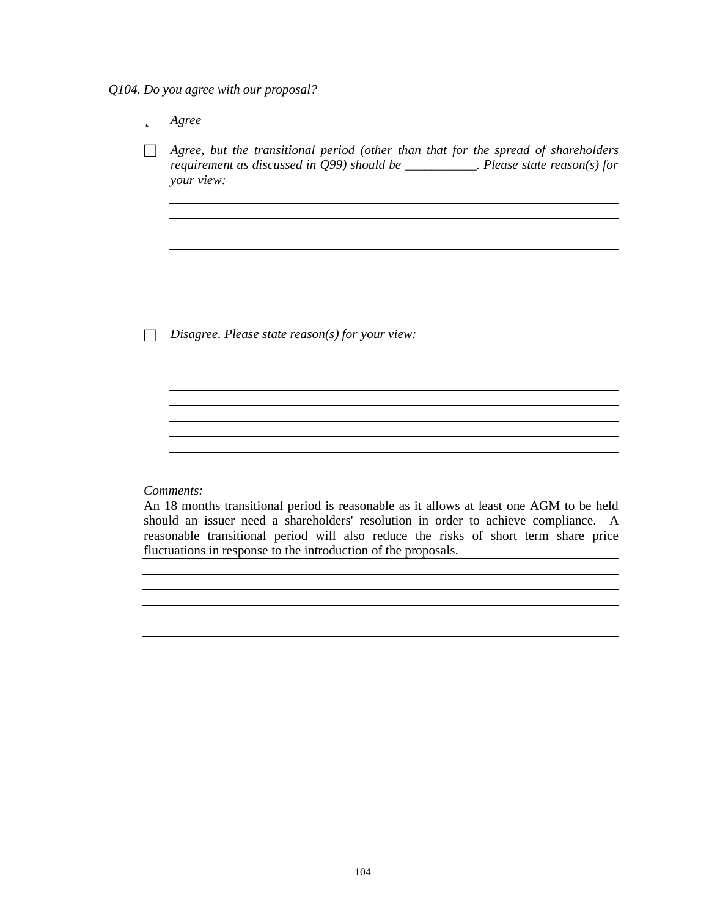*Q104. Do you agree with our proposal?*

þ *Agree* □ *Agree, but the transitional period (other than that for the spread of shareholders requirement as discussed in Q99) should be \_\_\_\_\_\_\_\_\_\_\_. Please state reason(s) for your view:* <u> 1980 - Johann Barbara, martxa amerikan bashkar (</u> □ *Disagree. Please state reason(s) for your view:* <u> 1989 - Johann Stoff, amerikansk politiker (d. 1989)</u> *Comments:*

An 18 months transitional period is reasonable as it allows at least one AGM to be held should an issuer need a shareholders' resolution in order to achieve compliance. A reasonable transitional period will also reduce the risks of short term share price fluctuations in response to the introduction of the proposals.

<u> 1989 - Johann Stoff, amerikansk politiker (d. 1989)</u>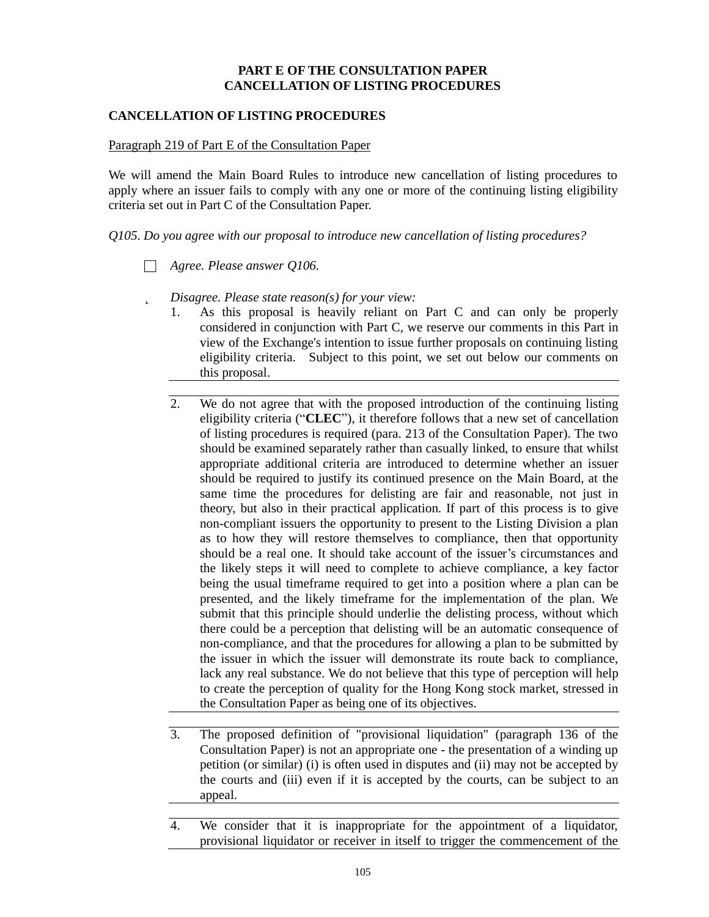# **PART E OF THE CONSULTATION PAPER CANCELLATION OF LISTING PROCEDURES**

# **CANCELLATION OF LISTING PROCEDURES**

### Paragraph 219 of Part E of the Consultation Paper

We will amend the Main Board Rules to introduce new cancellation of listing procedures to apply where an issuer fails to comply with any one or more of the continuing listing eligibility criteria set out in Part C of the Consultation Paper.

*Q105. Do you agree with our proposal to introduce new cancellation of listing procedures?*

- □ *Agree. Please answer Q106.*
- þ *Disagree. Please state reason(s) for your view:*
	- 1. As this proposal is heavily reliant on Part C and can only be properly considered in conjunction with Part C, we reserve our comments in this Part in view of the Exchange's intention to issue further proposals on continuing listing eligibility criteria. Subject to this point, we set out below our comments on this proposal.
	- 2. We do not agree that with the proposed introduction of the continuing listing eligibility criteria ("**CLEC**"), it therefore follows that a new set of cancellation of listing procedures is required (para. 213 of the Consultation Paper). The two should be examined separately rather than casually linked, to ensure that whilst appropriate additional criteria are introduced to determine whether an issuer should be required to justify its continued presence on the Main Board, at the same time the procedures for delisting are fair and reasonable, not just in theory, but also in their practical application. If part of this process is to give non-compliant issuers the opportunity to present to the Listing Division a plan as to how they will restore themselves to compliance, then that opportunity should be a real one. It should take account of the issuer's circumstances and the likely steps it will need to complete to achieve compliance, a key factor being the usual timeframe required to get into a position where a plan can be presented, and the likely timeframe for the implementation of the plan. We submit that this principle should underlie the delisting process, without which there could be a perception that delisting will be an automatic consequence of non-compliance, and that the procedures for allowing a plan to be submitted by the issuer in which the issuer will demonstrate its route back to compliance, lack any real substance. We do not believe that this type of perception will help to create the perception of quality for the Hong Kong stock market, stressed in the Consultation Paper as being one of its objectives.
	- 3. The proposed definition of "provisional liquidation" (paragraph 136 of the Consultation Paper) is not an appropriate one - the presentation of a winding up petition (or similar) (i) is often used in disputes and (ii) may not be accepted by the courts and (iii) even if it is accepted by the courts, can be subject to an appeal.
	- 4. We consider that it is inappropriate for the appointment of a liquidator, provisional liquidator or receiver in itself to trigger the commencement of the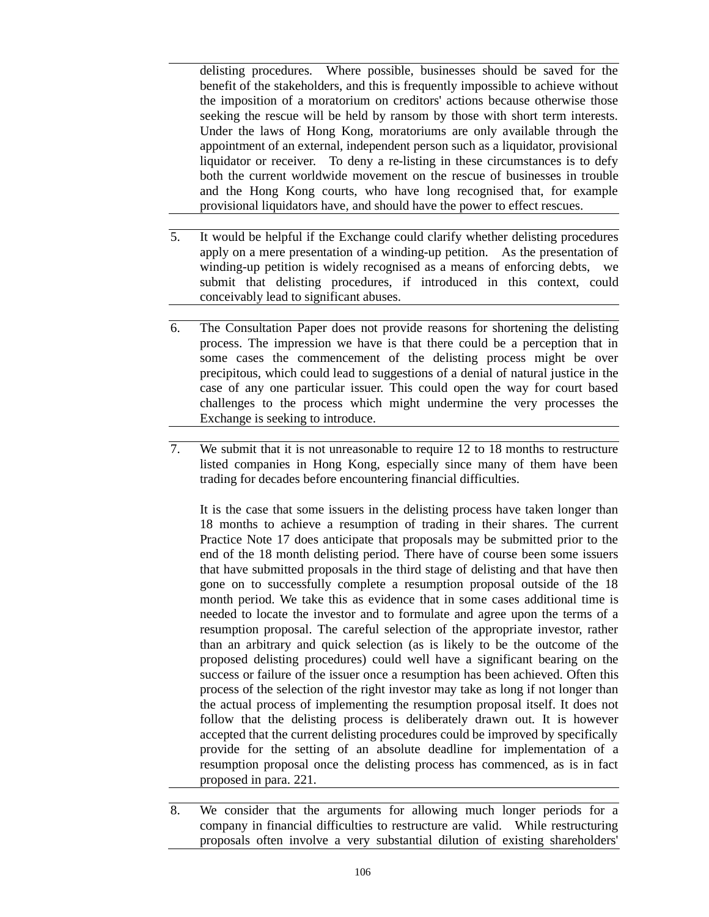delisting procedures. Where possible, businesses should be saved for the benefit of the stakeholders, and this is frequently impossible to achieve without the imposition of a moratorium on creditors' actions because otherwise those seeking the rescue will be held by ransom by those with short term interests. Under the laws of Hong Kong, moratoriums are only available through the appointment of an external, independent person such as a liquidator, provisional liquidator or receiver. To deny a re-listing in these circumstances is to defy both the current worldwide movement on the rescue of businesses in trouble and the Hong Kong courts, who have long recognised that, for example provisional liquidators have, and should have the power to effect rescues.

- 5. It would be helpful if the Exchange could clarify whether delisting procedures apply on a mere presentation of a winding-up petition. As the presentation of winding-up petition is widely recognised as a means of enforcing debts, we submit that delisting procedures, if introduced in this context, could conceivably lead to significant abuses.
- 6. The Consultation Paper does not provide reasons for shortening the delisting process. The impression we have is that there could be a perception that in some cases the commencement of the delisting process might be over precipitous, which could lead to suggestions of a denial of natural justice in the case of any one particular issuer. This could open the way for court based challenges to the process which might undermine the very processes the Exchange is seeking to introduce.
- 7. We submit that it is not unreasonable to require 12 to 18 months to restructure listed companies in Hong Kong, especially since many of them have been trading for decades before encountering financial difficulties.

It is the case that some issuers in the delisting process have taken longer than 18 months to achieve a resumption of trading in their shares. The current Practice Note 17 does anticipate that proposals may be submitted prior to the end of the 18 month delisting period. There have of course been some issuers that have submitted proposals in the third stage of delisting and that have then gone on to successfully complete a resumption proposal outside of the 18 month period. We take this as evidence that in some cases additional time is needed to locate the investor and to formulate and agree upon the terms of a resumption proposal. The careful selection of the appropriate investor, rather than an arbitrary and quick selection (as is likely to be the outcome of the proposed delisting procedures) could well have a significant bearing on the success or failure of the issuer once a resumption has been achieved. Often this process of the selection of the right investor may take as long if not longer than the actual process of implementing the resumption proposal itself. It does not follow that the delisting process is deliberately drawn out. It is however accepted that the current delisting procedures could be improved by specifically provide for the setting of an absolute deadline for implementation of a resumption proposal once the delisting process has commenced, as is in fact proposed in para. 221.

<sup>8.</sup> We consider that the arguments for allowing much longer periods for a company in financial difficulties to restructure are valid. While restructuring proposals often involve a very substantial dilution of existing shareholders'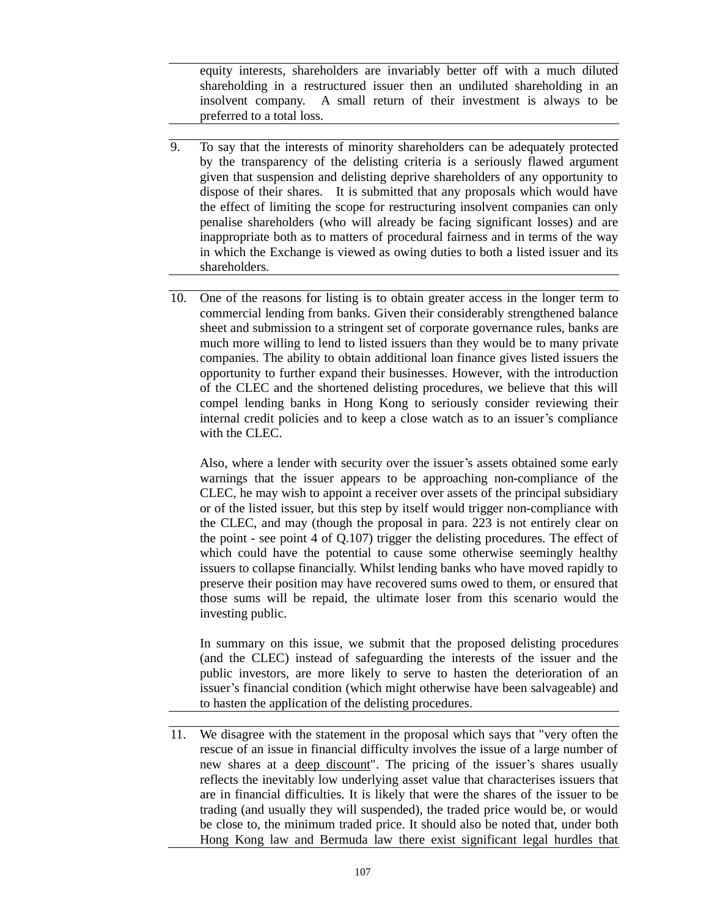equity interests, shareholders are invariably better off with a much diluted shareholding in a restructured issuer then an undiluted shareholding in an insolvent company. A small return of their investment is always to be preferred to a total loss.

- 9. To say that the interests of minority shareholders can be adequately protected by the transparency of the delisting criteria is a seriously flawed argument given that suspension and delisting deprive shareholders of any opportunity to dispose of their shares. It is submitted that any proposals which would have the effect of limiting the scope for restructuring insolvent companies can only penalise shareholders (who will already be facing significant losses) and are inappropriate both as to matters of procedural fairness and in terms of the way in which the Exchange is viewed as owing duties to both a listed issuer and its shareholders.
- 10. One of the reasons for listing is to obtain greater access in the longer term to commercial lending from banks. Given their considerably strengthened balance sheet and submission to a stringent set of corporate governance rules, banks are much more willing to lend to listed issuers than they would be to many private companies. The ability to obtain additional loan finance gives listed issuers the opportunity to further expand their businesses. However, with the introduction of the CLEC and the shortened delisting procedures, we believe that this will compel lending banks in Hong Kong to seriously consider reviewing their internal credit policies and to keep a close watch as to an issuer's compliance with the CLEC.

Also, where a lender with security over the issuer's assets obtained some early warnings that the issuer appears to be approaching non-compliance of the CLEC, he may wish to appoint a receiver over assets of the principal subsidiary or of the listed issuer, but this step by itself would trigger non-compliance with the CLEC, and may (though the proposal in para. 223 is not entirely clear on the point - see point 4 of Q.107) trigger the delisting procedures. The effect of which could have the potential to cause some otherwise seemingly healthy issuers to collapse financially. Whilst lending banks who have moved rapidly to preserve their position may have recovered sums owed to them, or ensured that those sums will be repaid, the ultimate loser from this scenario would the investing public.

In summary on this issue, we submit that the proposed delisting procedures (and the CLEC) instead of safeguarding the interests of the issuer and the public investors, are more likely to serve to hasten the deterioration of an issuer's financial condition (which might otherwise have been salvageable) and to hasten the application of the delisting procedures.

11. We disagree with the statement in the proposal which says that "very often the rescue of an issue in financial difficulty involves the issue of a large number of new shares at a deep discount". The pricing of the issuer's shares usually reflects the inevitably low underlying asset value that characterises issuers that are in financial difficulties. It is likely that were the shares of the issuer to be trading (and usually they will suspended), the traded price would be, or would be close to, the minimum traded price. It should also be noted that, under both Hong Kong law and Bermuda law there exist significant legal hurdles that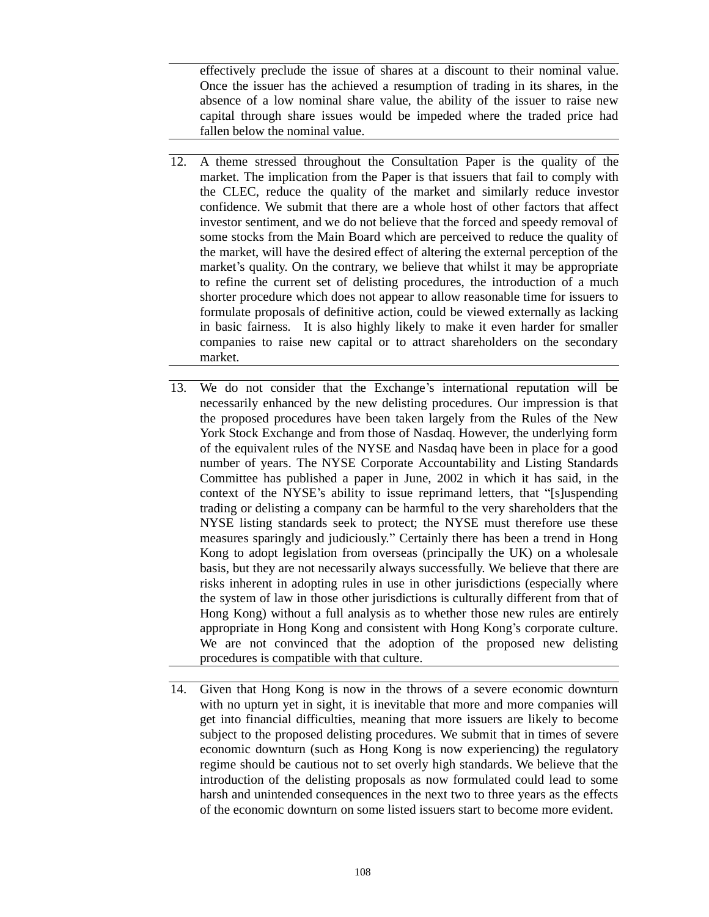effectively preclude the issue of shares at a discount to their nominal value. Once the issuer has the achieved a resumption of trading in its shares, in the absence of a low nominal share value, the ability of the issuer to raise new capital through share issues would be impeded where the traded price had fallen below the nominal value.

- 12. A theme stressed throughout the Consultation Paper is the quality of the market. The implication from the Paper is that issuers that fail to comply with the CLEC, reduce the quality of the market and similarly reduce investor confidence. We submit that there are a whole host of other factors that affect investor sentiment, and we do not believe that the forced and speedy removal of some stocks from the Main Board which are perceived to reduce the quality of the market, will have the desired effect of altering the external perception of the market's quality. On the contrary, we believe that whilst it may be appropriate to refine the current set of delisting procedures, the introduction of a much shorter procedure which does not appear to allow reasonable time for issuers to formulate proposals of definitive action, could be viewed externally as lacking in basic fairness. It is also highly likely to make it even harder for smaller companies to raise new capital or to attract shareholders on the secondary market.
- 13. We do not consider that the Exchange's international reputation will be necessarily enhanced by the new delisting procedures. Our impression is that the proposed procedures have been taken largely from the Rules of the New York Stock Exchange and from those of Nasdaq. However, the underlying form of the equivalent rules of the NYSE and Nasdaq have been in place for a good number of years. The NYSE Corporate Accountability and Listing Standards Committee has published a paper in June, 2002 in which it has said, in the context of the NYSE's ability to issue reprimand letters, that "[s]uspending trading or delisting a company can be harmful to the very shareholders that the NYSE listing standards seek to protect; the NYSE must therefore use these measures sparingly and judiciously." Certainly there has been a trend in Hong Kong to adopt legislation from overseas (principally the UK) on a wholesale basis, but they are not necessarily always successfully. We believe that there are risks inherent in adopting rules in use in other jurisdictions (especially where the system of law in those other jurisdictions is culturally different from that of Hong Kong) without a full analysis as to whether those new rules are entirely appropriate in Hong Kong and consistent with Hong Kong's corporate culture. We are not convinced that the adoption of the proposed new delisting procedures is compatible with that culture.
- 14. Given that Hong Kong is now in the throws of a severe economic downturn with no upturn yet in sight, it is inevitable that more and more companies will get into financial difficulties, meaning that more issuers are likely to become subject to the proposed delisting procedures. We submit that in times of severe economic downturn (such as Hong Kong is now experiencing) the regulatory regime should be cautious not to set overly high standards. We believe that the introduction of the delisting proposals as now formulated could lead to some harsh and unintended consequences in the next two to three years as the effects of the economic downturn on some listed issuers start to become more evident.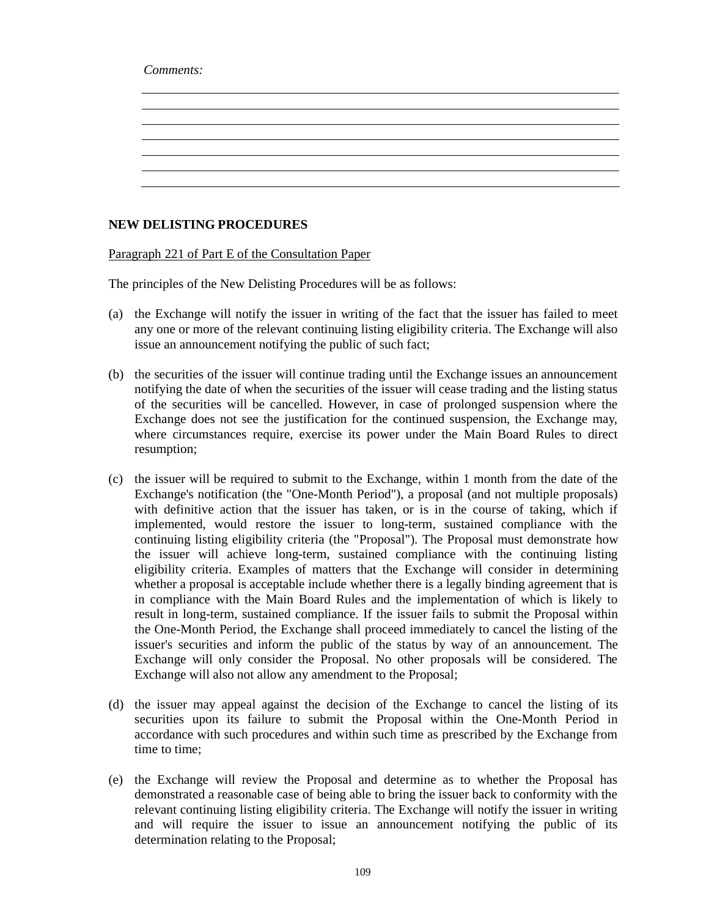*Comments:*

## **NEW DELISTING PROCEDURES**

Paragraph 221 of Part E of the Consultation Paper

The principles of the New Delisting Procedures will be as follows:

- (a) the Exchange will notify the issuer in writing of the fact that the issuer has failed to meet any one or more of the relevant continuing listing eligibility criteria. The Exchange will also issue an announcement notifying the public of such fact;
- (b) the securities of the issuer will continue trading until the Exchange issues an announcement notifying the date of when the securities of the issuer will cease trading and the listing status of the securities will be cancelled. However, in case of prolonged suspension where the Exchange does not see the justification for the continued suspension, the Exchange may, where circumstances require, exercise its power under the Main Board Rules to direct resumption;
- (c) the issuer will be required to submit to the Exchange, within 1 month from the date of the Exchange's notification (the "One-Month Period"), a proposal (and not multiple proposals) with definitive action that the issuer has taken, or is in the course of taking, which if implemented, would restore the issuer to long-term, sustained compliance with the continuing listing eligibility criteria (the "Proposal"). The Proposal must demonstrate how the issuer will achieve long-term, sustained compliance with the continuing listing eligibility criteria. Examples of matters that the Exchange will consider in determining whether a proposal is acceptable include whether there is a legally binding agreement that is in compliance with the Main Board Rules and the implementation of which is likely to result in long-term, sustained compliance. If the issuer fails to submit the Proposal within the One-Month Period, the Exchange shall proceed immediately to cancel the listing of the issuer's securities and inform the public of the status by way of an announcement. The Exchange will only consider the Proposal. No other proposals will be considered. The Exchange will also not allow any amendment to the Proposal;
- (d) the issuer may appeal against the decision of the Exchange to cancel the listing of its securities upon its failure to submit the Proposal within the One-Month Period in accordance with such procedures and within such time as prescribed by the Exchange from time to time;
- (e) the Exchange will review the Proposal and determine as to whether the Proposal has demonstrated a reasonable case of being able to bring the issuer back to conformity with the relevant continuing listing eligibility criteria. The Exchange will notify the issuer in writing and will require the issuer to issue an announcement notifying the public of its determination relating to the Proposal;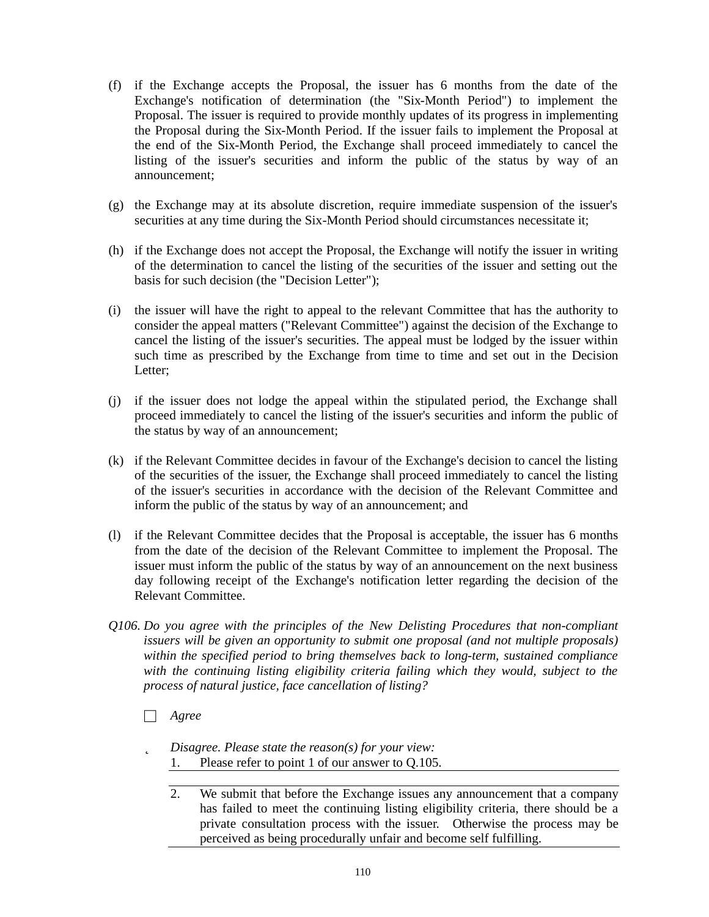- (f) if the Exchange accepts the Proposal, the issuer has 6 months from the date of the Exchange's notification of determination (the "Six-Month Period") to implement the Proposal. The issuer is required to provide monthly updates of its progress in implementing the Proposal during the Six-Month Period. If the issuer fails to implement the Proposal at the end of the Six-Month Period, the Exchange shall proceed immediately to cancel the listing of the issuer's securities and inform the public of the status by way of an announcement;
- (g) the Exchange may at its absolute discretion, require immediate suspension of the issuer's securities at any time during the Six-Month Period should circumstances necessitate it;
- (h) if the Exchange does not accept the Proposal, the Exchange will notify the issuer in writing of the determination to cancel the listing of the securities of the issuer and setting out the basis for such decision (the "Decision Letter");
- (i) the issuer will have the right to appeal to the relevant Committee that has the authority to consider the appeal matters ("Relevant Committee") against the decision of the Exchange to cancel the listing of the issuer's securities. The appeal must be lodged by the issuer within such time as prescribed by the Exchange from time to time and set out in the Decision Letter;
- (j) if the issuer does not lodge the appeal within the stipulated period, the Exchange shall proceed immediately to cancel the listing of the issuer's securities and inform the public of the status by way of an announcement;
- (k) if the Relevant Committee decides in favour of the Exchange's decision to cancel the listing of the securities of the issuer, the Exchange shall proceed immediately to cancel the listing of the issuer's securities in accordance with the decision of the Relevant Committee and inform the public of the status by way of an announcement; and
- (l) if the Relevant Committee decides that the Proposal is acceptable, the issuer has 6 months from the date of the decision of the Relevant Committee to implement the Proposal. The issuer must inform the public of the status by way of an announcement on the next business day following receipt of the Exchange's notification letter regarding the decision of the Relevant Committee.
- *Q106. Do you agree with the principles of the New Delisting Procedures that non-compliant issuers will be given an opportunity to submit one proposal (and not multiple proposals) within the specified period to bring themselves back to long-term, sustained compliance with the continuing listing eligibility criteria failing which they would, subject to the process of natural justice, face cancellation of listing?*
	- □ *Agree*
	- þ *Disagree. Please state the reason(s) for your view:* 1. Please refer to point 1 of our answer to Q.105.
		- 2. We submit that before the Exchange issues any announcement that a company has failed to meet the continuing listing eligibility criteria, there should be a private consultation process with the issuer. Otherwise the process may be perceived as being procedurally unfair and become self fulfilling.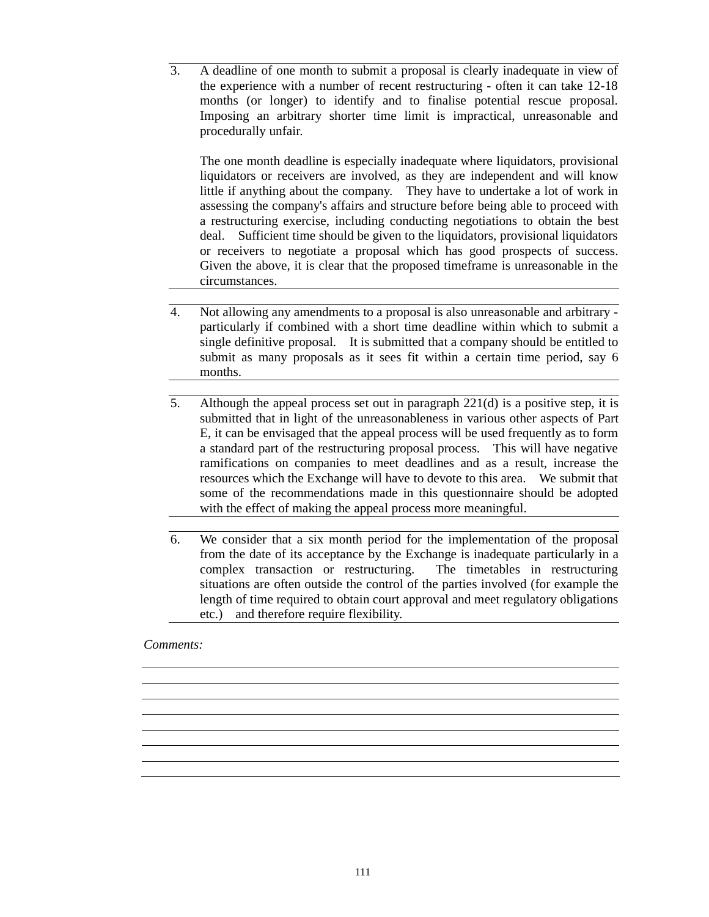3. A deadline of one month to submit a proposal is clearly inadequate in view of the experience with a number of recent restructuring - often it can take 12-18 months (or longer) to identify and to finalise potential rescue proposal. Imposing an arbitrary shorter time limit is impractical, unreasonable and procedurally unfair.

The one month deadline is especially inadequate where liquidators, provisional liquidators or receivers are involved, as they are independent and will know little if anything about the company. They have to undertake a lot of work in assessing the company's affairs and structure before being able to proceed with a restructuring exercise, including conducting negotiations to obtain the best deal. Sufficient time should be given to the liquidators, provisional liquidators or receivers to negotiate a proposal which has good prospects of success. Given the above, it is clear that the proposed timeframe is unreasonable in the circumstances.

- 4. Not allowing any amendments to a proposal is also unreasonable and arbitrary particularly if combined with a short time deadline within which to submit a single definitive proposal. It is submitted that a company should be entitled to submit as many proposals as it sees fit within a certain time period, say 6 months.
- 5. Although the appeal process set out in paragraph 221(d) is a positive step, it is submitted that in light of the unreasonableness in various other aspects of Part E, it can be envisaged that the appeal process will be used frequently as to form a standard part of the restructuring proposal process. This will have negative ramifications on companies to meet deadlines and as a result, increase the resources which the Exchange will have to devote to this area. We submit that some of the recommendations made in this questionnaire should be adopted with the effect of making the appeal process more meaningful.
- 6. We consider that a six month period for the implementation of the proposal from the date of its acceptance by the Exchange is inadequate particularly in a complex transaction or restructuring. The timetables in restructuring situations are often outside the control of the parties involved (for example the length of time required to obtain court approval and meet regulatory obligations etc.) and therefore require flexibility.

#### *Comments:*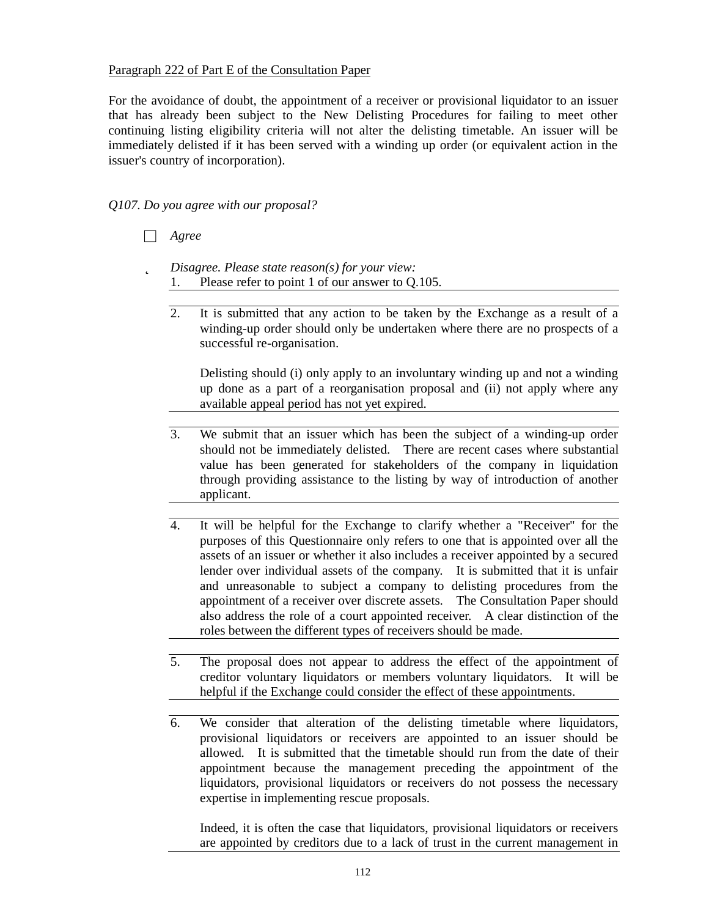## Paragraph 222 of Part E of the Consultation Paper

For the avoidance of doubt, the appointment of a receiver or provisional liquidator to an issuer that has already been subject to the New Delisting Procedures for failing to meet other continuing listing eligibility criteria will not alter the delisting timetable. An issuer will be immediately delisted if it has been served with a winding up order (or equivalent action in the issuer's country of incorporation).

*Q107. Do you agree with our proposal?*

- □ *Agree*
- þ *Disagree. Please state reason(s) for your view:* 1. Please refer to point 1 of our answer to Q.105.
	- 2. It is submitted that any action to be taken by the Exchange as a result of a winding-up order should only be undertaken where there are no prospects of a successful re-organisation.

Delisting should (i) only apply to an involuntary winding up and not a winding up done as a part of a reorganisation proposal and (ii) not apply where any available appeal period has not yet expired.

- 3. We submit that an issuer which has been the subject of a winding-up order should not be immediately delisted. There are recent cases where substantial value has been generated for stakeholders of the company in liquidation through providing assistance to the listing by way of introduction of another applicant.
- 4. It will be helpful for the Exchange to clarify whether a "Receiver" for the purposes of this Questionnaire only refers to one that is appointed over all the assets of an issuer or whether it also includes a receiver appointed by a secured lender over individual assets of the company. It is submitted that it is unfair and unreasonable to subject a company to delisting procedures from the appointment of a receiver over discrete assets. The Consultation Paper should also address the role of a court appointed receiver. A clear distinction of the roles between the different types of receivers should be made.
- 5. The proposal does not appear to address the effect of the appointment of creditor voluntary liquidators or members voluntary liquidators. It will be helpful if the Exchange could consider the effect of these appointments.
- 6. We consider that alteration of the delisting timetable where liquidators, provisional liquidators or receivers are appointed to an issuer should be allowed. It is submitted that the timetable should run from the date of their appointment because the management preceding the appointment of the liquidators, provisional liquidators or receivers do not possess the necessary expertise in implementing rescue proposals.

Indeed, it is often the case that liquidators, provisional liquidators or receivers are appointed by creditors due to a lack of trust in the current management in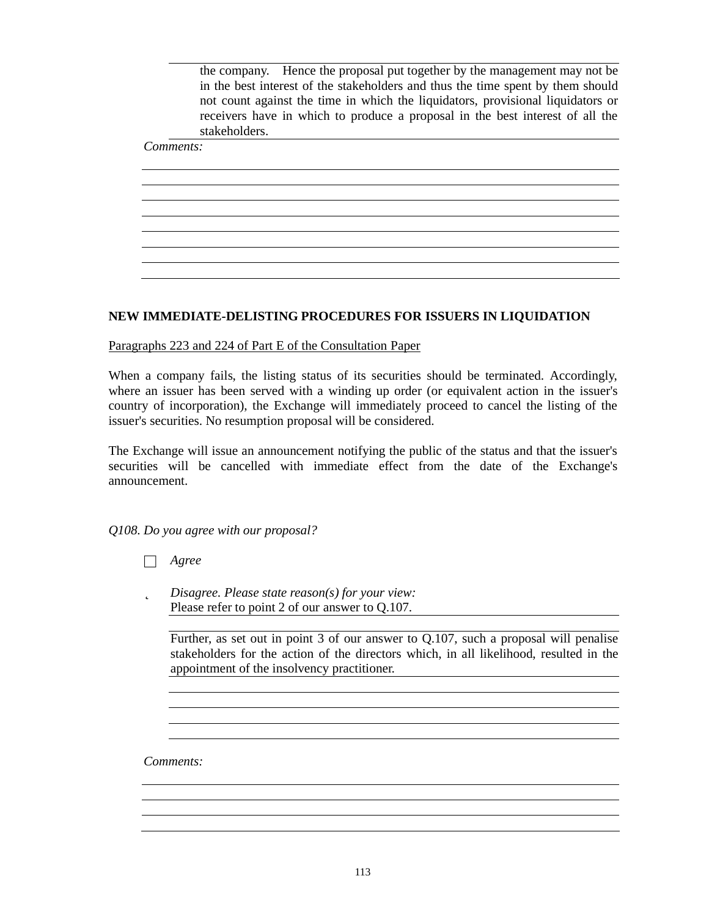the company. Hence the proposal put together by the management may not be in the best interest of the stakeholders and thus the time spent by them should not count against the time in which the liquidators, provisional liquidators or receivers have in which to produce a proposal in the best interest of all the stakeholders.

<u> 1980 - Jan Samuel Barbara, margaret eta biztanleria (h. 1980).</u>

# *Comments:*

## **NEW IMMEDIATE-DELISTING PROCEDURES FOR ISSUERS IN LIQUIDATION**

Paragraphs 223 and 224 of Part E of the Consultation Paper

When a company fails, the listing status of its securities should be terminated. Accordingly, where an issuer has been served with a winding up order (or equivalent action in the issuer's country of incorporation), the Exchange will immediately proceed to cancel the listing of the issuer's securities. No resumption proposal will be considered.

The Exchange will issue an announcement notifying the public of the status and that the issuer's securities will be cancelled with immediate effect from the date of the Exchange's announcement.

*Q108. Do you agree with our proposal?*

- □ *Agree*
- þ *Disagree. Please state reason(s) for your view:* Please refer to point 2 of our answer to Q.107.

Further, as set out in point 3 of our answer to Q.107, such a proposal will penalise stakeholders for the action of the directors which, in all likelihood, resulted in the appointment of the insolvency practitioner.

*Comments:*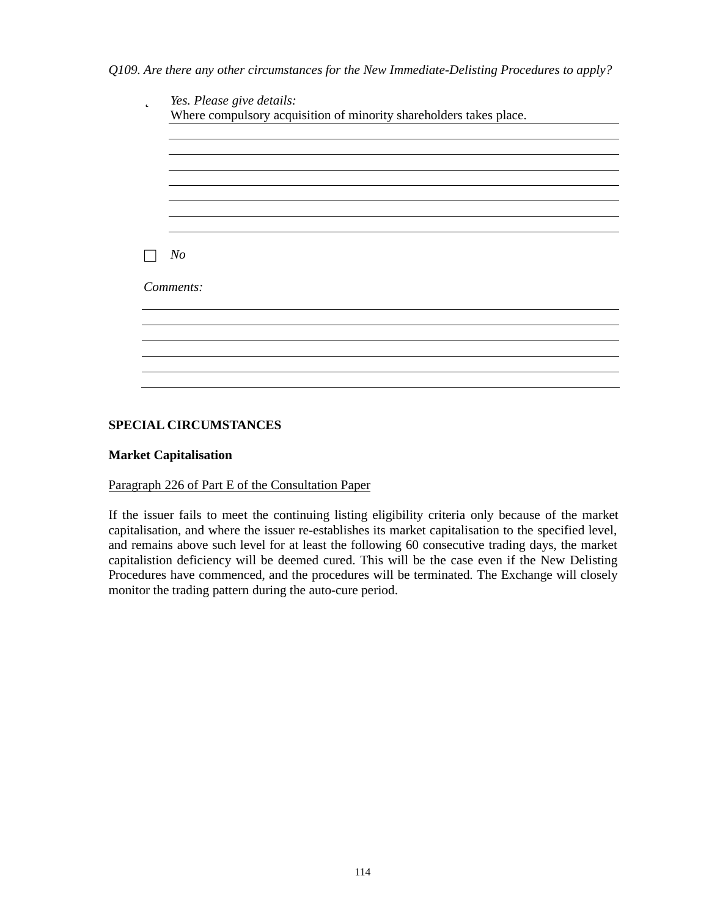*Q109. Are there any other circumstances for the New Immediate-Delisting Procedures to apply?*

| þ | Yes. Please give details:                                          |  |
|---|--------------------------------------------------------------------|--|
|   | Where compulsory acquisition of minority shareholders takes place. |  |
|   |                                                                    |  |
|   |                                                                    |  |
|   |                                                                    |  |
|   |                                                                    |  |
|   |                                                                    |  |
|   |                                                                    |  |
|   |                                                                    |  |
|   |                                                                    |  |
|   | N <sub>o</sub>                                                     |  |
|   |                                                                    |  |
|   | Comments:                                                          |  |
|   |                                                                    |  |
|   |                                                                    |  |
|   |                                                                    |  |
|   |                                                                    |  |
|   |                                                                    |  |
|   |                                                                    |  |
|   |                                                                    |  |

## **SPECIAL CIRCUMSTANCES**

## **Market Capitalisation**

## Paragraph 226 of Part E of the Consultation Paper

If the issuer fails to meet the continuing listing eligibility criteria only because of the market capitalisation, and where the issuer re-establishes its market capitalisation to the specified level, and remains above such level for at least the following 60 consecutive trading days, the market capitalistion deficiency will be deemed cured. This will be the case even if the New Delisting Procedures have commenced, and the procedures will be terminated. The Exchange will closely monitor the trading pattern during the auto-cure period.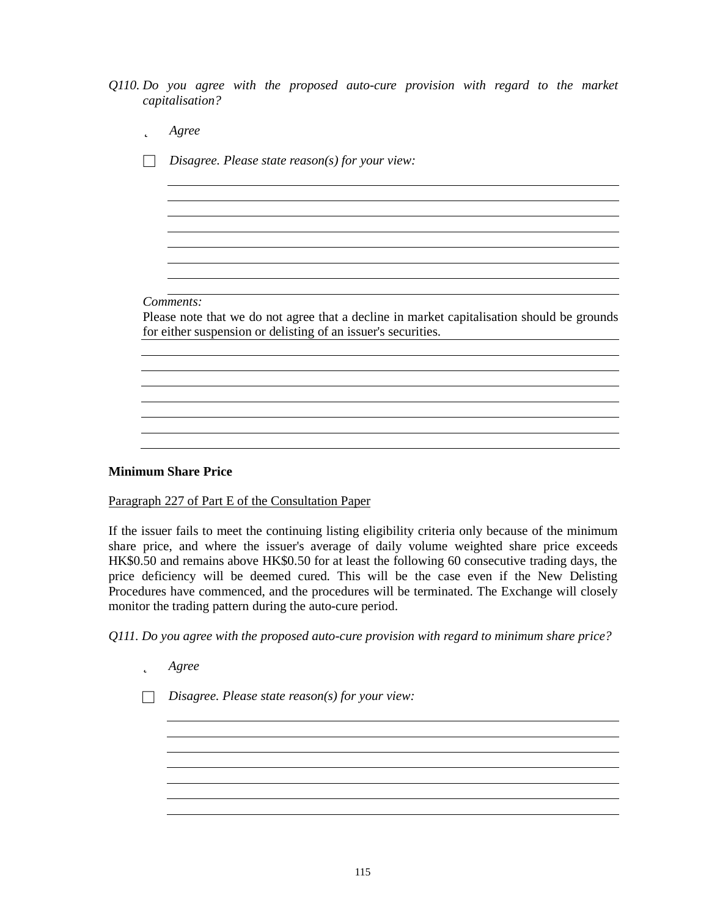*Q110. Do you agree with the proposed auto-cure provision with regard to the market capitalisation?*

| D | Agree                                                                                      |
|---|--------------------------------------------------------------------------------------------|
|   | Disagree. Please state reason(s) for your view:                                            |
|   |                                                                                            |
|   |                                                                                            |
|   |                                                                                            |
|   |                                                                                            |
|   |                                                                                            |
|   |                                                                                            |
|   | Comments:                                                                                  |
|   | Please note that we do not agree that a decline in market capitalisation should be grounds |
|   | for either suspension or delisting of an issuer's securities.                              |
|   |                                                                                            |
|   |                                                                                            |
|   |                                                                                            |
|   |                                                                                            |
|   |                                                                                            |

## **Minimum Share Price**

Paragraph 227 of Part E of the Consultation Paper

If the issuer fails to meet the continuing listing eligibility criteria only because of the minimum share price, and where the issuer's average of daily volume weighted share price exceeds HK\$0.50 and remains above HK\$0.50 for at least the following 60 consecutive trading days, the price deficiency will be deemed cured. This will be the case even if the New Delisting Procedures have commenced, and the procedures will be terminated. The Exchange will closely monitor the trading pattern during the auto-cure period.

*Q111. Do you agree with the proposed auto-cure provision with regard to minimum share price?*

þ *Agree*

□ *Disagree. Please state reason(s) for your view:*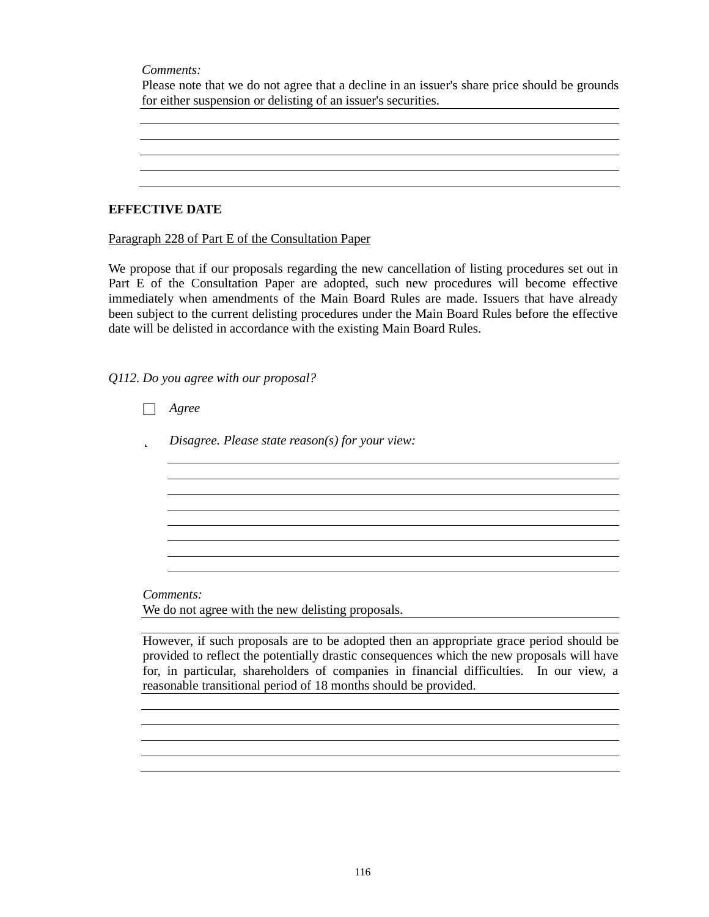*Comments:*

Please note that we do not agree that a decline in an issuer's share price should be grounds for either suspension or delisting of an issuer's securities.

<u> 1980 - Johann Stoff, deutscher Stoffen und der Stoffen und der Stoffen und der Stoffen und der Stoffen und de</u>

**EFFECTIVE DATE**

Paragraph 228 of Part E of the Consultation Paper

We propose that if our proposals regarding the new cancellation of listing procedures set out in Part E of the Consultation Paper are adopted, such new procedures will become effective immediately when amendments of the Main Board Rules are made. Issuers that have already been subject to the current delisting procedures under the Main Board Rules before the effective date will be delisted in accordance with the existing Main Board Rules.

*Q112. Do you agree with our proposal?*

|   | Agree                                                                                   |
|---|-----------------------------------------------------------------------------------------|
| þ | Disagree. Please state reason(s) for your view:                                         |
|   |                                                                                         |
|   |                                                                                         |
|   |                                                                                         |
|   |                                                                                         |
|   |                                                                                         |
|   |                                                                                         |
|   | Comments:                                                                               |
|   | We do not agree with the new delisting proposals.                                       |
|   |                                                                                         |
|   | However, if such proposals are to be adopted then an appropriate grace period should be |

provided to reflect the potentially drastic consequences which the new proposals will have for, in particular, shareholders of companies in financial difficulties. In our view, a reasonable transitional period of 18 months should be provided.

and the control of the control of the control of the control of the control of the control of the control of the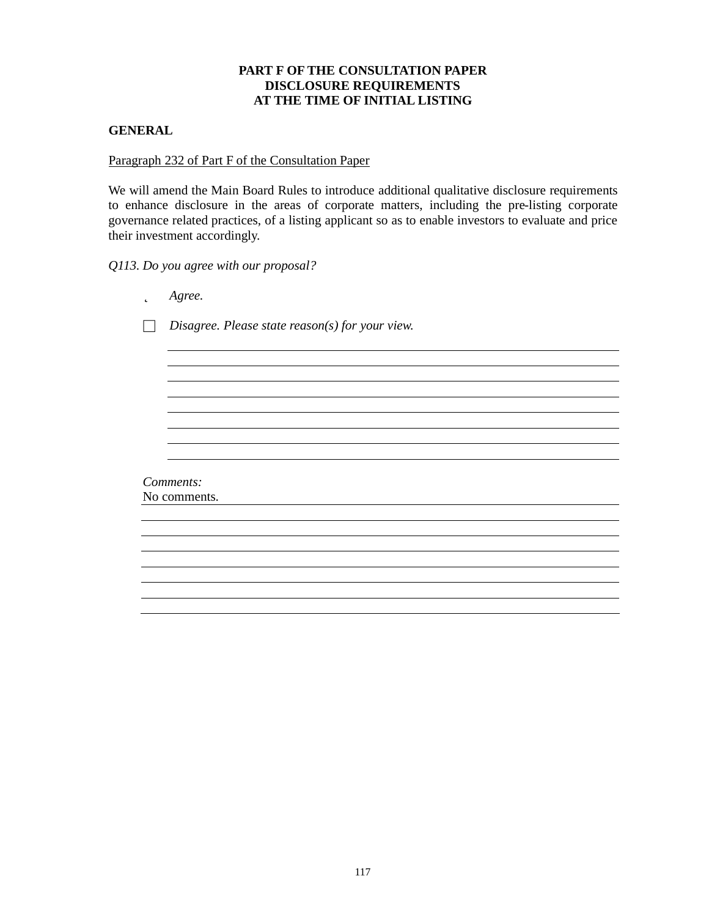# **PART F OF THE CONSULTATION PAPER DISCLOSURE REQUIREMENTS AT THE TIME OF INITIAL LISTING**

## **GENERAL**

## Paragraph 232 of Part F of the Consultation Paper

We will amend the Main Board Rules to introduce additional qualitative disclosure requirements to enhance disclosure in the areas of corporate matters, including the pre-listing corporate governance related practices, of a listing applicant so as to enable investors to evaluate and price their investment accordingly.

*Q113. Do you agree with our proposal?*

| þ | Agree.                                          |
|---|-------------------------------------------------|
|   | Disagree. Please state reason(s) for your view. |
|   |                                                 |
|   |                                                 |
|   |                                                 |
|   |                                                 |
|   |                                                 |
|   |                                                 |
|   |                                                 |
|   |                                                 |
|   |                                                 |
|   | Comments:<br>No comments.                       |
|   |                                                 |
|   |                                                 |
|   |                                                 |
|   |                                                 |
|   |                                                 |
|   |                                                 |
|   |                                                 |
|   |                                                 |
|   |                                                 |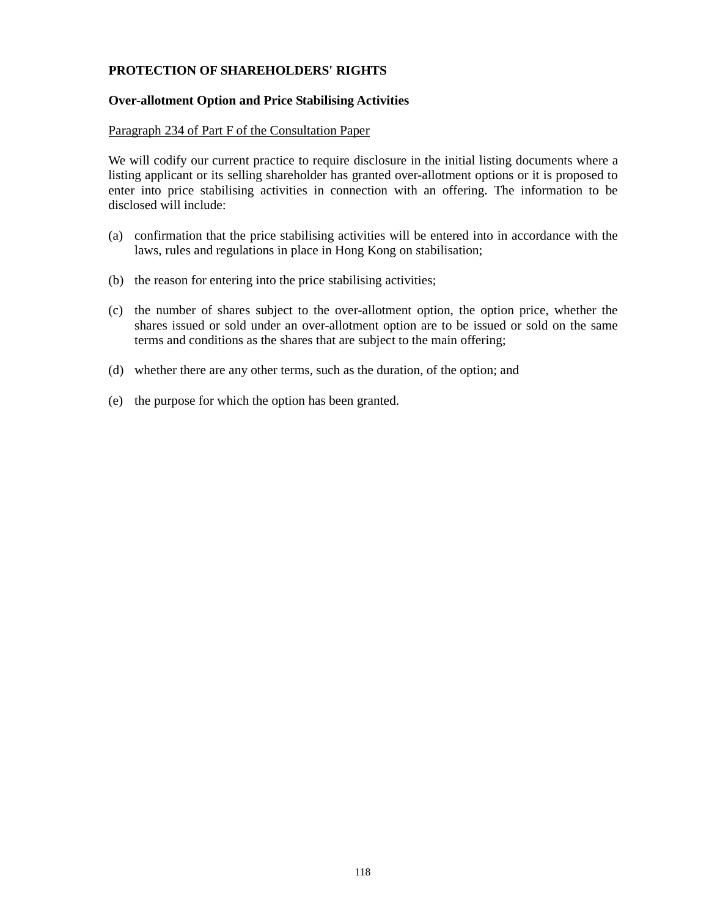# **PROTECTION OF SHAREHOLDERS' RIGHTS**

### **Over-allotment Option and Price Stabilising Activities**

#### Paragraph 234 of Part F of the Consultation Paper

We will codify our current practice to require disclosure in the initial listing documents where a listing applicant or its selling shareholder has granted over-allotment options or it is proposed to enter into price stabilising activities in connection with an offering. The information to be disclosed will include:

- (a) confirmation that the price stabilising activities will be entered into in accordance with the laws, rules and regulations in place in Hong Kong on stabilisation;
- (b) the reason for entering into the price stabilising activities;
- (c) the number of shares subject to the over-allotment option, the option price, whether the shares issued or sold under an over-allotment option are to be issued or sold on the same terms and conditions as the shares that are subject to the main offering;
- (d) whether there are any other terms, such as the duration, of the option; and
- (e) the purpose for which the option has been granted.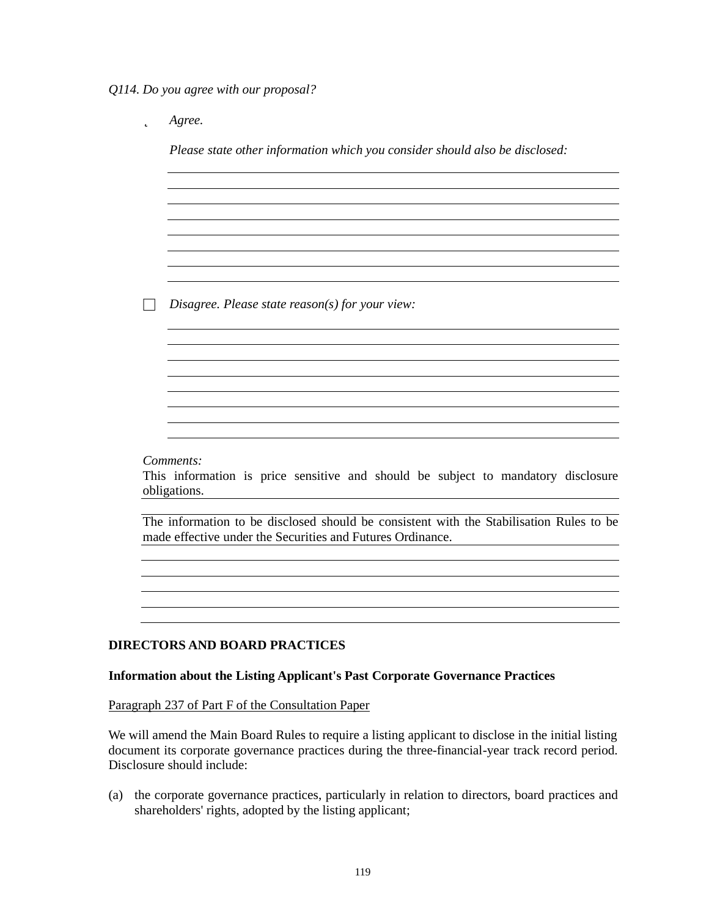*Q114. Do you agree with our proposal?*

þ *Agree.*

*Please state other information which you consider should also be disclosed:*

and the control of the control of the control of the control of the control of the control of the control of the

□ *Disagree. Please state reason(s) for your view:*

*Comments:*

This information is price sensitive and should be subject to mandatory disclosure obligations.

The information to be disclosed should be consistent with the Stabilisation Rules to be made effective under the Securities and Futures Ordinance.

#### **DIRECTORS AND BOARD PRACTICES**

#### **Information about the Listing Applicant's Past Corporate Governance Practices**

Paragraph 237 of Part F of the Consultation Paper

We will amend the Main Board Rules to require a listing applicant to disclose in the initial listing document its corporate governance practices during the three-financial-year track record period. Disclosure should include:

(a) the corporate governance practices, particularly in relation to directors, board practices and shareholders' rights, adopted by the listing applicant;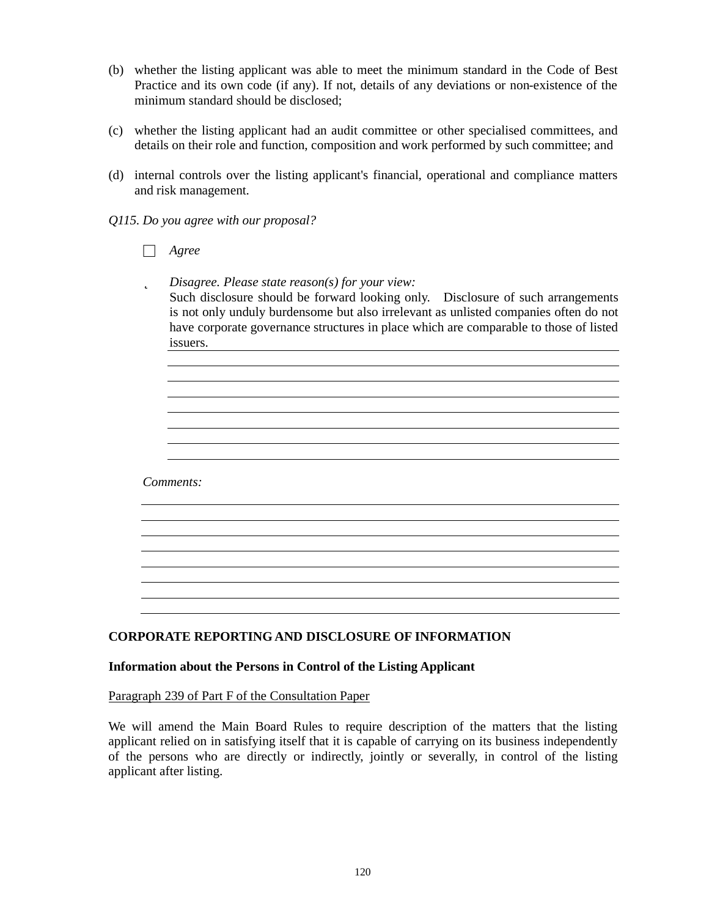- (b) whether the listing applicant was able to meet the minimum standard in the Code of Best Practice and its own code (if any). If not, details of any deviations or non-existence of the minimum standard should be disclosed;
- (c) whether the listing applicant had an audit committee or other specialised committees, and details on their role and function, composition and work performed by such committee; and
- (d) internal controls over the listing applicant's financial, operational and compliance matters and risk management.
- *Q115. Do you agree with our proposal?*
	- □ *Agree*
	- þ *Disagree. Please state reason(s) for your view:* Such disclosure should be forward looking only. Disclosure of such arrangements is not only unduly burdensome but also irrelevant as unlisted companies often do not have corporate governance structures in place which are comparable to those of listed issuers.

<u> 1980 - Johann Barn, mars ann an t-Amhain Aonaichte ann an t-Aonaichte ann an t-Aonaichte ann an t-Aonaichte a</u> <u> 1989 - Johann Stoff, deutscher Stoff, der Stoff, der Stoff, der Stoff, der Stoff, der Stoff, der Stoff, der S</u>

*Comments:*

# **CORPORATE REPORTING AND DISCLOSURE OF INFORMATION**

#### **Information about the Persons in Control of the Listing Applicant**

Paragraph 239 of Part F of the Consultation Paper

We will amend the Main Board Rules to require description of the matters that the listing applicant relied on in satisfying itself that it is capable of carrying on its business independently of the persons who are directly or indirectly, jointly or severally, in control of the listing applicant after listing.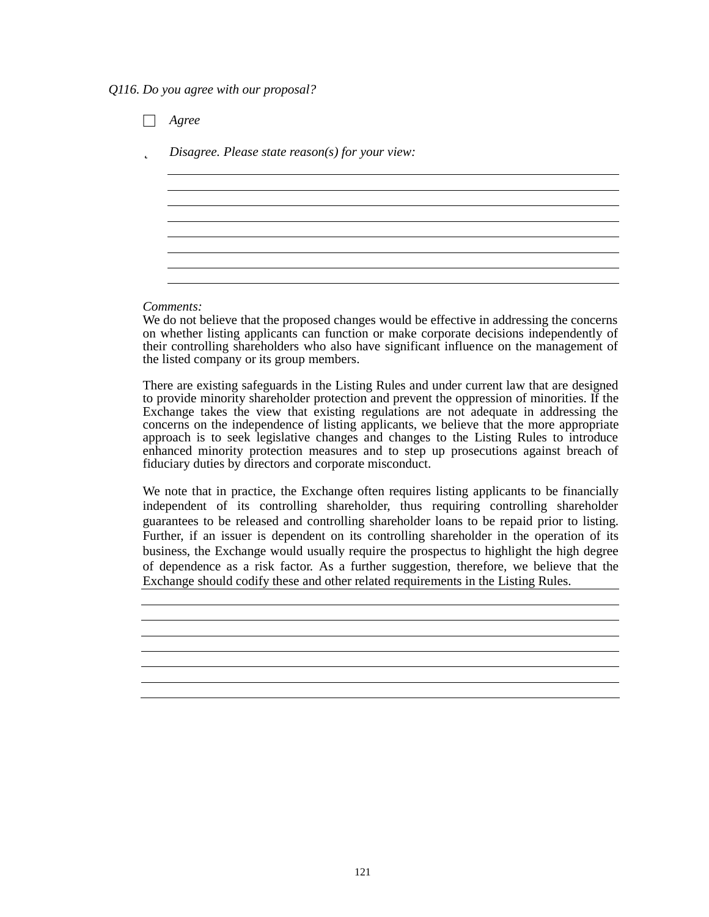*Q116. Do you agree with our proposal?*

□ *Agree* þ *Disagree. Please state reason(s) for your view:*

#### *Comments:*

We do not believe that the proposed changes would be effective in addressing the concerns on whether listing applicants can function or make corporate decisions independently of their controlling shareholders who also have significant influence on the management of the listed company or its group members.

There are existing safeguards in the Listing Rules and under current law that are designed to provide minority shareholder protection and prevent the oppression of minorities. If the Exchange takes the view that existing regulations are not adequate in addressing the concerns on the independence of listing applicants, we believe that the more appropriate approach is to seek legislative changes and changes to the Listing Rules to introduce enhanced minority protection measures and to step up prosecutions against breach of fiduciary duties by directors and corporate misconduct.

We note that in practice, the Exchange often requires listing applicants to be financially independent of its controlling shareholder, thus requiring controlling shareholder guarantees to be released and controlling shareholder loans to be repaid prior to listing. Further, if an issuer is dependent on its controlling shareholder in the operation of its business, the Exchange would usually require the prospectus to highlight the high degree of dependence as a risk factor. As a further suggestion, therefore, we believe that the Exchange should codify these and other related requirements in the Listing Rules.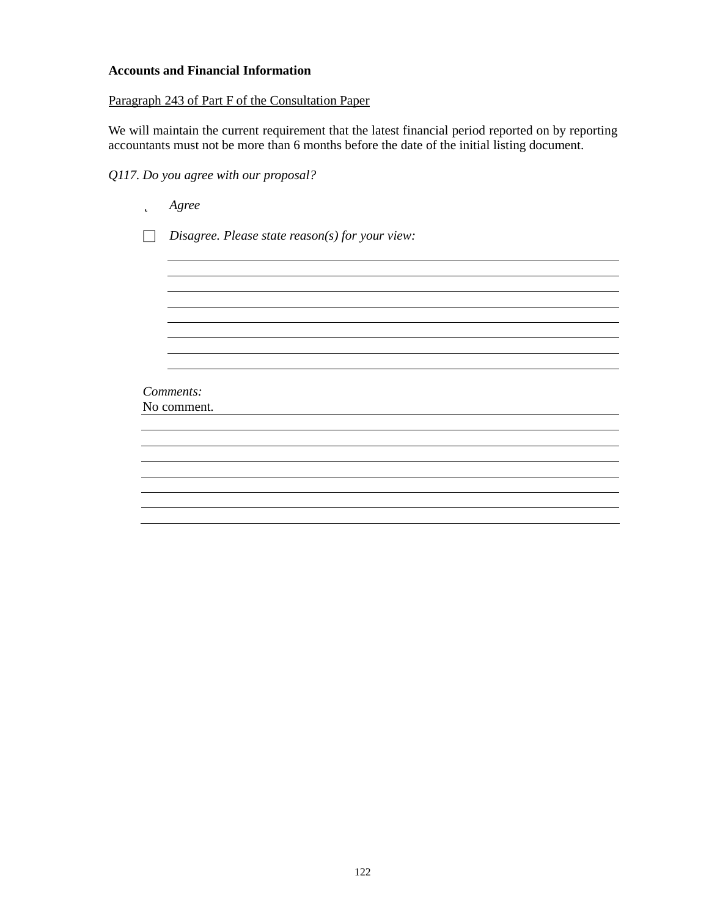## **Accounts and Financial Information**

# Paragraph 243 of Part F of the Consultation Paper

We will maintain the current requirement that the latest financial period reported on by reporting accountants must not be more than 6 months before the date of the initial listing document.

# *Q117. Do you agree with our proposal?*

| þ | Agree                                           |  |
|---|-------------------------------------------------|--|
|   | Disagree. Please state reason(s) for your view: |  |
|   |                                                 |  |
|   |                                                 |  |
|   |                                                 |  |
|   |                                                 |  |
|   |                                                 |  |
|   |                                                 |  |
|   | Comments:<br>No comment.                        |  |
|   |                                                 |  |
|   |                                                 |  |
|   |                                                 |  |
|   |                                                 |  |
|   |                                                 |  |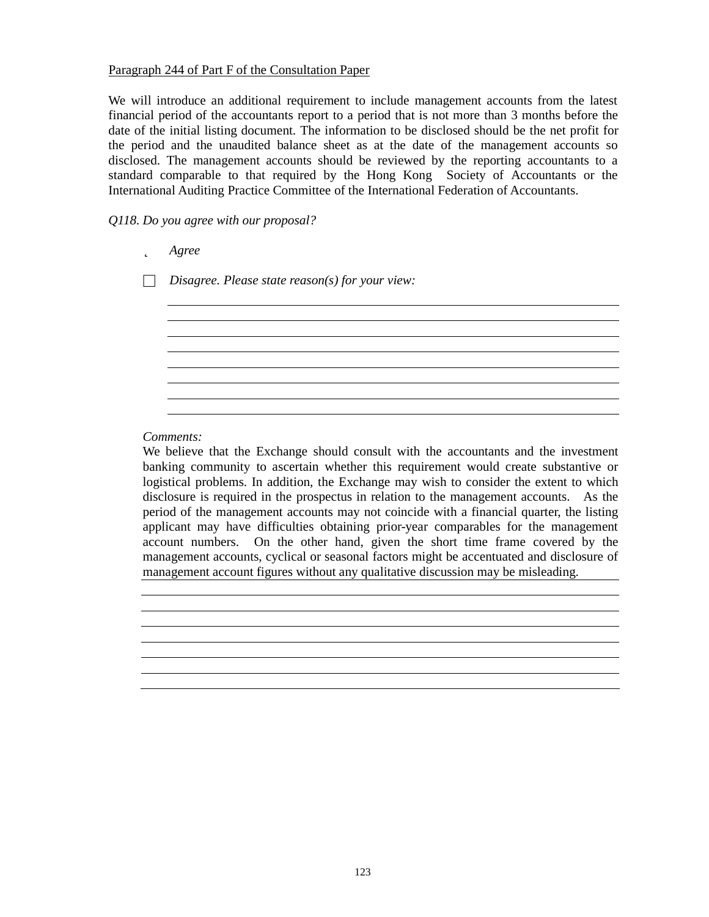## Paragraph 244 of Part F of the Consultation Paper

We will introduce an additional requirement to include management accounts from the latest financial period of the accountants report to a period that is not more than 3 months before the date of the initial listing document. The information to be disclosed should be the net profit for the period and the unaudited balance sheet as at the date of the management accounts so disclosed. The management accounts should be reviewed by the reporting accountants to a standard comparable to that required by the Hong Kong Society of Accountants or the International Auditing Practice Committee of the International Federation of Accountants.

## *Q118. Do you agree with our proposal?*

| þ | Agree                                           |
|---|-------------------------------------------------|
|   | Disagree. Please state reason(s) for your view: |
|   |                                                 |
|   |                                                 |
|   |                                                 |
|   |                                                 |
|   |                                                 |

#### *Comments:*

We believe that the Exchange should consult with the accountants and the investment banking community to ascertain whether this requirement would create substantive or logistical problems. In addition, the Exchange may wish to consider the extent to which disclosure is required in the prospectus in relation to the management accounts. As the period of the management accounts may not coincide with a financial quarter, the listing applicant may have difficulties obtaining prior-year comparables for the management account numbers. On the other hand, given the short time frame covered by the management accounts, cyclical or seasonal factors might be accentuated and disclosure of management account figures without any qualitative discussion may be misleading.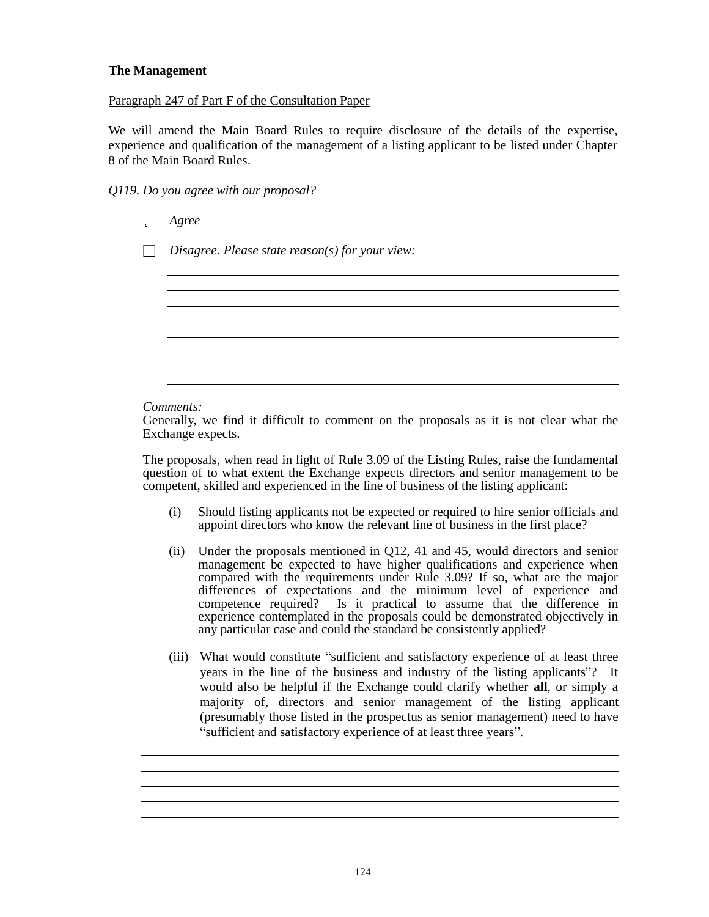## **The Management**

## Paragraph 247 of Part F of the Consultation Paper

We will amend the Main Board Rules to require disclosure of the details of the expertise, experience and qualification of the management of a listing applicant to be listed under Chapter 8 of the Main Board Rules.

## *Q119. Do you agree with our proposal?*

þ *Agree*

□ *Disagree. Please state reason(s) for your view:*

*Comments:*

Generally, we find it difficult to comment on the proposals as it is not clear what the Exchange expects.

The proposals, when read in light of Rule 3.09 of the Listing Rules, raise the fundamental question of to what extent the Exchange expects directors and senior management to be competent, skilled and experienced in the line of business of the listing applicant:

- (i) Should listing applicants not be expected or required to hire senior officials and appoint directors who know the relevant line of business in the first place?
- (ii) Under the proposals mentioned in Q12, 41 and 45, would directors and senior management be expected to have higher qualifications and experience when compared with the requirements under Rule 3.09? If so, what are the major differences of expectations and the minimum level of experience and competence required? Is it practical to assume that the difference in experience contemplated in the proposals could be demonstrated objectively in any particular case and could the standard be consistently applied?
- (iii) What would constitute "sufficient and satisfactory experience of at least three years in the line of the business and industry of the listing applicants"? It would also be helpful if the Exchange could clarify whether **all**, or simply a majority of, directors and senior management of the listing applicant (presumably those listed in the prospectus as senior management) need to have " sufficient and satisfactory experience of at least three years".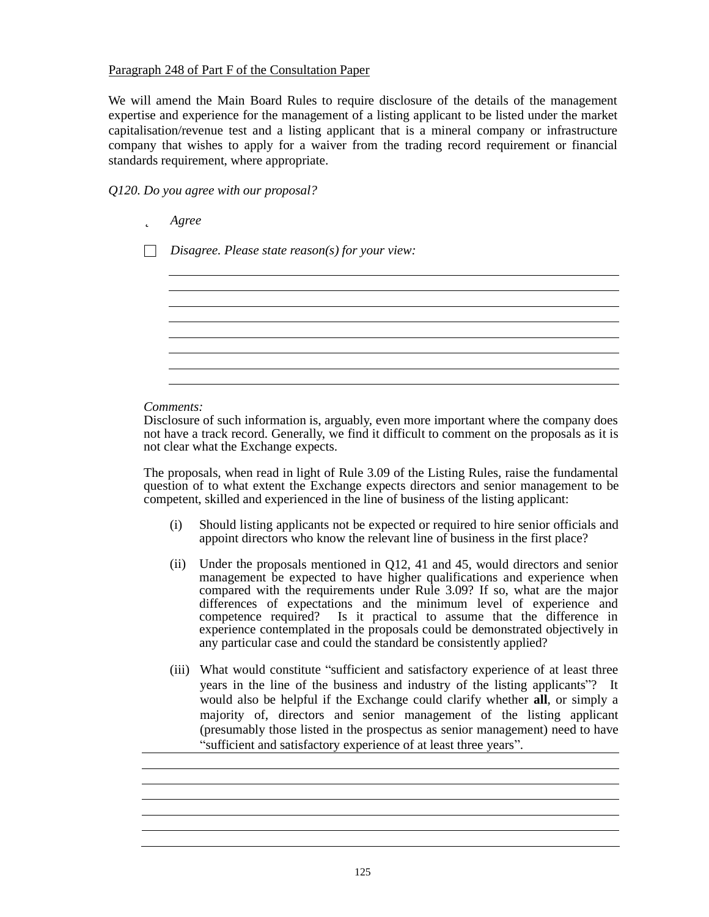## Paragraph 248 of Part F of the Consultation Paper

We will amend the Main Board Rules to require disclosure of the details of the management expertise and experience for the management of a listing applicant to be listed under the market capitalisation/revenue test and a listing applicant that is a mineral company or infrastructure company that wishes to apply for a waiver from the trading record requirement or financial standards requirement, where appropriate.

# *Q120. Do you agree with our proposal?*

þ *Agree*

□ *Disagree. Please state reason(s) for your view:*

#### *Comments:*

Disclosure of such information is, arguably, even more important where the company does not have a track record. Generally, we find it difficult to comment on the proposals as it is not clear what the Exchange expects.

The proposals, when read in light of Rule 3.09 of the Listing Rules, raise the fundamental question of to what extent the Exchange expects directors and senior management to be competent, skilled and experienced in the line of business of the listing applicant:

- (i) Should listing applicants not be expected or required to hire senior officials and appoint directors who know the relevant line of business in the first place?
- (ii) Under the proposals mentioned in Q12, 41 and 45, would directors and senior management be expected to have higher qualifications and experience when compared with the requirements under Rule 3.09? If so, what are the major differences of expectations and the minimum level of experience and competence required? Is it practical to assume that the difference in experience contemplated in the proposals could be demonstrated objectively in any particular case and could the standard be consistently applied?
- (iii) What would constitute "sufficient and satisfactory experience of at least three years in the line of the business and industry of the listing applicants"? It would also be helpful if the Exchange could clarify whether **all**, or simply a majority of, directors and senior management of the listing applicant (presumably those listed in the prospectus as senior management) need to have " sufficient and satisfactory experience of at least three years".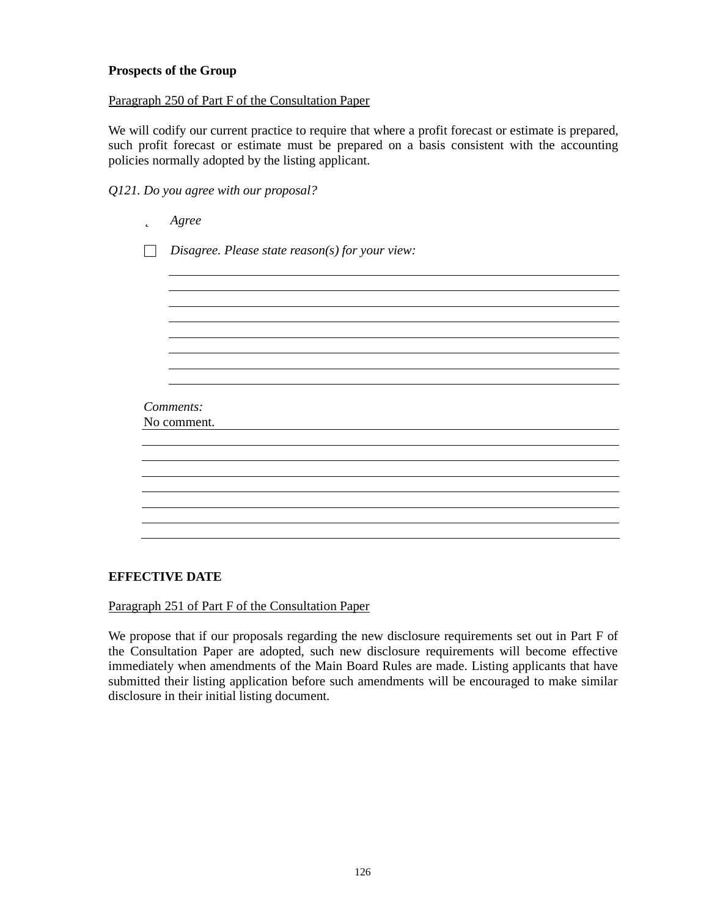## **Prospects of the Group**

Paragraph 250 of Part F of the Consultation Paper

We will codify our current practice to require that where a profit forecast or estimate is prepared, such profit forecast or estimate must be prepared on a basis consistent with the accounting policies normally adopted by the listing applicant.

*Q121. Do you agree with our proposal?*

| þ           | Agree                                           |  |
|-------------|-------------------------------------------------|--|
|             | Disagree. Please state reason(s) for your view: |  |
|             |                                                 |  |
|             |                                                 |  |
|             |                                                 |  |
|             |                                                 |  |
|             |                                                 |  |
|             |                                                 |  |
| Comments:   |                                                 |  |
| No comment. |                                                 |  |
|             |                                                 |  |
|             |                                                 |  |
|             |                                                 |  |
|             |                                                 |  |
|             |                                                 |  |
|             |                                                 |  |

## **EFFECTIVE DATE**

Paragraph 251 of Part F of the Consultation Paper

We propose that if our proposals regarding the new disclosure requirements set out in Part F of the Consultation Paper are adopted, such new disclosure requirements will become effective immediately when amendments of the Main Board Rules are made. Listing applicants that have submitted their listing application before such amendments will be encouraged to make similar disclosure in their initial listing document.